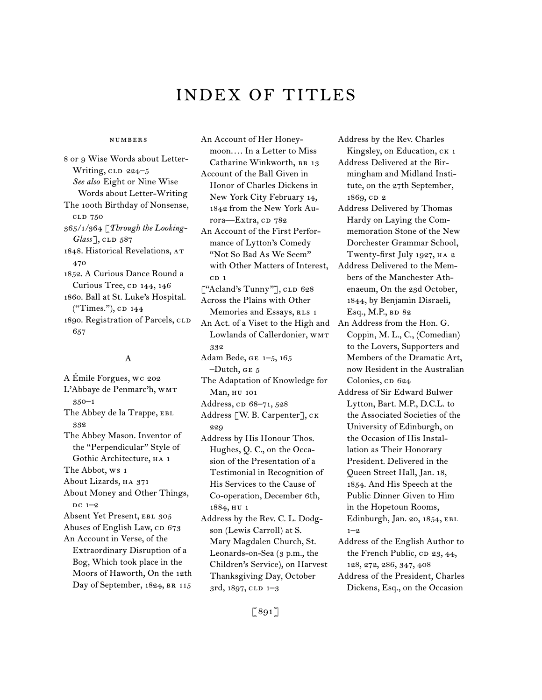# INDEX of titles

### numbers

8 or 9 Wise Words about Letter-Writing, CLD 224-5 *See also* Eight or Nine Wise Words about Letter-Writing The 100th Birthday of Nonsense, cld 750 365/1/364 [*Through the Looking-Glass*<sup>7</sup>, cld 587 1848. Historical Revelations, at 470 1852. A Curious Dance Round a Curious Tree, CD 144, 146 1860. Ball at St. Luke's Hospital. ("Times."), CD 144 1890. Registration of Parcels, CLD 657

### A

A Émile Forgues, wc 202 L'Abbaye de Penmarc'h, WMT 350–1 The Abbey de la Trappe, EBL 332 The Abbey Mason. Inventor of the "Perpendicular" Style of Gothic Architecture, ha 1 The Abbot, ws 1 About Lizards, HA 371 About Money and Other Things,  $DC$  1–2 Absent Yet Present, EBL 305 Abuses of English Law, CD 673 An Account in Verse, of the Extraordinary Disruption of a Bog, Which took place in the Moors of Haworth, On the 12th Day of September, 1824, BR 115

An Account of Her Honeymoon. . . . In a Letter to Miss Catharine Winkworth, BR 13 Account of the Ball Given in Honor of Charles Dickens in New York City February 14, 1842 from the New York Aurora-Extra, cD 782 An Account of the First Performance of Lytton's Comedy "Not So Bad As We Seem" with Other Matters of Interest,  $CD<sub>1</sub>$ ["Acland's Tunny"], cLD 628 Across the Plains with Other Memories and Essays, RLS 1 An Act. of a Viset to the High and Lowlands of Callerdonier, WMT 332 Adam Bede, ge 1–5, 165  $-Dutch, GE 5$ The Adaptation of Knowledge for Man, hu 101 Address, cp 68–71, 528 Address [W. B. Carpenter], ck 229 Address by His Honour Thos. Hughes, Q. C., on the Occasion of the Presentation of a Testimonial in Recognition of His Services to the Cause of Co-operation, December 6th, 1884, hu 1 Address by the Rev. C. L. Dodgson (Lewis Carroll) at S. Mary Magdalen Church, St. Leonards-on-Sea (3 p.m., the Children's Service), on Harvest

Address by the Rev. Charles Kingsley, on Education, CK 1

- Address Delivered at the Birmingham and Midland Institute, on the 27th September, 1869, cp 2
- Address Delivered by Thomas Hardy on Laying the Commemoration Stone of the New Dorchester Grammar School, Twenty-first July 1927, HA 2
- Address Delivered to the Members of the Manchester Athenaeum, On the 23d October, 1844, by Benjamin Disraeli, Esq., M.P., BD 82
- An Address from the Hon. G. Coppin, M. L., C., (Comedian) to the Lovers, Supporters and Members of the Dramatic Art, now Resident in the Australian Colonies, cp 624
- Address of Sir Edward Bulwer Lytton, Bart. M.P., D.C.L. to the Associated Societies of the University of Edinburgh, on the Occasion of His Installation as Their Honorary President. Delivered in the Queen Street Hall, Jan. 18, 1854. And His Speech at the Public Dinner Given to Him in the Hopetoun Rooms, Edinburgh, Jan. 20, 1854, EBL 1–2
- Address of the English Author to the French Public, CD 23, 44, 128, 272, 286, 347, 408
- Address of the President, Charles Dickens, Esq., on the Occasion

Thanksgiving Day, October

3rd, 1897, cld 1–3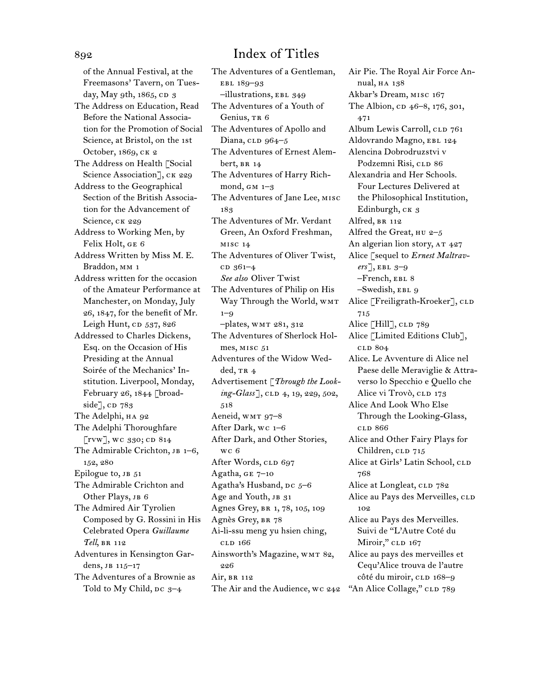of the Annual Festival, at the Freemasons' Tavern, on Tuesday, May 9th, 1865, CD 3 The Address on Education, Read Before the National Association for the Promotion of Social Science, at Bristol, on the 1st October, 1869, ck 2 The Address on Health [Social Science Association], CK 229 Address to the Geographical Section of the British Association for the Advancement of Science, CK 229 Address to Working Men, by Felix Holt, ge 6 Address Written by Miss M. E. Braddon, MM 1 Address written for the occasion of the Amateur Performance at Manchester, on Monday, July 26, 1847, for the benefit of Mr. Leigh Hunt,  $CD$  537, 826 Addressed to Charles Dickens, Esq. on the Occasion of His Presiding at the Annual Soirée of the Mechanics' Institution. Liverpool, Monday, February 26, 1844 [broadside $\rceil$ , CD 783 The Adelphi, на 92 The Adelphi Thoroughfare  $\lbrack$ rvw], wc 330; cd 814 The Admirable Crichton, JB 1-6, 152, 280 Epilogue to, JB 51 The Admirable Crichton and Other Plays, JB 6 The Admired Air Tyrolien Composed by G. Rossini in His Celebrated Opera *Guillaume Tell*, br 112 Adventures in Kensington Gardens, jb 115–17 The Adventures of a Brownie as Told to My Child,  $pc\ 3-4$ 

The Adventures of a Gentleman, ebl 189–93 –illustrations, ebl 349 The Adventures of a Youth of Genius, TR 6 The Adventures of Apollo and Diana, CLD 964-5 The Adventures of Ernest Alembert,  $BR<sub>14</sub>$ The Adventures of Harry Richmond,  $GM_1-3$ The Adventures of Jane Lee, misc 183 The Adventures of Mr. Verdant Green, An Oxford Freshman, misc 14 The Adventures of Oliver Twist, c<sub>D</sub> 361–4 *See also* Oliver Twist The Adventures of Philip on His Way Through the World, WMT  $1 - 9$ –plates, wmt 281, 312 The Adventures of Sherlock Holmes, MISC 51 Adventures of the Widow Wedded,  $TR_4$ Advertisement [*Through the Looking-Glass*], CLD 4, 19, 229, 502, 518 Aeneid, WMT 97-8 After Dark, wc 1–6 After Dark, and Other Stories, wc 6 After Words, CLD 697 Agatha, ge 7–10 Agatha's Husband,  $pc$  5–6 Age and Youth, JB 31 Agnes Grey, BR 1, 78, 105, 109 Agnès Grey, br 78 Ai-li-ssu meng yu hsien ching, cld 166 Ainsworth's Magazine, WMT 82, 226 Air, br 112 The Air and the Audience, wc 242 "An Alice Collage," CLD 789

Air Pie. The Royal Air Force Annual, HA 138 Akbar's Dream, misc 167 The Albion, cp 46–8, 176, 301, 471 Album Lewis Carroll, CLD 761 Aldovrando Magno, EBL 124 Alencina Dobrodruzstvi v Podzemni Risi, CLD 86 Alexandria and Her Schools. Four Lectures Delivered at the Philosophical Institution, Edinburgh, ск 3 Alfred, BR 112 Alfred the Great, HU 2-5 An algerian lion story, AT 427 Alice [sequel to *Ernest Maltravers*], ebl 3–9 –French, ebl 8  $-$ Swedish, EBL 9 Alice [Freiligrath-Kroeker], CLD 715 Alice [Hill], CLD 789 Alice [Limited Editions Club], cld 804 Alice. Le Avventure di Alice nel Paese delle Meraviglie & Attraverso lo Specchio e Quello che Alice vi Trovò, CLD 173 Alice And Look Who Else Through the Looking-Glass, cld 866 Alice and Other Fairy Plays for Children, CLD 715 Alice at Girls' Latin School, CLD 768 Alice at Longleat, CLD 782 Alice au Pays des Merveilles, CLD 102 Alice au Pays des Merveilles. Suivi de "L'Autre Coté du Miroir," CLD 167 Alice au pays des merveilles et Cequ'Alice trouva de l'autre côté du miroir, CLD 168-9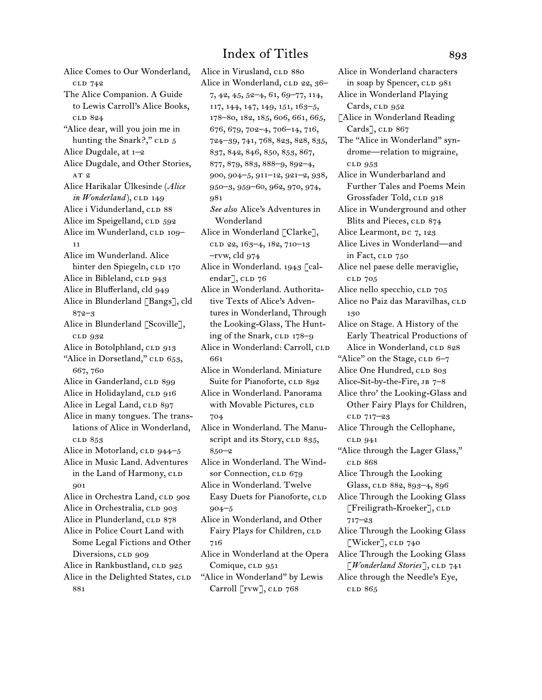Alice Comes to Our Wonderland, cld 742 The Alice Companion. A Guide to Lewis Carroll's Alice Books, cld 824 "Alice dear, will you join me in hunting the Snark?," CLD 5 Alice Dugdale, at 1–2 Alice Dugdale, and Other Stories, AT<sub>2</sub> Alice Harikalar Ülkesinde (*Alice*   $in$  *Wonderland* $),$  CLD 149 Alice i Vidunderland, CLD 88 Alice im Speigelland, CLD 592 Alice im Wunderland, CLD 109-11 Alice im Wunderland. Alice hinter den Spiegeln, CLD 170 Alice in Bibleland, CLD 943 Alice in Blufferland, cld 949 Alice in Blunderland [Bangs], cld 872–3 Alice in Blunderland [Scoville], cld 932 Alice in Botolphland, CLD 913 "Alice in Dorsetland," CLD 653, 667, 760 Alice in Ganderland, CLD 899 Alice in Holidayland, CLD 916 Alice in Legal Land, CLD 897 Alice in many tongues. The translations of Alice in Wonderland, cld 853 Alice in Motorland, CLD 944-5 Alice in Music Land. Adventures in the Land of Harmony, CLD 901 Alice in Orchestra Land, CLD 902 Alice in Orchestralia, CLD 903 Alice in Plunderland, CLD 878 Alice in Police Court Land with Some Legal Fictions and Other Diversions, CLD 909 Alice in Rankbustland, CLD 925 Alice in the Delighted States, CLD 881

Alice in Virusland, CLD 880 Alice in Wonderland, CLD 22, 36-7, 42, 45, 52–4, 61, 69–77, 114, 117, 144, 147, 149, 151, 163–5, 178–80, 182, 185, 606, 661, 665, 676, 679, 702–4, 706–14, 716, 724–39, 741, 768, 823, 828, 835, 837, 842, 846, 850, 853, 867, 877, 879, 883, 888–9, 892–4, 900, 904–5, 911–12, 921–2, 938, 950–3, 959–60, 962, 970, 974, 981 *See also* Alice's Adventures in Wonderland Alice in Wonderland [Clarke], clD 22, 163-4, 182, 710-13 –rvw, cld 974 Alice in Wonderland. 1943 [calendar<sup>7</sup>, CLD 76 Alice in Wonderland. Authoritative Texts of Alice's Adventures in Wonderland, Through the Looking-Glass, The Hunting of the Snark, CLD 178-9 Alice in Wonderland: Carroll, CLD 661 Alice in Wonderland. Miniature Suite for Pianoforte, CLD 892 Alice in Wonderland. Panorama with Movable Pictures, CLD 704 Alice in Wonderland. The Manuscript and its Story, CLD 835, 850–2 Alice in Wonderland. The Windsor Connection, CLD 679 Alice in Wonderland. Twelve Easy Duets for Pianoforte, CLD 904–5 Alice in Wonderland, and Other Fairy Plays for Children, CLD 716 Alice in Wonderland at the Opera Comique, CLD 951 "Alice in Wonderland" by Lewis Carroll [rvw], CLD 768

Alice in Wonderland characters in soap by Spencer, CLD 981 Alice in Wonderland Playing Cards, CLD 952 [Alice in Wonderland Reading Cards], CLD 867 The "Alice in Wonderland" syndrome—relation to migraine, cld 953 Alice in Wunderbarland and Further Tales and Poems Mein Grossfader Told, CLD 918 Alice in Wunderground and other Blits and Pieces, CLD 874 Alice Learmont, DC 7, 123 Alice Lives in Wonderland—and in Fact, CLD 750 Alice nel paese delle meraviglie, cld 705 Alice nello specchio, CLD 705 Alice no Paiz das Maravilhas, CLD 130 Alice on Stage. A History of the Early Theatrical Productions of Alice in Wonderland, CLD 828 "Alice" on the Stage, CLD 6-7 Alice One Hundred, CLD 803 Alice-Sit-by-the-Fire, jb 7–8 Alice thro' the Looking-Glass and Other Fairy Plays for Children, cld 717–23 Alice Through the Cellophane, cld 941 "Alice through the Lager Glass," cld 868 Alice Through the Looking Glass, CLD 882, 893-4, 896 Alice Through the Looking Glass  $[Freiligranth-Kroeker], cL$ 717–23 Alice Through the Looking Glass  $[Water]$ , CLD 740 Alice Through the Looking Glass [*Wonderland Stories*], CLD 741 Alice through the Needle's Eye, cld 865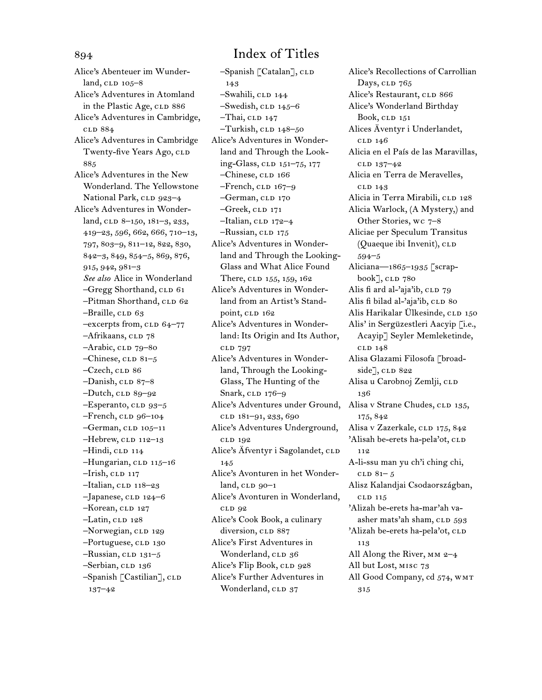Alice's Abenteuer im Wunderland,  $CLD$   $105-8$ Alice's Adventures in Atomland in the Plastic Age, CLD 886 Alice's Adventures in Cambridge, cld 884 Alice's Adventures in Cambridge Twenty-five Years Ago, CLD 885 Alice's Adventures in the New Wonderland. The Yellowstone National Park, CLD 923-4 Alice's Adventures in Wonderland, CLD 8–150, 181–3, 233, 419–23, 596, 662, 666, 710–13, 797, 803–9, 811–12, 822, 830, 842–3, 849, 854–5, 869, 876, 915, 942, 981–3 *See also* Alice in Wonderland -Gregg Shorthand, CLD 61 -Pitman Shorthand, CLD 62 –Braille, CLD 63  $-$ excerpts from, CLD 64–77 -Afrikaans, CLD 78  $-A$ rabic, cld  $79-80$  $-*Chinese*, *cLD* 81–5$  $-Czech$ , CLD 86  $-Danish$ , CLD 87–8  $-Dutch$ , CLD 89–92  $-$ Esperanto, CLD 93-5  $-$ French, CLD 96–104  $-$ German, CLD 105–11  $-$ Hebrew, CLD 112–13  $-Hindi$ , CLD 114 -Hungarian, CLD 115-16  $-Irish, cLD 117$  $-$ Italian, CLD 118–23  $-Japanese,$  CLD 124–6 –Korean, CLD 127  $-Latin, cLD 128$ -Norwegian, CLD 129 -Portuguese, CLD 130  $-Russian, CLD 131-5$ -Serbian, CLD 136  $-$ Spanish [Castilian],  $c$ LD 137–42

 $-$ Spanish [Catalan],  $c$ LD 143 –Swahili, cld 144  $-$ Swedish, CLD 145–6  $-Thai$ , CLD 147  $-Turkish$ , CLD  $148-50$ Alice's Adventures in Wonderland and Through the Looking-Glass, cLD 151-75, 177 –Chinese, cld 166  $-$ French,  $CLD$  167–9 –German, CLD 170 –Greek, cld 171  $-$ Italian, CLD 172–4 -Russian, CLD 175 Alice's Adventures in Wonderland and Through the Looking-Glass and What Alice Found There, CLD 155, 159, 162 Alice's Adventures in Wonderland from an Artist's Standpoint, CLD 162 Alice's Adventures in Wonderland: Its Origin and Its Author, cld 797 Alice's Adventures in Wonderland, Through the Looking-Glass, The Hunting of the Snark, CLD 176-9 Alice's Adventures under Ground, Alisa v Strane Chudes, CLD 135, cld 181–91, 233, 690 Alice's Adventures Underground, cld 192 Alice's Äfventyr i Sagolandet, CLD 145 Alice's Avonturen in het Wonder $land, cLD$  90–1 Alice's Avonturen in Wonderland, cld 92 Alice's Cook Book, a culinary diversion, CLD 887 Alice's First Adventures in Wonderland, CLD 36 Alice's Flip Book, CLD 928 Alice's Further Adventures in Wonderland, CLD 37

Alice's Recollections of Carrollian Days, CLD 765 Alice's Restaurant, CLD 866 Alice's Wonderland Birthday Book, CLD 151 Alices Äventyr i Underlandet, cld 146 Alicia en el País de las Maravillas, cld 137–42 Alicia en Terra de Meravelles, cld 143 Alicia in Terra Mirabili, CLD 128 Alicia Warlock, (A Mystery,) and Other Stories, wc 7–8 Aliciae per Speculum Transitus (Quaeque ibi Invenit), CLD 594–5 Aliciana—1865–1935 [scrap $book$ ],  $CLD$  780 Alis fi ard al-'aja'ib,  $CLD$  79 Alis fi bilad al-'aja'ib, CLD 80 Alis Harikalar Ülkesinde, cld 150 Alis' in Sergüzestleri Aacyip [i.e., Acayip] Seyler Memleketinde, cld 148 Alisa Glazami Filosofa [broadside<sup>7</sup>, CLD 822 Alisa u Carobnoj Zemlji, cLD 136 175, 842 Alisa v Zazerkale, CLD 175, 842 'Alisah be-erets ha-pela'ot, CLD 112 A-li-ssu man yu ch'i ching chi,  $CLD 81– 5$ Alisz Kalandjai Csodaországban, cld 115 'Alizah be-erets ha-mar'ah vaasher mats'ah sham, CLD 593 'Alizah be-erets ha-pela'ot, CLD 113 All Along the River, mm 2–4 All but Lost, misc 73 All Good Company, cd 574, WMT

315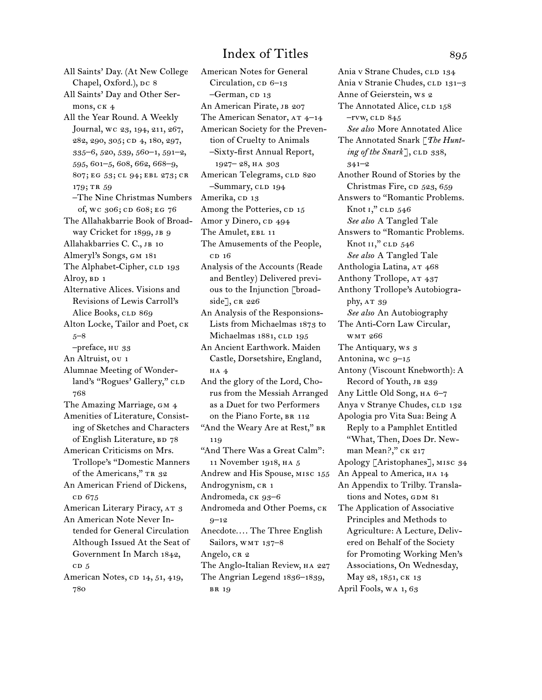All Saints' Day. (At New College Chapel, Oxford.), DC 8 All Saints' Day and Other Sermons, CK<sub>4</sub> All the Year Round. A Weekly Journal, wc 23, 194, 211, 267, 282, 290, 305; cd 4, 180, 297, 335–6, 520, 539, 560–1, 591–2, 595, 601–5, 608, 662, 668–9, 807; eg 53; cl 94; ebl 273; cr 179; TR 59 –The Nine Christmas Numbers of, wc 306; cd 608; eg 76 The Allahakbarrie Book of Broadway Cricket for 1899, JB 9 Allahakbarries C. C., JB 10 Almeryl's Songs, gm 181 The Alphabet-Cipher, CLD 193 Alroy, BD 1 Alternative Alices. Visions and Revisions of Lewis Carroll's Alice Books, CLD 869 Alton Locke, Tailor and Poet, ck 5–8 –preface, hu 33 An Altruist, ou 1 Alumnae Meeting of Wonderland's "Rogues' Gallery," CLD 768 The Amazing Marriage, GM 4 Amenities of Literature, Consisting of Sketches and Characters of English Literature, BD 78 American Criticisms on Mrs. Trollope's "Domestic Manners of the Americans," TR 32 An American Friend of Dickens, c<sub>D</sub> 675 American Literary Piracy, AT 3 An American Note Never Intended for General Circulation Although Issued At the Seat of Government In March 1842,  $CD<sub>5</sub>$ American Notes, CD 14, 51, 419, 780

American Notes for General Circulation,  $CD$  6–13  $-German$ , CD 13 An American Pirate, JB 207 The American Senator,  $AT$  4–14 American Society for the Prevention of Cruelty to Animals –Sixty-first Annual Report, 1927– 28, ha 303 American Telegrams, CLD 820 –Summary, CLD 194 Amerika, CD 13 Among the Potteries, CD 15 Amor y Dinero, cp 494 The Amulet, EBL 11 The Amusements of the People,  $CD<sub>16</sub>$ Analysis of the Accounts (Reade and Bentley) Delivered previous to the Injunction [broadside], CR 226 An Analysis of the Responsions-Lists from Michaelmas 1873 to Michaelmas 1881, CLD 195 An Ancient Earthwork. Maiden Castle, Dorsetshire, England, ha 4 And the glory of the Lord, Chorus from the Messiah Arranged as a Duet for two Performers on the Piano Forte, BR 112 "And the Weary Are at Rest," BR 119 "And There Was a Great Calm": 11 November 1918, ha 5 Andrew and His Spouse, misc 155 Androgynism, CR 1 Andromeda, CK 93-6 Andromeda and Other Poems, ck 9–12 Anecdote.... The Three English Sailors, WMT 137-8 Angelo, CR 2 The Anglo-Italian Review, HA 227 The Angrian Legend 1836–1839, br 19

Ania v Strane Chudes, CLD 134 Ania v Stranie Chudes, CLD 131-3 Anne of Geierstein, ws 2 The Annotated Alice, CLD 158  $-$ rvw, cld  $845$ *See also* More Annotated Alice The Annotated Snark [*The Hunting of the Snark*], CLD 338, 341–2 Another Round of Stories by the Christmas Fire,  $CD$  523, 659 Answers to "Romantic Problems. Knot  $I$ ," CLD  $546$ *See also* A Tangled Tale Answers to "Romantic Problems. Knot  $II$ ," CLD  $546$ *See also* A Tangled Tale Anthologia Latina, AT 468 Anthony Trollope, AT 437 Anthony Trollope's Autobiography,  $AT 39$ *See also* An Autobiography The Anti-Corn Law Circular, wmt 266 The Antiquary, ws 3 Antonina, wc  $9-15$ Antony (Viscount Knebworth): A Record of Youth, JB 239 Any Little Old Song, ha 6–7 Anya v Stranye Chudes, CLD 132 Apologia pro Vita Sua: Being A Reply to a Pamphlet Entitled "What, Then, Does Dr. Newman Mean?," CK 217 Apology [Aristophanes], misc 34 An Appeal to America, HA 14 An Appendix to Trilby. Translations and Notes, GDM 81 The Application of Associative Principles and Methods to Agriculture: A Lecture, Delivered on Behalf of the Society for Promoting Working Men's Associations, On Wednesday, May 28, 1851, CK 13 April Fools, wa 1, 63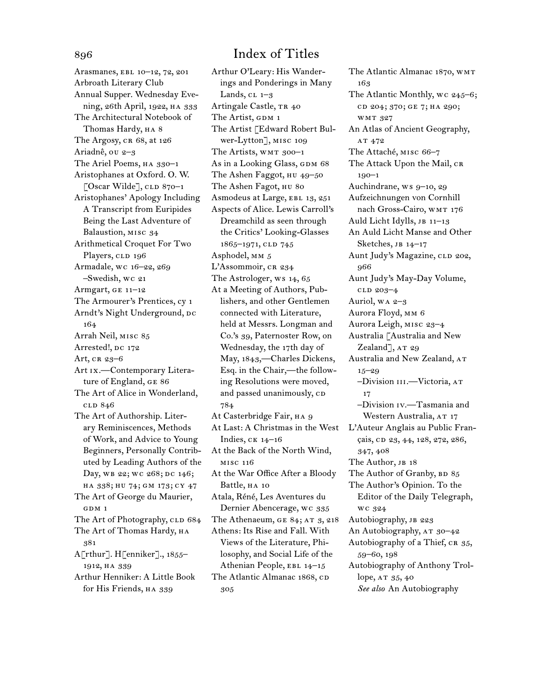Arasmanes, ebl 10–12, 72, 201 Arbroath Literary Club Annual Supper. Wednesday Evening, 26th April, 1922, ha 333 The Architectural Notebook of Thomas Hardy, HA 8 The Argosy, CR 68, at 126 Ariadnê, ou 2–3 The Ariel Poems, ha 330–1 Aristophanes at Oxford. O. W. [Oscar Wilde],  $CLD 870-1$ Aristophanes' Apology Including A Transcript from Euripides Being the Last Adventure of Balaustion, misc 34 Arithmetical Croquet For Two Players, CLD 196 Armadale, wc 16–22, 269 –Swedish, wc 21 Armgart, ge 11–12 The Armourer's Prentices, cy 1 Arndt's Night Underground, DC 164 Arrah Neil, misc 85 Arrested!, DC 172 Art, cr 23-6 Art ix.—Contemporary Literature of England, ge 86 The Art of Alice in Wonderland, cld 846 The Art of Authorship. Literary Reminiscences, Methods of Work, and Advice to Young Beginners, Personally Contributed by Leading Authors of the Day, wB 22; WC 268; DC 146; ha 338; hu 74; gm 173; cy 47 The Art of George du Maurier, GDM 1 The Art of Photography, CLD 684 The Art of Thomas Hardy, HA 381 A[rthur]. H[enniker]., 1855– 1912, ha 339 Arthur Henniker: A Little Book for His Friends, HA 339

Arthur O'Leary: His Wanderings and Ponderings in Many Lands,  $CL$  1–3 Artingale Castle, TR 40 The Artist, GDM 1 The Artist [Edward Robert Bulwer-Lytton], misc 109 The Artists, WMT 300-1 As in a Looking Glass, GDM 68 The Ashen Faggot, HU 49-50 The Ashen Fagot, HU 80 Asmodeus at Large, EBL 13, 251 Aspects of Alice. Lewis Carroll's Dreamchild as seen through the Critics' Looking-Glasses 1865-1971, CLD 745 Asphodel, mm 5 L'Assommoir, CR 234 The Astrologer, ws 14, 65 At a Meeting of Authors, Publishers, and other Gentlemen connected with Literature, held at Messrs. Longman and Co.'s 39, Paternoster Row, on Wednesday, the 17th day of May, 1843,—Charles Dickens, Esq. in the Chair,—the following Resolutions were moved, and passed unanimously, cD 784 At Casterbridge Fair, на 9 At Last: A Christmas in the West Indies, ck 14–16 At the Back of the North Wind, misc 116 At the War Office After a Bloody Battle, HA 10 Atala, Réné, Les Aventures du Dernier Abencerage, wc 335 The Athenaeum, GE 84; AT 3, 218 Athens: Its Rise and Fall. With Views of the Literature, Philosophy, and Social Life of the Athenian People, EBL 14-15 The Atlantic Almanac 1868, CD 305

The Atlantic Almanac 1870, wmt 163 The Atlantic Monthly, wc 245–6; cd 204; 370; ge 7; ha 290; wmt 327 An Atlas of Ancient Geography, AT 472 The Attaché, misc 66–7 The Attack Upon the Mail, CR 190–1 Auchindrane, ws 9–10, 29 Aufzeichnungen von Cornhill nach Gross-Cairo, wmr 176 Auld Licht Idylls, JB 11-13 An Auld Licht Manse and Other Sketches, JB 14-17 Aunt Judy's Magazine, CLD 202, 966 Aunt Judy's May-Day Volume, cld 203–4 Auriol, wa 2–3 Aurora Floyd, mm 6 Aurora Leigh, misc 23–4 Australia [Australia and New Zealand $\rceil$ , AT 29 Australia and New Zealand, AT 15–29 –Division iii.—Victoria, at 17 –Division iv.—Tasmania and Western Australia, AT 17 L'Auteur Anglais au Public Français, cd 23, 44, 128, 272, 286, 347, 408 The Author, JB 18 The Author of Granby, BD 85 The Author's Opinion. To the Editor of the Daily Telegraph, wc 324 Autobiography, JB 223 An Autobiography,  $AT 30-42$ Autobiography of a Thief, CR 35, 59–60, 198 Autobiography of Anthony Trollope, AT 35, 40 *See also* An Autobiography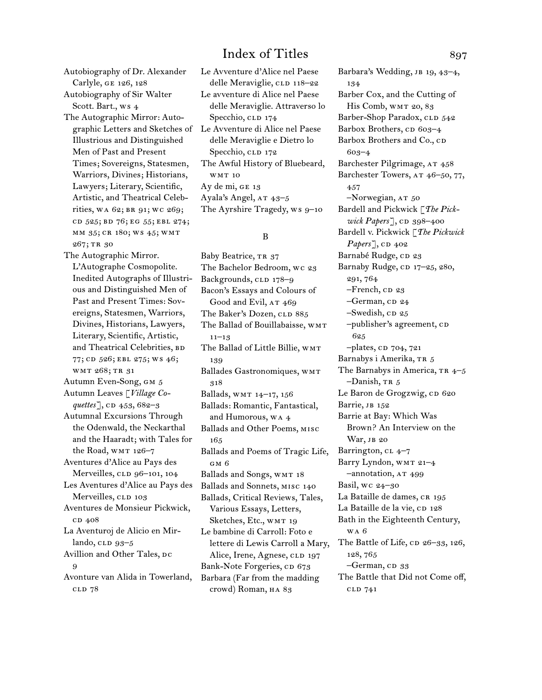Autobiography of Dr. Alexander Carlyle, ge 126, 128 Autobiography of Sir Walter Scott. Bart., ws 4 The Autographic Mirror: Auto-Illustrious and Distinguished Men of Past and Present Times; Sovereigns, Statesmen, Warriors, Divines; Historians, Lawyers; Literary, Scientific, Artistic, and Theatrical Celebrities, WA 62; BR 91; WC 269; cd 525; bd 76; eg 55; ebl 274; mm 35; cr 180; ws 45; wmt 267; tr 30

The Autographic Mirror. L'Autographe Cosmopolite. Inedited Autographs of Illustrious and Distinguished Men of Past and Present Times: Sovereigns, Statesmen, Warriors, Divines, Historians, Lawyers, Literary, Scientific, Artistic, and Theatrical Celebrities, BD 77; CD 526; EBL 275; WS 46; wmt 268; tr 31 Autumn Even-Song, gm 5 Autumn Leaves [*Village Coquettes*], CD 453, 682–3 Autumnal Excursions Through the Odenwald, the Neckarthal and the Haaradt; with Tales for the Road, WMT 126-7 Aventures d'Alice au Pays des Merveilles, CLD 96-101, 104 Les Aventures d'Alice au Pays des Merveilles, CLD 103 Aventures de Monsieur Pickwick, c<sub>D</sub> 408 La Aventuroj de Alicio en Mirlando,  $\text{clp } 93-5$ Avillion and Other Tales, DC 9 Avonture van Alida in Towerland, cld 78

graphic Letters and Sketches of Le Avventure di Alice nel Paese Le Avventure d'Alice nel Paese delle Meraviglie, CLD 118-22 Le avventure di Alice nel Paese delle Meraviglie. Attraverso lo Specchio, clp 174 delle Meraviglie e Dietro lo Specchio, clp 172 The Awful History of Bluebeard, wmt 10 Ay de mi, ge 13 Ayala's Angel, AT 43-5 The Ayrshire Tragedy, ws 9–10

### B

Baby Beatrice, TR 37 The Bachelor Bedroom, wc 23 Backgrounds, CLD 178–9 Bacon's Essays and Colours of Good and Evil, AT 469 The Baker's Dozen, CLD 885 The Ballad of Bouillabaisse, WMT  $11-13$ The Ballad of Little Billie, WMT 139 Ballades Gastronomiques, WMT 318 Ballads, wmt 14–17, 156 Ballads: Romantic, Fantastical, and Humorous, wa 4 Ballads and Other Poems, misc 165 Ballads and Poems of Tragic Life, gm 6 Ballads and Songs, WMT 18 Ballads and Sonnets, misc 140 Ballads, Critical Reviews, Tales, Various Essays, Letters, Sketches, Etc., WMT 19 Le bambine di Carroll: Foto e lettere di Lewis Carroll a Mary, Alice, Irene, Agnese, CLD 197 Bank-Note Forgeries, cp 673 Barbara (Far from the madding crowd) Roman, HA 83

Barbara's Wedding, JB 19, 43-4, 134 Barber Cox, and the Cutting of His Comb, WMT 20, 83 Barber-Shop Paradox, CLD 542 Barbox Brothers, cp 603–4 Barbox Brothers and Co., CD 603–4 Barchester Pilgrimage, AT 458 Barchester Towers, AT 46-50, 77, 457 -Norwegian, AT 50 Bardell and Pickwick [*The Pickwick Papers*], cp 398–400 Bardell v. Pickwick [*The Pickwick Papers*], CD 402 Barnabé Rudge, cp 23 Barnaby Rudge, CD 17-25, 280, 291, 764  $-$ French,  $CD23$ -German, CD 24  $-$ Swedish, CD  $25$  $-publisher's agreement,  $c$$ 625  $-$ plates,  $CD$  704, 721 Barnabys i Amerika, TR 5 The Barnabys in America,  $TR$  4–5  $-Danish, \text{tr } 5$ Le Baron de Grogzwig, cp 620 Barrie, JB 152 Barrie at Bay: Which Was Brown? An Interview on the War, JB 20 Barrington, cl 4–7 Barry Lyndon, WMT 21-4 –annotation, at 499 Basil, wc 24–30 La Bataille de dames, CR 195 La Bataille de la vie, CD 128 Bath in the Eighteenth Century, wa 6 The Battle of Life,  $CD$  26–33, 126, 128, 765 -German, CD 33 The Battle that Did not Come off, cld 741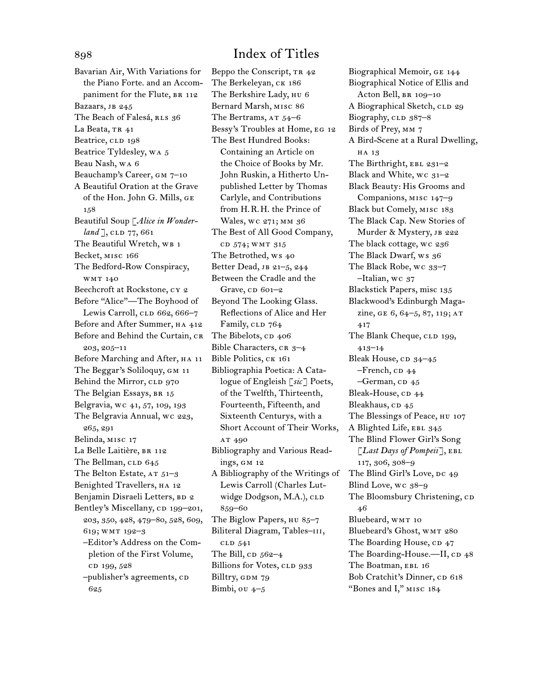Bavarian Air, With Variations for the Piano Forte. and an Accompaniment for the Flute, BR 112 Bazaars, JB 245 The Beach of Falesá, RLS 36 La Beata, TR 41 Beatrice, CLD 198 Beatrice Tyldesley, wa 5 Beau Nash, wa 6 Beauchamp's Career, gm 7–10 A Beautiful Oration at the Grave of the Hon. John G. Mills, ge 158 Beautiful Soup [*Alice in Wonderland* ], CLD 77, 661 The Beautiful Wretch, WB 1 Becket, misc 166 The Bedford-Row Conspiracy, wmt 140 Beechcroft at Rockstone, cy 2 Before "Alice"—The Boyhood of Lewis Carroll, CLD 662, 666-7 Before and After Summer, HA 412 Before and Behind the Curtain, CR 203, 205–11 Before Marching and After, HA 11 The Beggar's Soliloquy, GM 11 Behind the Mirror, CLD 970 The Belgian Essays, BR 15 Belgravia, wc 41, 57, 109, 193 The Belgravia Annual, wc 223, 265, 291 Belinda, misc 17 La Belle Laitière, BR 112 The Bellman, CLD 645 The Belton Estate,  $AT 51-3$ Benighted Travellers, HA 12 Benjamin Disraeli Letters, BD 2 Bentley's Miscellany, CD 199–201, 203, 350, 428, 479–80, 528, 609, 619; wmt 192–3 –Editor's Address on the Completion of the First Volume, cp 199, 528 –publisher's agreements, cd 625

Beppo the Conscript, TR 42 The Berkeleyan, CK 186 The Berkshire Lady, HU 6 Bernard Marsh, misc 86 The Bertrams,  $AT$  54–6 Bessy's Troubles at Home, eg 12 The Best Hundred Books: Containing an Article on the Choice of Books by Mr. John Ruskin, a Hitherto Unpublished Letter by Thomas Carlyle, and Contributions from H.R.H. the Prince of Wales, wc 271; MM 36 The Best of All Good Company, cd 574; wmt 315 The Betrothed, ws 40 Better Dead, JB 21-5, 244 Between the Cradle and the Grave,  $CD$  601–2 Beyond The Looking Glass. Reflections of Alice and Her Family, CLD 764 The Bibelots, CD 406 Bible Characters,  $CR_3=4$ Bible Politics, CK 161 Bibliographia Poetica: A Catalogue of Engleish [*sic*] Poets, of the Twelfth, Thirteenth, Fourteenth, Fifteenth, and Sixteenth Centurys, with a Short Account of Their Works, AT 490 Bibliography and Various Readings, gm 12 A Bibliography of the Writings of Lewis Carroll (Charles Lutwidge Dodgson, M.A.), CLD 859–60 The Biglow Papers, HU 85-7 Biliteral Diagram, Tables-III, cld 541 The Bill,  $CD$  562–4 Billions for Votes, CLD 933 Billtry, GDM 79 Bimbi, ou  $4-5$ 

Biographical Memoir, ge 144 Biographical Notice of Ellis and Acton Bell, br 109–10 A Biographical Sketch, CLD 29 Biography,  $CLD$  387–8 Birds of Prey, mm 7 A Bird-Scene at a Rural Dwelling, HA 13 The Birthright, EBL 231-2 Black and White, wc 31–2 Black Beauty: His Grooms and Companions, misc 147–9 Black but Comely, misc 183 The Black Cap. New Stories of Murder & Mystery, JB 222 The black cottage, wc 236 The Black Dwarf, ws 36 The Black Robe, wc 33–7 –Italian, wc 37 Blackstick Papers, misc 135 Blackwood's Edinburgh Magazine, GE 6, 64-5, 87, 119; AT 417 The Blank Cheque, CLD 199, 413–14 Bleak House, CD 34-45  $-$ French, c $p$  44  $-$ German, CD 45 Bleak-House, CD 44 Bleakhaus, CD 45 The Blessings of Peace, HU 107 A Blighted Life, EBL 345 The Blind Flower Girl's Song [*Last Days of Pompeii*], ebl 117, 306, 308–9 The Blind Girl's Love, DC 49 Blind Love, wc 38–9 The Bloomsbury Christening, CD 46 Bluebeard, WMT 10 Bluebeard's Ghost, WMT 280 The Boarding House, CD 47 The Boarding-House.-II, CD 48 The Boatman, EBL 16 Bob Cratchit's Dinner, cp 618 "Bones and I," misc 184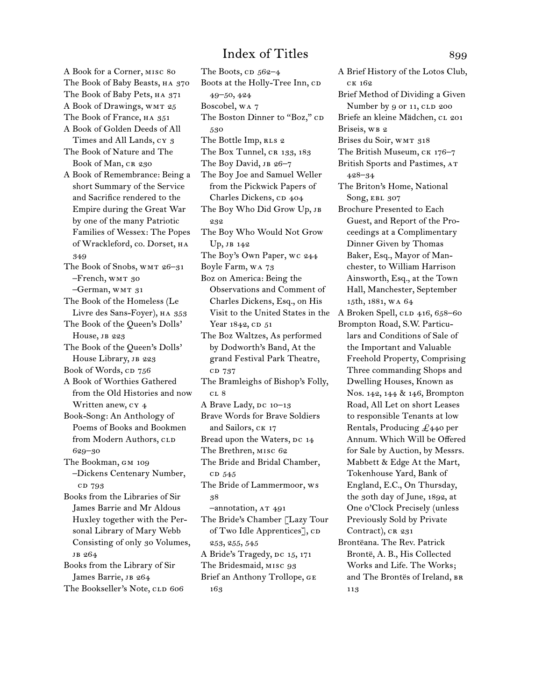A Book for a Corner, misc 80 The Book of Baby Beasts, HA 370 The Book of Baby Pets, HA 371 A Book of Drawings, WMT 25 The Book of France, HA 351 A Book of Golden Deeds of All Times and All Lands, cy 3 The Book of Nature and The Book of Man, CR 230 A Book of Remembrance: Being a short Summary of the Service and Sacrifice rendered to the Empire during the Great War by one of the many Patriotic Families of Wessex: The Popes of Wrackleford, co. Dorset, ha 349 The Book of Snobs, wmt 26–31 –French, wmt 30 –German, wmt 31 The Book of the Homeless (Le Livre des Sans-Foyer), HA 353 The Book of the Queen's Dolls' House, JB 223 The Book of the Queen's Dolls' House Library, JB 223 Book of Words, cp 756 A Book of Worthies Gathered from the Old Histories and now Written anew, cy 4 Book-Song: An Anthology of Poems of Books and Bookmen from Modern Authors, CLD 629–30 The Bookman, GM 109 –Dickens Centenary Number, cd 793 Books from the Libraries of Sir James Barrie and Mr Aldous Huxley together with the Personal Library of Mary Webb Consisting of only 30 Volumes, jb 264 Books from the Library of Sir James Barrie, JB 264 The Bookseller's Note, CLD 606

The Boots,  $CD$  562–4 Boots at the Holly-Tree Inn, CD 49–50, 424 Boscobel, wa 7 The Boston Dinner to "Boz," CD 530 The Bottle Imp, RLS 2 The Box Tunnel, CR 133, 183 The Boy David, JB 26-7 The Boy Joe and Samuel Weller from the Pickwick Papers of Charles Dickens, CD 404 The Boy Who Did Grow Up, JB 232 The Boy Who Would Not Grow Up, jb 142 The Boy's Own Paper, wc 244 Boyle Farm, wa 73 Boz on America: Being the Observations and Comment of Charles Dickens, Esq., on His Visit to the United States in the Year 1842, CD 51 The Boz Waltzes, As performed by Dodworth's Band, At the grand Festival Park Theatre, cd 737 The Bramleighs of Bishop's Folly, c<sub>L</sub> 8 A Brave Lady,  $pc$  10–13 Brave Words for Brave Soldiers and Sailors, CK 17 Bread upon the Waters, DC 14 The Brethren, misc 62 The Bride and Bridal Chamber, cp 545 The Bride of Lammermoor, ws 38 –annotation, at 491 The Bride's Chamber [Lazy Tour of Two Idle Apprentices], CD 253, 255, 545 A Bride's Tragedy, DC 15, 171 The Bridesmaid, MISC 93 Brief an Anthony Trollope, ge 163

A Brief History of the Lotos Club, ck 162 Brief Method of Dividing a Given Number by 9 or 11, CLD 200 Briefe an kleine Mädchen, cL 201 Briseis, WB 2 Brises du Soir, WMT 318 The British Museum, ck 176–7 British Sports and Pastimes,  $AT$ 428–34 The Briton's Home, National Song, EBL 307 Brochure Presented to Each Guest, and Report of the Proceedings at a Complimentary Dinner Given by Thomas Baker, Esq., Mayor of Manchester, to William Harrison Ainsworth, Esq., at the Town Hall, Manchester, September 15th, 1881, wa 64 A Broken Spell, CLD 416, 658-60 Brompton Road, S.W. Particulars and Conditions of Sale of the Important and Valuable Freehold Property, Comprising Three commanding Shops and Dwelling Houses, Known as Nos. 142, 144 & 146, Brompton Road, All Let on short Leases to responsible Tenants at low Rentals, Producing £440 per Annum. Which Will be Offered for Sale by Auction, by Messrs. Mabbett & Edge At the Mart, Tokenhouse Yard, Bank of England, E.C., On Thursday, the 30th day of June, 1892, at One o'Clock Precisely (unless Previously Sold by Private Contract), CR 231 Brontëana. The Rev. Patrick Brontë, A. B., His Collected Works and Life. The Works; and The Brontës of Ireland, br 113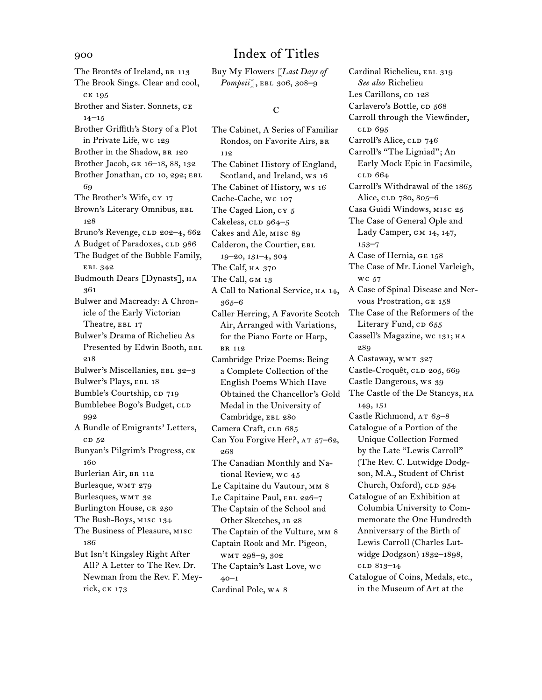The Brontës of Ireland, BR 113 The Brook Sings. Clear and cool, ck 195 Brother and Sister. Sonnets, ge  $14-15$ Brother Griffith's Story of a Plot in Private Life, wc 129 Brother in the Shadow, BR 120 Brother Jacob, ge 16–18, 88, 132 Brother Jonathan, CD 10, 292; EBL 69 The Brother's Wife, cy 17 Brown's Literary Omnibus, EBL 128 Bruno's Revenge, CLD 202-4, 662 A Budget of Paradoxes, CLD 986 The Budget of the Bubble Family, ebl 342 Budmouth Dears [Dynasts], на 361 Bulwer and Macready: A Chronicle of the Early Victorian Theatre, EBL 17 Bulwer's Drama of Richelieu As Presented by Edwin Booth, EBL 218 Bulwer's Miscellanies, EBL 32-3 Bulwer's Plays, EBL 18 Bumble's Courtship, CD 719 Bumblebee Bogo's Budget, CLD 992 A Bundle of Emigrants' Letters, c<sub>D</sub> 52 Bunyan's Pilgrim's Progress, ck 160 Burlerian Air, BR 112 Burlesque, WMT 279 Burlesques, WMT 32 Burlington House, CR 230 The Bush-Boys, misc 134 The Business of Pleasure, misc 186 But Isn't Kingsley Right After All? A Letter to The Rev. Dr. Newman from the Rev. F. Meyrick, ck 173

Buy My Flowers [*Last Days of Pompeii*<sup>7</sup>, EBL 306, 308-9

### C

The Cabinet, A Series of Familiar Rondos, on Favorite Airs, br 112 The Cabinet History of England, Scotland, and Ireland, ws 16 The Cabinet of History, ws 16 Cache-Cache, wc 107 The Caged Lion, cy 5 Cakeless,  $CLD$  964–5 Cakes and Ale, misc 89 Calderon, the Courtier, EBL 19–20, 131–4, 304 The Calf, на 370 The Call, GM 13 A Call to National Service, HA 14, 365–6 Caller Herring, A Favorite Scotch Air, Arranged with Variations, for the Piano Forte or Harp, br 112 Cambridge Prize Poems: Being a Complete Collection of the English Poems Which Have Obtained the Chancellor's Gold Medal in the University of Cambridge, EBL 280 Camera Craft, CLD 685 Can You Forgive Her?, AT 57-62, 268 The Canadian Monthly and National Review, wc 45 Le Capitaine du Vautour, MM 8 Le Capitaine Paul, EBL 226-7 The Captain of the School and Other Sketches, JB 28 The Captain of the Vulture, mm 8 Captain Rook and Mr. Pigeon, wmt 298–9, 302 The Captain's Last Love, wc 40–1 Cardinal Pole, wa 8

Cardinal Richelieu, EBL 319 *See also* Richelieu Les Carillons, cp 128 Carlavero's Bottle, CD 568 Carroll through the Viewfinder, cld 695 Carroll's Alice, CLD 746 Carroll's "The Ligniad"; An Early Mock Epic in Facsimile, cld 664 Carroll's Withdrawal of the 1865 Alice, CLD 780, 805–6 Casa Guidi Windows, misc 25 The Case of General Ople and Lady Camper, gm 14, 147, 153–7 A Case of Hernia, ge 158 The Case of Mr. Lionel Varleigh, wc 57 A Case of Spinal Disease and Nervous Prostration, ge 158 The Case of the Reformers of the Literary Fund,  $CD$   $655$ Cassell's Magazine, wc 131; HA 289 A Castaway, WMT 327 Castle-Croquêt, CLD 205, 669 Castle Dangerous, ws 39 The Castle of the De Stancys,  $HA$ 149, 151 Castle Richmond, AT 63-8 Catalogue of a Portion of the Unique Collection Formed by the Late "Lewis Carroll" (The Rev. C. Lutwidge Dodgson, M.A., Student of Christ Church, Oxford), CLD 954 Catalogue of an Exhibition at Columbia University to Commemorate the One Hundredth Anniversary of the Birth of Lewis Carroll (Charles Lutwidge Dodgson) 1832–1898, cld 813–14 Catalogue of Coins, Medals, etc.,

in the Museum of Art at the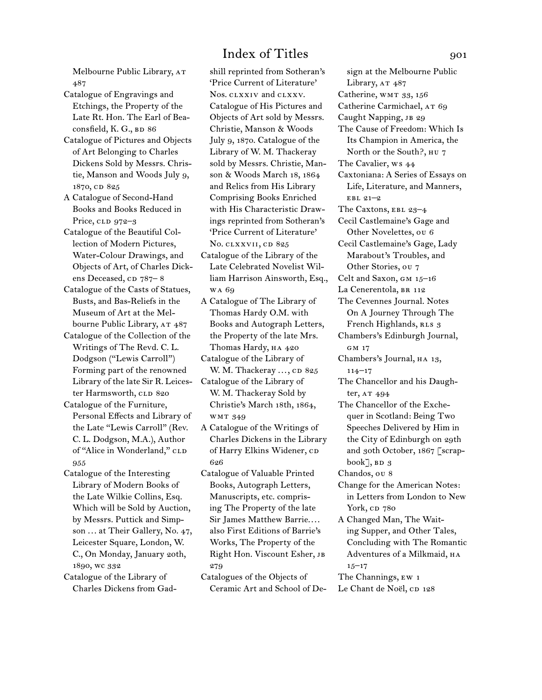Melbourne Public Library, AT 487

- Catalogue of Engravings and Etchings, the Property of the Late Rt. Hon. The Earl of Beaconsfield, K. G., BD 86
- Catalogue of Pictures and Objects of Art Belonging to Charles Dickens Sold by Messrs. Christie, Manson and Woods July 9, 1870, CD 825
- A Catalogue of Second-Hand Books and Books Reduced in Price,  $CLD$  972–3
- Catalogue of the Beautiful Collection of Modern Pictures, Water-Colour Drawings, and Objects of Art, of Charles Dickens Deceased, cp 787–8
- Catalogue of the Casts of Statues, Busts, and Bas-Reliefs in the Museum of Art at the Melbourne Public Library, AT 487
- Catalogue of the Collection of the Writings of The Revd. C. L. Dodgson ("Lewis Carroll") Forming part of the renowned Library of the late Sir R. Leicester Harmsworth, CLD 820
- Catalogue of the Furniture, Personal Effects and Library of the Late "Lewis Carroll" (Rev. C. L. Dodgson, M.A.), Author of "Alice in Wonderland," CLD 955
- Catalogue of the Interesting Library of Modern Books of the Late Wilkie Collins, Esq. Which will be Sold by Auction, by Messrs. Puttick and Simpson ... at Their Gallery, No. 47, Leicester Square, London, W. C., On Monday, January 20th, 1890, wc 332

Catalogue of the Library of Charles Dickens from Gadshill reprinted from Sotheran's 'Price Current of Literature' Nos. clxxiv and clxxv. Catalogue of His Pictures and Objects of Art sold by Messrs. Christie, Manson & Woods July 9, 1870. Catalogue of the Library of W. M. Thackeray sold by Messrs. Christie, Manson & Woods March 18, 1864 and Relics from His Library Comprising Books Enriched with His Characteristic Drawings reprinted from Sotheran's 'Price Current of Literature' No. clxxvii, cd 825

- Catalogue of the Library of the Late Celebrated Novelist William Harrison Ainsworth, Esq., wa 69
- A Catalogue of The Library of Thomas Hardy O.M. with Books and Autograph Letters, the Property of the late Mrs. Thomas Hardy, HA 420
- Catalogue of the Library of W. M. Thackeray  $...,$  cp  $825$
- Catalogue of the Library of W. M. Thackeray Sold by Christie's March 18th, 1864, wmt 349
- A Catalogue of the Writings of Charles Dickens in the Library of Harry Elkins Widener, CD 626
- Catalogue of Valuable Printed Books, Autograph Letters, Manuscripts, etc. comprising The Property of the late Sir James Matthew Barrie.... also First Editions of Barrie's Works, The Property of the Right Hon. Viscount Esher, JB 279
- Catalogues of the Objects of Ceramic Art and School of De-

sign at the Melbourne Public Library, AT 487 Catherine, WMT 33, 156 Catherine Carmichael, AT 69 Caught Napping, JB 29 The Cause of Freedom: Which Is Its Champion in America, the North or the South?, hu 7 The Cavalier, ws 44 Caxtoniana: A Series of Essays on Life, Literature, and Manners, ebl 21–2 The Caxtons, ebl 23–4 Cecil Castlemaine's Gage and Other Novelettes, ou 6 Cecil Castlemaine's Gage, Lady Marabout's Troubles, and Other Stories, ou 7 Celt and Saxon, gm 15–16 La Cenerentola, BR 112 The Cevennes Journal. Notes On A Journey Through The French Highlands, RLS 3 Chambers's Edinburgh Journal, GM 17 Chambers's Journal, ha 13, 114–17 The Chancellor and his Daughter, AT 494 The Chancellor of the Exchequer in Scotland: Being Two Speeches Delivered by Him in the City of Edinburgh on 29th and 30th October, 1867 [scrapbook $\rceil$ , BD 3 Chandos, ou 8 Change for the American Notes: in Letters from London to New York, cp 780 A Changed Man, The Waiting Supper, and Other Tales, Concluding with The Romantic Adventures of a Milkmaid, HA  $15 - 17$ The Channings, ew 1 Le Chant de Noël, CD 128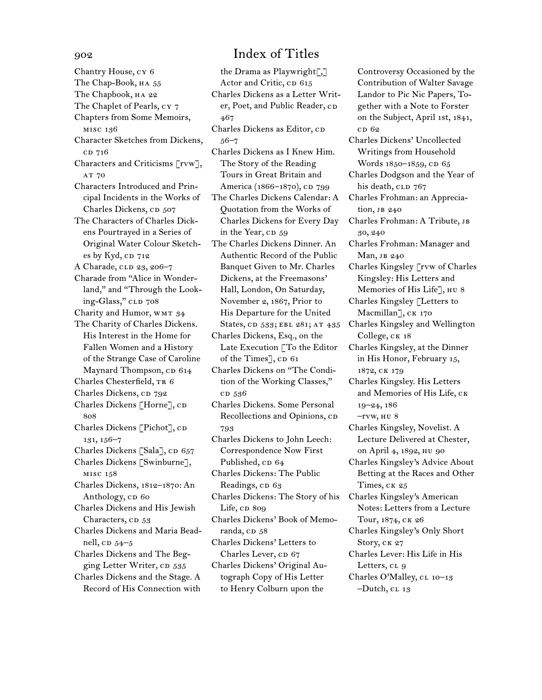Chantry House, cy 6 The Chap-Book, HA 55 The Chapbook, HA 22 The Chaplet of Pearls, cy 7 Chapters from Some Memoirs, misc 136 Character Sketches from Dickens, cd 716 Characters and Criticisms [rvw], AT 70 Characters Introduced and Principal Incidents in the Works of Charles Dickens, CD 507 The Characters of Charles Dickens Pourtrayed in a Series of Original Water Colour Sketches by Kyd, CD 712 A Charade, CLD 23, 206-7 Charade from "Alice in Wonderland," and "Through the Looking-Glass," CLD 708 Charity and Humor, WMT 34 The Charity of Charles Dickens. His Interest in the Home for Fallen Women and a History of the Strange Case of Caroline Maynard Thompson, CD 614 Charles Chesterfield, TR 6 Charles Dickens, CD 792 Charles Dickens [Horne], CD 808 Charles Dickens [Pichot], CD 131, 156–7 Charles Dickens [Sala], CD 657 Charles Dickens [Swinburne], misc 158 Charles Dickens, 1812–1870: An Anthology, cp 60 Charles Dickens and His Jewish Characters, CD 53 Charles Dickens and Maria Beadnell, co  $54-5$ Charles Dickens and The Begging Letter Writer, cp 535 Charles Dickens and the Stage. A Record of His Connection with

## 902 Index of Titles

the Drama as Playwright[,] Actor and Critic, cp 615 Charles Dickens as a Letter Writer, Poet, and Public Reader, CD 467 Charles Dickens as Editor, CD 56–7 Charles Dickens as I Knew Him. The Story of the Reading Tours in Great Britain and America (1866–1870), cp 799 The Charles Dickens Calendar: A Quotation from the Works of Charles Dickens for Every Day in the Year, CD 59 The Charles Dickens Dinner. An Authentic Record of the Public Banquet Given to Mr. Charles Dickens, at the Freemasons' Hall, London, On Saturday, November 2, 1867, Prior to His Departure for the United States, CD 533; EBL 281; AT 435 Charles Dickens, Esq., on the Late Execution [To the Editor of the Times],  $CD$  61 Charles Dickens on "The Condition of the Working Classes," c<sub>D</sub> 536 Charles Dickens. Some Personal Recollections and Opinions, cp 793 Charles Dickens to John Leech: Correspondence Now First Published, CD 64 Charles Dickens: The Public Readings, CD 63 Charles Dickens: The Story of his Life, cp 809 Charles Dickens' Book of Memoranda, cD 58 Charles Dickens' Letters to Charles Lever, CD 67 Charles Dickens' Original Autograph Copy of His Letter to Henry Colburn upon the

Controversy Occasioned by the Contribution of Walter Savage Landor to Pic Nic Papers, Together with a Note to Forster on the Subject, April 1st, 1841, c<sub>D</sub> 62

Charles Dickens' Uncollected Writings from Household Words 1850-1859, CD 65 Charles Dodgson and the Year of his death, CLD 767 Charles Frohman: an Appreciation, JB 240 Charles Frohman: A Tribute, jb 30, 240 Charles Frohman: Manager and Man, JB 240 Charles Kingsley [rvw of Charles Kingsley: His Letters and Memories of His Life], нu 8 Charles Kingsley [Letters to Macmillan], CK 170 Charles Kingsley and Wellington College, ck 18 Charles Kingsley, at the Dinner in His Honor, February 15, 1872, ck 179 Charles Kingsley. His Letters and Memories of His Life, ck 19–24, 186  $-*rvw*, *HU* 8$ Charles Kingsley, Novelist. A Lecture Delivered at Chester, on April 4, 1892, hu 90 Charles Kingsley's Advice About Betting at the Races and Other Times, CK 25 Charles Kingsley's American Notes: Letters from a Lecture Tour, 1874, ck 26

Charles Kingsley's Only Short Story, CK 27

Charles Lever: His Life in His Letters, CL 9 Charles O'Malley, CL 10-13

 $-Dutch, CL 13$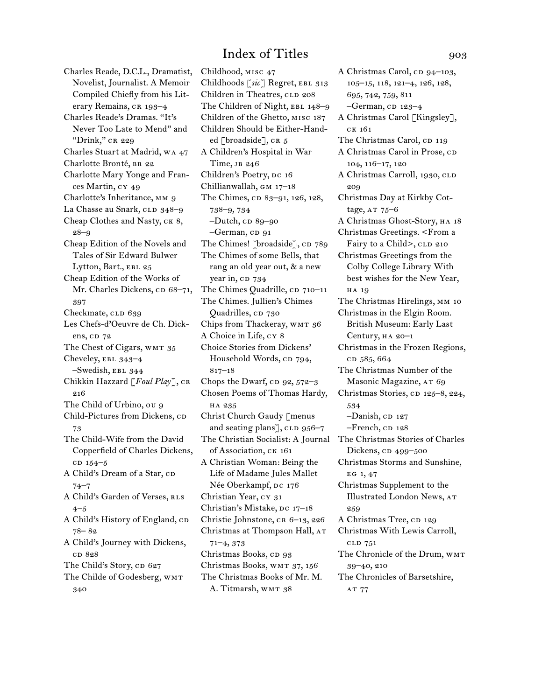Charles Reade, D.C.L., Dramatist, Novelist, Journalist. A Memoir Compiled Chiefly from his Literary Remains, CR 193-4 Charles Reade's Dramas. "It's Never Too Late to Mend" and "Drink," CR 229 Charles Stuart at Madrid, wa 47 Charlotte Bronté, BR 22 Charlotte Mary Yonge and Frances Martin, cy 49 Charlotte's Inheritance, mm 9 La Chasse au Snark, CLD 348-9 Cheap Clothes and Nasty, CK 8, 28–9 Cheap Edition of the Novels and Tales of Sir Edward Bulwer Lytton, Bart., EBL 25 Cheap Edition of the Works of Mr. Charles Dickens, cp 68-71, 397 Checkmate, CLD 639 Les Chefs-d'Oeuvre de Ch. Dickens, cp 72 The Chest of Cigars, WMT 35 Cheveley, ebl 343–4 –Swedish, ebl 344 Chikkin Hazzard [*Foul Play*], cr 216 The Child of Urbino, ou 9 Child-Pictures from Dickens, CD 73 The Child-Wife from the David Copperfield of Charles Dickens,  $CD 154-5$ A Child's Dream of a Star, CD 74–7 A Child's Garden of Verses, RLS 4–5 A Child's History of England, cp 78– 82 A Child's Journey with Dickens, c<sub>D</sub> 828 The Child's Story, CD 627 The Childe of Godesberg, WMT 340

Childhood, misc 47 Childhoods [*sic*] Regret, ebl 313 Children in Theatres, CLD 208 The Children of Night, EBL 148-9 Children of the Ghetto, misc 187 Children Should be Either-Handed [broadside],  $CR_5$ A Children's Hospital in War Time, jb 246 Children's Poetry, DC 16 Chillianwallah, gm 17–18 The Chimes, cp 83-91, 126, 128, 738–9, 734  $-Dutch$ , cp  $89-90$ -German, CD 91 The Chimes! [broadside], CD 789 The Chimes of some Bells, that rang an old year out, & a new year in, cp 734 The Chimes Quadrille, CD 710–11 The Chimes. Jullien's Chimes Quadrilles, cp 730 Chips from Thackeray, WMT 36 A Choice in Life, cy 8 Choice Stories from Dickens' Household Words, cp 794, 817–18 Chops the Dwarf,  $CD$  92,  $572-3$ Chosen Poems of Thomas Hardy, ha 235 Christ Church Gaudy [menus and seating plans], CLD 956-7 The Christian Socialist: A Journal The Christmas Stories of Charles of Association, ck 161 A Christian Woman: Being the Life of Madame Jules Mallet Née Oberkampf, DC 176 Christian Year, cy 31 Christian's Mistake, DC 17-18 Christie Johnstone, CR 6-13, 226 Christmas at Thompson Hall, AT 71–4, 373 Christmas Books, cp 93 Christmas Books, wmt 37, 156 The Christmas Books of Mr. M. A. Titmarsh, WMT 38

105–15, 118, 121–4, 126, 128, 695, 742, 759, 811  $-$ German, CD 123-4 A Christmas Carol [Kingsley], ck 161 The Christmas Carol, CD 119 A Christmas Carol in Prose, CD 104, 116–17, 120 A Christmas Carroll, 1930, CLD 209 Christmas Day at Kirkby Cottage,  $AT 75-6$ A Christmas Ghost-Story, ha 18 Christmas Greetings. <From a Fairy to a Child>, CLD 210 Christmas Greetings from the Colby College Library With best wishes for the New Year, ha 19 The Christmas Hirelings, MM 10 Christmas in the Elgin Room. British Museum: Early Last Century, ha 20–1 Christmas in the Frozen Regions, cp 585, 664 The Christmas Number of the Masonic Magazine, AT 69 Christmas Stories, cD 125-8, 224, 534  $-Danish$ , CD 127  $-$ French,  $CD$  128 Dickens, cp 499–500 Christmas Storms and Sunshine, EG 1, 47 Christmas Supplement to the Illustrated London News, at 259 A Christmas Tree, CD 129 Christmas With Lewis Carroll, cld 751 The Chronicle of the Drum, WMT 39–40, 210 The Chronicles of Barsetshire, AT 77

A Christmas Carol, cp 94-103,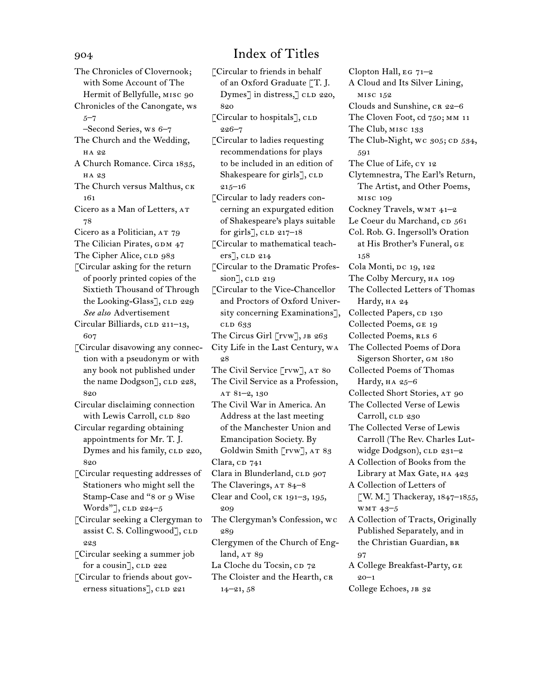The Chronicles of Clovernook; with Some Account of The Hermit of Bellyfulle, misc 90 Chronicles of the Canongate, ws 5–7 –Second Series, ws 6–7 The Church and the Wedding, ha 22 A Church Romance. Circa 1835, ha 23 The Church versus Malthus, CK 161 Cicero as a Man of Letters, at 78 Cicero as a Politician, AT 79 The Cilician Pirates, GDM 47 The Cipher Alice, CLD 983 [Circular asking for the return of poorly printed copies of the Sixtieth Thousand of Through the Looking-Glass], CLD 229 *See also* Advertisement Circular Billiards, CLD 211-13, 607 [Circular disavowing any connection with a pseudonym or with any book not published under the name Dodgson], CLD 228, 820 Circular disclaiming connection with Lewis Carroll, CLD 820 Circular regarding obtaining appointments for Mr. T. J. Dymes and his family, CLD 220, 820 [Circular requesting addresses of Stationers who might sell the Stamp-Case and "8 or 9 Wise Words"], CLD 224–5 [Circular seeking a Clergyman to assist C. S. Collingwood], CLD 223 [Circular seeking a summer job for a cousin],  $CLD$  222 [Circular to friends about governess situations], CLD 221

## 904 Index of Titles

[Circular to friends in behalf of an Oxford Graduate [T. J. Dymes] in distress, cLD 220, 820  $\ulcorner$  Circular to hospitals $\urcorner$ , CLD 226–7 [Circular to ladies requesting recommendations for plays to be included in an edition of Shakespeare for girls], CLD 215–16 [Circular to lady readers concerning an expurgated edition of Shakespeare's plays suitable for girls],  $CLD$  217–18 [Circular to mathematical teachers], CLD 214 [Circular to the Dramatic Profes $sion$ ],  $CLD$  219 [Circular to the Vice-Chancellor and Proctors of Oxford University concerning Examinations], cld 633 The Circus Girl [rvw], JB 263 City Life in the Last Century, wa 28 The Civil Service [rvw], AT 80 The Civil Service as a Profession, at 81–2, 130 The Civil War in America. An Address at the last meeting of the Manchester Union and Emancipation Society. By Goldwin Smith [rvw], AT 83 Clara,  $CD$  741 Clara in Blunderland, CLD 907 The Claverings, AT 84-8 Clear and Cool, ck 191–3, 195, 209 The Clergyman's Confession, wc 289 Clergymen of the Church of England,  $AT89$ La Cloche du Tocsin, cp 72 The Cloister and the Hearth, CR 14–21, 58

Clopton Hall, eg 71–2 A Cloud and Its Silver Lining, misc 152 Clouds and Sunshine, CR 22-6 The Cloven Foot, cd 750; mm 11 The Club, misc 133 The Club-Night, wc  $305;$  cD  $534$ , 591 The Clue of Life, cy 12 Clytemnestra, The Earl's Return, The Artist, and Other Poems, misc 109 Cockney Travels, wmt 41–2 Le Coeur du Marchand, CD 561 Col. Rob. G. Ingersoll's Oration at His Brother's Funeral, ge 158 Cola Monti, DC 19, 122 The Colby Mercury, ha 109 The Collected Letters of Thomas Hardy, HA 24 Collected Papers, CD 130 Collected Poems, ge 19 Collected Poems, RLS 6 The Collected Poems of Dora Sigerson Shorter, gm 180 Collected Poems of Thomas Hardy,  $HA 25-6$ Collected Short Stories, AT 90 The Collected Verse of Lewis Carroll, CLD 230 The Collected Verse of Lewis Carroll (The Rev. Charles Lutwidge Dodgson), CLD 231-2 A Collection of Books from the Library at Max Gate, HA 423 A Collection of Letters of [W. M.] Thackeray, 1847–1855, wmt 43–5 A Collection of Tracts, Originally Published Separately, and in the Christian Guardian, BR 97 A College Breakfast-Party, ge 20–1

College Echoes, JB 32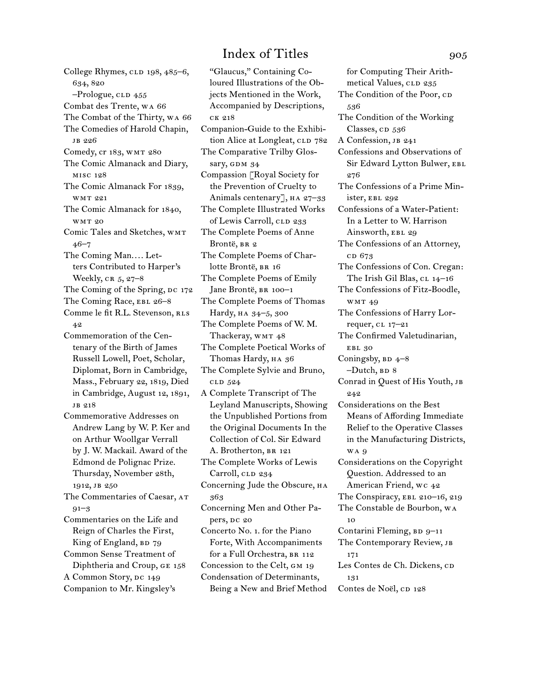College Rhymes, CLD 198, 485-6, 634, 820  $-$ Prologue, CLD  $455$ Combat des Trente, wa 66 The Combat of the Thirty, wa 66 The Comedies of Harold Chapin, jb 226 Comedy, cr 183, wmt 280 The Comic Almanack and Diary, misc 128 The Comic Almanack For 1839, wmt 221 The Comic Almanack for 1840, wmt 20 Comic Tales and Sketches, wmt 46–7 The Coming Man.... Letters Contributed to Harper's Weekly, CR 5, 27-8 The Coming of the Spring, DC 172 The Coming Race, EBL 26-8 Comme le fit R.L. Stevenson, RLS 42 Commemoration of the Centenary of the Birth of James Russell Lowell, Poet, Scholar, Diplomat, Born in Cambridge, Mass., February 22, 1819, Died in Cambridge, August 12, 1891, jb 218 Commemorative Addresses on Andrew Lang by W. P. Ker and on Arthur Woollgar Verrall by J. W. Mackail. Award of the Edmond de Polignac Prize. Thursday, November 28th, 1912, jb 250 The Commentaries of Caesar, AT  $91 - 3$ Commentaries on the Life and Reign of Charles the First, King of England, BD 79 Common Sense Treatment of Diphtheria and Croup, ge 158 A Common Story, DC 149 Companion to Mr. Kingsley's

"Glaucus," Containing Coloured Illustrations of the Objects Mentioned in the Work, Accompanied by Descriptions, ck 218 Companion-Guide to the Exhibition Alice at Longleat, CLD 782 The Comparative Trilby Glossary, GDM 34 Compassion [Royal Society for the Prevention of Cruelty to Animals centenary], HA 27-33 The Complete Illustrated Works of Lewis Carroll, CLD 233 The Complete Poems of Anne Brontë, BR 2 The Complete Poems of Charlotte Brontë, BR 16 The Complete Poems of Emily Jane Brontë, BR 100-1 The Complete Poems of Thomas Hardy, на 34-5, 300 The Complete Poems of W. M. Thackeray, WMT 48 The Complete Poetical Works of Thomas Hardy, HA 36 The Complete Sylvie and Bruno, cld 524 A Complete Transcript of The Leyland Manuscripts, Showing the Unpublished Portions from the Original Documents In the Collection of Col. Sir Edward A. Brotherton, BR 121 The Complete Works of Lewis Carroll, CLD 234 Concerning Jude the Obscure, на 363 Concerning Men and Other Papers, DC 20 Concerto No. 1. for the Piano Forte, With Accompaniments for a Full Orchestra, BR 112 Concession to the Celt, GM 19 Condensation of Determinants, Being a New and Brief Method

for Computing Their Arithmetical Values, CLD 235 The Condition of the Poor, CD 536 The Condition of the Working Classes, CD 536 A Confession, JB 241 Confessions and Observations of Sir Edward Lytton Bulwer, EBL 276 The Confessions of a Prime Minister, ebl 292 Confessions of a Water-Patient: In a Letter to W. Harrison Ainsworth, EBL 29 The Confessions of an Attorney, c<sub>D</sub> 673 The Confessions of Con. Cregan: The Irish Gil Blas, cl 14-16 The Confessions of Fitz-Boodle, wmt 49 The Confessions of Harry Lorrequer, cl 17-21 The Confirmed Valetudinarian, EBL 30 Coningsby,  $BD$   $4-8$  $-Dutch, BD 8$ Conrad in Quest of His Youth, jb 242 Considerations on the Best Means of Affording Immediate Relief to the Operative Classes in the Manufacturing Districts, w<sub>A</sub> 9 Considerations on the Copyright Question. Addressed to an American Friend, wc 42 The Conspiracy, EBL 210-16, 219 The Constable de Bourbon, wa 10 Contarini Fleming, BD 9-11 The Contemporary Review, JB 171 Les Contes de Ch. Dickens, cD 131 Contes de Noël, cp 128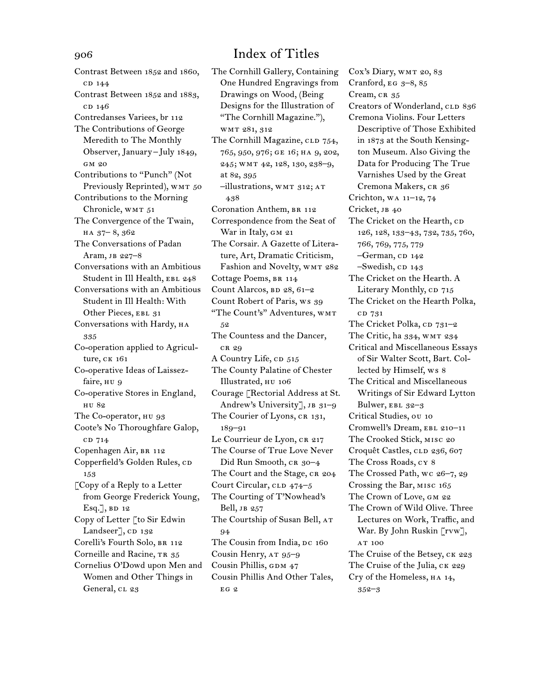Contrast Between 1852 and 1860, c<sub>D</sub> 144 Contrast Between 1852 and 1883, c<sub>D</sub> 146 Contredanses Variees, br 112 The Contributions of George Meredith to The Monthly Observer, January – July 1849, GM 20 Contributions to "Punch" (Not Previously Reprinted), WMT 50 Contributions to the Morning Chronicle, WMT 51 The Convergence of the Twain, ha 37– 8, 362 The Conversations of Padan Aram, jb 227–8 Conversations with an Ambitious Student in Ill Health, EBL 248 Conversations with an Ambitious Student in Ill Health: With Other Pieces, EBL 31 Conversations with Hardy, HA 335 Co-operation applied to Agriculture, ck 161 Co-operative Ideas of Laissezfaire, HU 9 Co-operative Stores in England, hu 82 The Co-operator, HU 93 Coote's No Thoroughfare Galop, cd 714 Copenhagen Air, BR 112 Copperfield's Golden Rules, CD 153 [Copy of a Reply to a Letter from George Frederick Young,  $Esq.$ ], BD 12 Copy of Letter [to Sir Edwin Landseer], CD 132 Corelli's Fourth Solo, br 112 Corneille and Racine, TR 35 Cornelius O'Dowd upon Men and Women and Other Things in General, CL 23

The Cornhill Gallery, Containing One Hundred Engravings from Drawings on Wood, (Being Designs for the Illustration of "The Cornhill Magazine."), wmt 281, 312 The Cornhill Magazine, CLD 754, 765, 950, 976; ge 16; ha 9, 202, 245; wmt 42, 128, 130, 238–9, at 82, 395 –illustrations, wmt 312; at 438 Coronation Anthem, BR 112 Correspondence from the Seat of War in Italy, GM 21 The Corsair. A Gazette of Literature, Art, Dramatic Criticism, Fashion and Novelty, WMT 282 Cottage Poems, BR 114 Count Alarcos,  $BD$  28,  $61-2$ Count Robert of Paris, ws 39 "The Count's" Adventures, WMT 52 The Countess and the Dancer, cr 29 A Country Life, CD 515 The County Palatine of Chester Illustrated, hu 106 Courage [Rectorial Address at St. Andrew's University], JB 31-9 The Courier of Lyons, CR 131, 189–91 Le Courrieur de Lyon, CR 217 The Course of True Love Never Did Run Smooth, CR 30-4 The Court and the Stage, CR 204 Court Circular, CLD 474–5 The Courting of T'Nowhead's Bell, jb 257 The Courtship of Susan Bell, AT 94 The Cousin from India, DC 160 Cousin Henry, AT 95-9 Cousin Phillis, GDM 47 Cousin Phillis And Other Tales, eg 2

Cox's Diary, wmt 20, 83 Cranford, EG  $3-8$ ,  $85$ Cream, CR 35 Creators of Wonderland, CLD 836 Cremona Violins. Four Letters Descriptive of Those Exhibited in 1873 at the South Kensington Museum. Also Giving the Data for Producing The True Varnishes Used by the Great Cremona Makers, CR 36 Crichton, wa 11–12, 74 Cricket, JB 40 The Cricket on the Hearth, CD 126, 128, 133–43, 732, 735, 760, 766, 769, 775, 779 -German, cp 142  $-$ Swedish, CD 143 The Cricket on the Hearth. A Literary Monthly,  $CD$  715 The Cricket on the Hearth Polka, cd 731 The Cricket Polka,  $CD 731-2$ The Critic, ha 334, wmt 234 Critical and Miscellaneous Essays of Sir Walter Scott, Bart. Collected by Himself, ws 8 The Critical and Miscellaneous Writings of Sir Edward Lytton Bulwer, EBL 32-3 Critical Studies, ou 10 Cromwell's Dream, ebl 210–11 The Crooked Stick, misc 20 Croquêt Castles, CLD 236, 607 The Cross Roads, cy 8 The Crossed Path, wc 26–7, 29 Crossing the Bar, misc 165 The Crown of Love, gm 22 The Crown of Wild Olive. Three Lectures on Work, Traffic, and War. By John Ruskin [rvw], AT 100 The Cruise of the Betsey, CK 223 The Cruise of the Julia, CK 229 Cry of the Homeless, ha 14, 352–3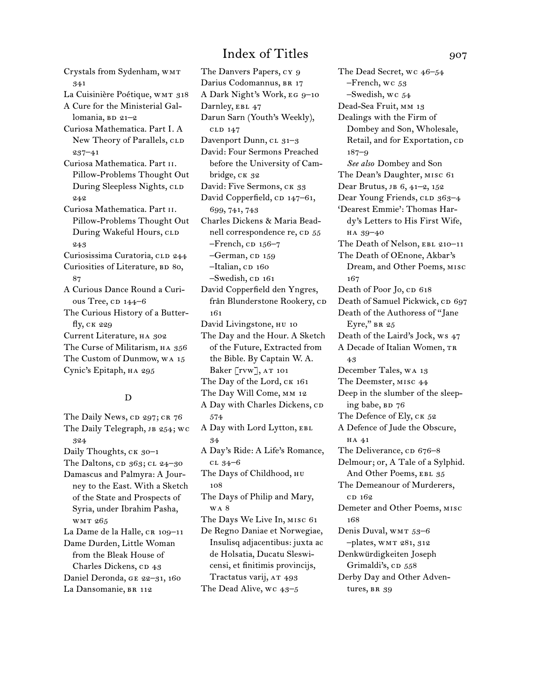Crystals from Sydenham, wmt 341 La Cuisinière Poétique, WMT 318 A Cure for the Ministerial Gallomania,  $BD$  21–2 Curiosa Mathematica. Part I. A New Theory of Parallels, CLD 237–41 Curiosa Mathematica. Part ii. Pillow-Problems Thought Out During Sleepless Nights, CLD 242 Curiosa Mathematica. Part ii. Pillow-Problems Thought Out During Wakeful Hours, CLD 243 Curiosissima Curatoria, CLD 244 Curiosities of Literature, BD 80, 87 A Curious Dance Round a Curious Tree, cp 144–6 The Curious History of a Butterfly, ck 229 Current Literature, ha 302 The Curse of Militarism, HA 356 The Custom of Dunmow, wa 15 Cynic's Epitaph, ha 295

### D

The Daily News, CD 297; CR 76 The Daily Telegraph, JB 254; WC 324 Daily Thoughts, CK 30-1 The Daltons,  $CD$  363;  $CL$  24–30 Damascus and Palmyra: A Journey to the East. With a Sketch of the State and Prospects of Syria, under Ibrahim Pasha, wmt 265 La Dame de la Halle, CR 109-11 Dame Durden, Little Woman from the Bleak House of Charles Dickens, CD 43 Daniel Deronda, ge 22–31, 160 La Dansomanie, BR 112

The Danvers Papers, cy 9 Darius Codomannus, BR 17 A Dark Night's Work, eg 9–10 Darnley, EBL 47 Darun Sarn (Youth's Weekly), cld 147 Davenport Dunn, cl 31-3 David: Four Sermons Preached before the University of Cambridge, CK 32 David: Five Sermons, CK 33 David Copperfield, cp 147-61, 699, 741, 743 Charles Dickens & Maria Beadnell correspondence re, CD 55  $-$ French, CD 156–7  $-$ German, CD 159 –Italian, cp 160  $-$ Swedish, CD  $161$ David Copperfield den Yngres, från Blunderstone Rookery, cD 161 David Livingstone, HU 10 The Day and the Hour. A Sketch of the Future, Extracted from the Bible. By Captain W. A. Baker  $\lceil \text{rw} \rceil$ , AT 101 The Day of the Lord, CK 161 The Day Will Come, mm 12 A Day with Charles Dickens, CD 574 A Day with Lord Lytton, EBL 34 A Day's Ride: A Life's Romance, cl 34–6 The Days of Childhood, нu 108 The Days of Philip and Mary, wa 8 The Days We Live In, misc 61 De Regno Daniae et Norwegiae, Insulisq adjacentibus: juxta ac de Holsatia, Ducatu Sleswicensi, et finitimis provincijs, Tractatus varij, AT 493 The Dead Alive, wc 43–5

The Dead Secret, wc 46–54 –French, wc 53 –Swedish, wc 54 Dead-Sea Fruit, mm 13 Dealings with the Firm of Dombey and Son, Wholesale, Retail, and for Exportation, cD 187–9 *See also* Dombey and Son The Dean's Daughter, misc 61 Dear Brutus, jb 6, 41–2, 152 Dear Young Friends, CLD 363-4 'Dearest Emmie': Thomas Hardy's Letters to His First Wife, ha 39–40 The Death of Nelson, EBL 210-11 The Death of OEnone, Akbar's Dream, and Other Poems, misc 167 Death of Poor Jo, cp 618 Death of Samuel Pickwick, CD 697 Death of the Authoress of "Jane Eyre," BR 25 Death of the Laird's Jock, ws 47 A Decade of Italian Women, TR 43 December Tales, wa 13 The Deemster, misc 44 Deep in the slumber of the sleeping babe, BD 76 The Defence of Ely, CK 52 A Defence of Jude the Obscure, ha 41 The Deliverance, cp 676–8 Delmour; or, A Tale of a Sylphid. And Other Poems, EBL 35 The Demeanour of Murderers, c<sub>D</sub> 162 Demeter and Other Poems, misc 168 Denis Duval, wmt 53–6 –plates, wmt 281, 312 Denkwürdigkeiten Joseph Grimaldi's, CD 558 Derby Day and Other Adventures, BR 39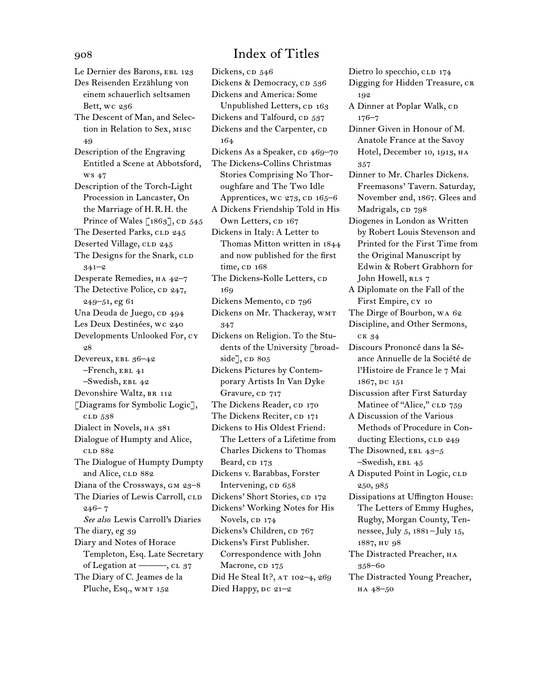Le Dernier des Barons, EBL 123 Des Reisenden Erzählung von einem schauerlich seltsamen Bett, wc 236 The Descent of Man, and Selection in Relation to Sex, misc 49 Description of the Engraving Entitled a Scene at Abbotsford, ws 47 Description of the Torch-Light Procession in Lancaster, On the Marriage of H.R.H. the Prince of Wales  $\lceil 1863 \rceil$ , CD 545 The Deserted Parks, CLD 245 Deserted Village, CLD 245 The Designs for the Snark, CLD 341–2 Desperate Remedies, HA 42-7 The Detective Police, CD 247, 249–51, eg 61 Una Deuda de Juego, cD 494 Les Deux Destinées, wc 240 Developments Unlooked For, cy 28 Devereux, ebl 36–42  $-$ French, EBL  $41$ –Swedish, ebl 42 Devonshire Waltz, BR 112 [Diagrams for Symbolic Logic], cld 538 Dialect in Novels, ha 381 Dialogue of Humpty and Alice, cld 882 The Dialogue of Humpty Dumpty and Alice, CLD 882 Diana of the Crossways, gm 23–8 The Diaries of Lewis Carroll, CLD  $246 - 7$ *See also* Lewis Carroll's Diaries The diary, eg 39 Diary and Notes of Horace Templeton, Esq. Late Secretary of Legation at  $\frac{m}{12}$ , cl 37 The Diary of C. Jeames de la Pluche, Esq., WMT 152

Dickens, cp 546 Dickens & Democracy, cp 536 Dickens and America: Some Unpublished Letters, CD 163 Dickens and Talfourd, CD 537 Dickens and the Carpenter, CD 164 Dickens As a Speaker, CD 469–70 The Dickens-Collins Christmas Stories Comprising No Thoroughfare and The Two Idle Apprentices, wc  $273$ , CD  $165-6$ A Dickens Friendship Told in His Own Letters, CD 167 Dickens in Italy: A Letter to Thomas Mitton written in 1844 and now published for the first time, cD 168 The Dickens-Kolle Letters, CD 169 Dickens Memento, cp 796 Dickens on Mr. Thackeray, wmt 347 Dickens on Religion. To the Students of the University [broadside], cp 805 Dickens Pictures by Contemporary Artists In Van Dyke Gravure, cp 717 The Dickens Reader, CD 170 The Dickens Reciter, CD 171 Dickens to His Oldest Friend: The Letters of a Lifetime from Charles Dickens to Thomas Beard, CD 173 Dickens v. Barabbas, Forster Intervening, cp 658 Dickens' Short Stories, CD 172 Dickens' Working Notes for His Novels, CD 174 Dickens's Children, CD 767 Dickens's First Publisher. Correspondence with John Macrone, CD 175 Did He Steal It?, AT 102-4, 269 Died Happy,  $pc$  21–2

Dietro lo specchio, cld 174 Digging for Hidden Treasure, CR 192 A Dinner at Poplar Walk, CD 176–7 Dinner Given in Honour of M. Anatole France at the Savoy Hotel, December 10, 1913, HA 357 Dinner to Mr. Charles Dickens. Freemasons' Tavern. Saturday, November 2nd, 1867. Glees and Madrigals, cp 798 Diogenes in London as Written by Robert Louis Stevenson and Printed for the First Time from the Original Manuscript by Edwin & Robert Grabhorn for John Howell, RLS 7 A Diplomate on the Fall of the First Empire, cy 10 The Dirge of Bourbon, wa 62 Discipline, and Other Sermons, ck 34 Discours Prononcé dans la Séance Annuelle de la Société de l'Histoire de France le 7 Mai 1867, dc 151 Discussion after First Saturday Matinee of "Alice," CLD 759 A Discussion of the Various Methods of Procedure in Conducting Elections, CLD 249 The Disowned, EBL 43-5 –Swedish, ebl 45 A Disputed Point in Logic, CLD 250, 985 Dissipations at Uffington House: The Letters of Emmy Hughes, Rugby, Morgan County, Tennessee, July 5, 1881 –July 15, 1887, hu 98 The Distracted Preacher, HA 358–60 The Distracted Young Preacher, ha 48–50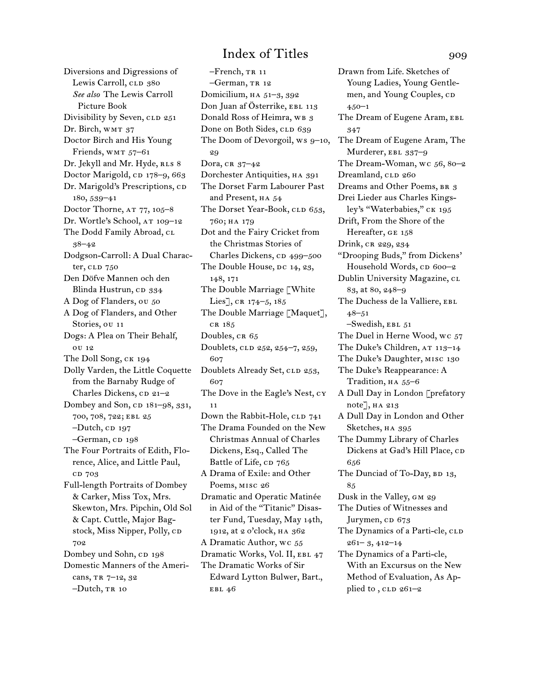Diversions and Digressions of Lewis Carroll, CLD 380 *See also* The Lewis Carroll Picture Book Divisibility by Seven, CLD 251 Dr. Birch, WMT 37 Doctor Birch and His Young Friends, WMT 57-61 Dr. Jekyll and Mr. Hyde, RLS 8 Doctor Marigold, cp 178–9, 663 Dr. Marigold's Prescriptions, cp 180, 539–41 Doctor Thorne, AT 77, 105-8 Dr. Wortle's School, AT 109-12 The Dodd Family Abroad, CL 38–42 Dodgson-Carroll: A Dual Character, cld 750 Den Döfve Mannen och den Blinda Hustrun, CD 334 A Dog of Flanders, ou 50 A Dog of Flanders, and Other Stories, ou 11 Dogs: A Plea on Their Behalf, ou 12 The Doll Song, ck 194 Dolly Varden, the Little Coquette from the Barnaby Rudge of Charles Dickens,  $CD 21-2$ Dombey and Son, CD 181-98, 331, 700, 708, 722; ebl 25  $-Dutch$ , CD 197 -German, CD 198 The Four Portraits of Edith, Florence, Alice, and Little Paul, cd 703 Full-length Portraits of Dombey & Carker, Miss Tox, Mrs. Skewton, Mrs. Pipchin, Old Sol & Capt. Cuttle, Major Bagstock, Miss Nipper, Polly, cp 702 Dombey und Sohn, cp 198 Domestic Manners of the Americans, TR 7-12, 32 –Dutch, tr 10

–French, tr 11 –German, tr 12 Domicilium, ha 51–3, 392 Don Juan af Österrike, EBL 113 Donald Ross of Heimra, WB 3 Done on Both Sides, CLD 639 The Doom of Devorgoil, ws 9–10, 29 Dora,  $CR\ 37-42$ Dorchester Antiquities, ha 391 The Dorset Farm Labourer Past and Present, HA 54 The Dorset Year-Book, CLD 653, 760; ha 179 Dot and the Fairy Cricket from the Christmas Stories of Charles Dickens, CD 499–500 The Double House, DC 14, 23, 148, 171 The Double Marriage [White Lies], CR 174-5, 185 The Double Marriage [Maquet], cr 185 Doubles, CR 65 Doublets, CLD 252, 254-7, 259, 607 Doublets Already Set, CLD 253, 607 The Dove in the Eagle's Nest, cy 11 Down the Rabbit-Hole, CLD 741 The Drama Founded on the New Christmas Annual of Charles Dickens, Esq., Called The Battle of Life, CD 765 A Drama of Exile: and Other Poems, misc 26 Dramatic and Operatic Matinée in Aid of the "Titanic" Disaster Fund, Tuesday, May 14th, 1912, at 2 o'clock, ha 362 A Dramatic Author, wc 55 Dramatic Works, Vol. II, EBL 47 The Dramatic Works of Sir Edward Lytton Bulwer, Bart., EBL 46

Drawn from Life. Sketches of Young Ladies, Young Gentlemen, and Young Couples, CD 450–1 The Dream of Eugene Aram, EBL 347 The Dream of Eugene Aram, The Murderer, EBL 337-9 The Dream-Woman, wc 56, 80–2 Dreamland, CLD 260 Dreams and Other Poems, BR 3 Drei Lieder aus Charles Kingsley's "Waterbabies," ck 195 Drift, From the Shore of the Hereafter, GE 158 Drink, CR 229, 234 "Drooping Buds," from Dickens' Household Words, cp 600-2 Dublin University Magazine, cL 83, at 80, 248–9 The Duchess de la Valliere, EBL 48–51 –Swedish, ebl 51 The Duel in Herne Wood, wc 57 The Duke's Children,  $AT 113-14$ The Duke's Daughter, misc 130 The Duke's Reappearance: A Tradition, HA 55-6 A Dull Day in London [prefatory note], ha 213 A Dull Day in London and Other Sketches, HA 395 The Dummy Library of Charles Dickens at Gad's Hill Place, CD 656 The Dunciad of To-Day,  $BD$  13, 85 Dusk in the Valley, gm 29 The Duties of Witnesses and Jurymen, cD 673 The Dynamics of a Parti-cle, CLD 261– 3, 412–14 The Dynamics of a Parti-cle, With an Excursus on the New Method of Evaluation, As Applied to,  $CLD$  261–2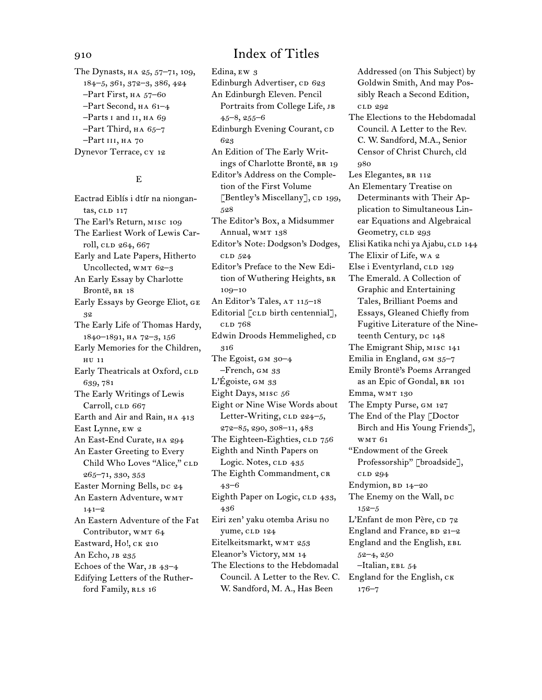The Dynasts, ha 25, 57–71, 109, 184–5, 361, 372–3, 386, 424 –Part First, ha 57–60 –Part Second, ha 61–4 –Parts i and ii, ha 69  $-$ Part Third, на 65–7 –Part iii, ha 70 Dynevor Terrace, cy 12

### E

Eactrad Eiblís i dtír na niongantas, CLD 117 The Earl's Return, misc 109 The Earliest Work of Lewis Carroll, CLD 264, 667 Early and Late Papers, Hitherto Uncollected, WMT 62-3 An Early Essay by Charlotte Brontë, BR 18 Early Essays by George Eliot, ge 32 The Early Life of Thomas Hardy, 1840–1891, ha 72–3, 156 Early Memories for the Children, hu 11 Early Theatricals at Oxford, CLD 639, 781 The Early Writings of Lewis Carroll, CLD 667 Earth and Air and Rain, HA 413 East Lynne, ew 2 An East-End Curate, ha 294 An Easter Greeting to Every Child Who Loves "Alice," CLD 265–71, 330, 353 Easter Morning Bells, DC 24 An Eastern Adventure, wmt 141–2 An Eastern Adventure of the Fat Contributor, WMT 64 Eastward, Ho!, CK 210 An Echo, JB 235 Echoes of the War, JB 43-4 Edifying Letters of the Rutherford Family, RLS 16

Edina, ew 3 Edinburgh Advertiser, CD 623 An Edinburgh Eleven. Pencil Portraits from College Life, jb 45–8, 255–6 Edinburgh Evening Courant, CD 623 An Edition of The Early Writings of Charlotte Brontë, BR 19 Editor's Address on the Completion of the First Volume [Bentley's Miscellany], CD 199, 528 The Editor's Box, a Midsummer Annual, WMT 138 Editor's Note: Dodgson's Dodges, cld 524 Editor's Preface to the New Edition of Wuthering Heights, BR 109–10 An Editor's Tales, AT 115-18 Editorial [CLD birth centennial], cld 768 Edwin Droods Hemmelighed, CD 316 The Egoist,  $GM$  30–4 –French, gm 33 L'Égoiste, GM 33 Eight Days, misc 56 Eight or Nine Wise Words about Letter-Writing, CLD 224-5, 272–85, 290, 308–11, 483 The Eighteen-Eighties, CLD 756 Eighth and Ninth Papers on Logic. Notes, CLD 435 The Eighth Commandment, CR 43–6 Eighth Paper on Logic, CLD 433, 436 Eiri zen' yaku otemba Arisu no yume, CLD 124 Eitelkeitsmarkt, WMT 253 Eleanor's Victory, mm 14 The Elections to the Hebdomadal Council. A Letter to the Rev. C. W. Sandford, M. A., Has Been

Addressed (on This Subject) by Goldwin Smith, And may Possibly Reach a Second Edition, cld 292 The Elections to the Hebdomadal Council. A Letter to the Rev. C. W. Sandford, M.A., Senior Censor of Christ Church, cld 980 Les Elegantes, BR 112 An Elementary Treatise on Determinants with Their Application to Simultaneous Linear Equations and Algebraical Geometry, CLD 293 Elisi Katika nchi ya Ajabu, cl 144 The Elixir of Life, wa 2 Else i Eventyrland, CLD 129 The Emerald. A Collection of Graphic and Entertaining Tales, Brilliant Poems and Essays, Gleaned Chiefly from Fugitive Literature of the Nineteenth Century, DC 148 The Emigrant Ship, misc 141 Emilia in England,  $GM$   $35-7$ Emily Brontë's Poems Arranged as an Epic of Gondal, br 101 Emma, WMT 130 The Empty Purse, gm 127 The End of the Play [Doctor Birch and His Young Friends], wmt 61 "Endowment of the Greek Professorship" [broadside], cld 294 Endymion,  $BD$  14–20 The Enemy on the Wall, DC 152–5 L'Enfant de mon Père, co 72 England and France,  $BD 21-2$ England and the English, EBL 52–4, 250 –Italian, ebl 54 England for the English,  $CK$ 176–7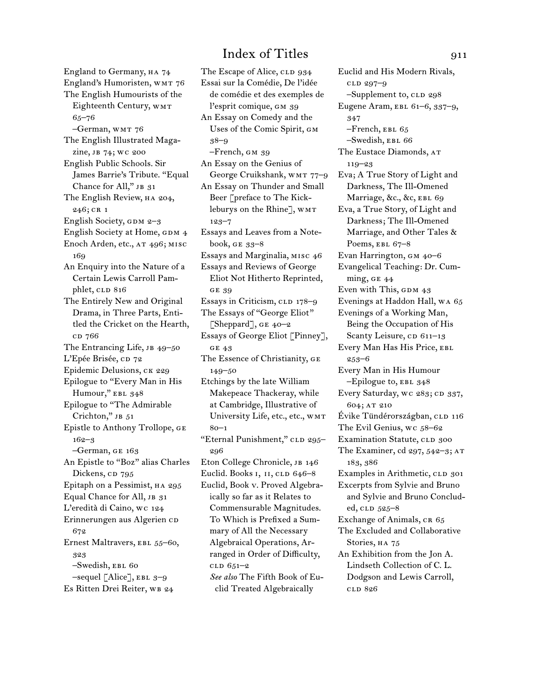England to Germany, HA 74 England's Humoristen, WMT 76 The English Humourists of the Eighteenth Century, WMT 65–76 –German, wmt 76 The English Illustrated Magazine, jb 74; wc 200 English Public Schools. Sir James Barrie's Tribute. "Equal Chance for All," JB 31 The English Review, HA 204, 246; CR 1 English Society, GDM  $2-3$ English Society at Home, GDM 4 Enoch Arden, etc., AT 496; MISC 169 An Enquiry into the Nature of a Certain Lewis Carroll Pamphlet, CLD 816 The Entirely New and Original Drama, in Three Parts, Entitled the Cricket on the Hearth, c<sub>D</sub> 766 The Entrancing Life, JB 49–50 L'Epée Brisée, cp 72 Epidemic Delusions, CK 229 Epilogue to "Every Man in His Humour," EBL 348 Epilogue to "The Admirable Crichton," JB 51 Epistle to Anthony Trollope, ge 162–3 –German, ge 163 An Epistle to "Boz" alias Charles Dickens, CD 795 Epitaph on a Pessimist, HA 295 Equal Chance for All, JB 31 L'eredità di Caino, wc 124 Erinnerungen aus Algerien cD 672 Ernest Maltravers, EBL 55-60, 323 –Swedish, ebl 60  $-$ sequel [Alice], EBL  $3-9$ Es Ritten Drei Reiter, wB 24

The Escape of Alice, CLD 934 Essai sur la Comédie, De l'idée de comédie et des exemples de l'esprit comique, gm 39 An Essay on Comedy and the Uses of the Comic Spirit, gm 38–9 –French, gm 39 An Essay on the Genius of George Cruikshank, wmt 77–9 An Essay on Thunder and Small Beer [preface to The Kickleburys on the Rhine], WMT 123–7 Essays and Leaves from a Notebook, ge 33–8 Essays and Marginalia, misc 46 Essays and Reviews of George Eliot Not Hitherto Reprinted, ge 39 Essays in Criticism, CLD 178-9 The Essays of "George Eliot" [Sheppard],  $GE\ 40-2$ Essays of George Eliot [Pinney], ge 43 The Essence of Christianity, ge 149–50 Etchings by the late William Makepeace Thackeray, while at Cambridge, Illustrative of University Life, etc., etc., wmt 80–1 "Eternal Punishment," CLD 295-296 Eton College Chronicle, JB 146 Euclid. Books I, II, CLD 646-8 Euclid, Book v. Proved Algebraically so far as it Relates to Commensurable Magnitudes. To Which is Prefixed a Summary of All the Necessary Algebraical Operations, Arranged in Order of Difficulty,  $CLD 651-2$ *See also* The Fifth Book of Euclid Treated Algebraically

Euclid and His Modern Rivals, cld 297–9  $-$ Supplement to, CLD 298 Eugene Aram, EBL 61-6, 337-9, 347  $-$ French, EBL 65 –Swedish, ebl 66 The Eustace Diamonds, AT 119–23 Eva; A True Story of Light and Darkness, The Ill-Omened Marriage, &c., &c, EBL 69 Eva, a True Story, of Light and Darkness; The Ill-Omened Marriage, and Other Tales & Poems, EBL 67-8 Evan Harrington, gm 40–6 Evangelical Teaching: Dr. Cumming, GE  $44$ Even with This, GDM  $43$ Evenings at Haddon Hall, wa 65 Evenings of a Working Man, Being the Occupation of His Scanty Leisure, CD 611-13 Every Man Has His Price, EBL 253–6 Every Man in His Humour  $-E$ pilogue to, EBL 348 Every Saturday, wc 283; CD 337, 604; at 210 Évike Tündérországban, CLD 116 The Evil Genius, wc 58–62 Examination Statute, CLD 300 The Examiner, cd 297, 542–3; at 183, 386 Examples in Arithmetic, CLD 301 Excerpts from Sylvie and Bruno and Sylvie and Bruno Concluded,  $CLD$  525–8 Exchange of Animals, CR 65 The Excluded and Collaborative Stories, HA 75 An Exhibition from the Jon A. Lindseth Collection of C. L. Dodgson and Lewis Carroll, cld 826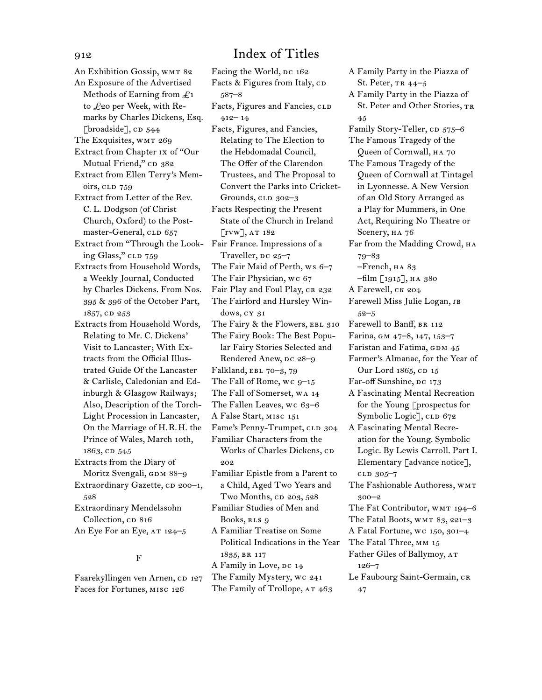An Exhibition Gossip, WMT 82 An Exposure of the Advertised Methods of Earning from  $\mathcal{L}_1$ to £20 per Week, with Remarks by Charles Dickens, Esq. [broadside],  $CD$  544 The Exquisites, WMT 269 Extract from Chapter ix of "Our Mutual Friend," CD 382 Extract from Ellen Terry's Memoirs, CLD 759 Extract from Letter of the Rev. C. L. Dodgson (of Christ Church, Oxford) to the Postmaster-General, CLD 657 Extract from "Through the Look-Fair France. Impressions of a ing Glass," CLD 759 Extracts from Household Words, a Weekly Journal, Conducted by Charles Dickens. From Nos. 395 & 396 of the October Part, 1857, CD 253 Extracts from Household Words, Relating to Mr. C. Dickens' Visit to Lancaster; With Extracts from the Official Illustrated Guide Of the Lancaster & Carlisle, Caledonian and Edinburgh & Glasgow Railways; Also, Description of the Torch-Light Procession in Lancaster, On the Marriage of H.R.H. the Prince of Wales, March 10th, 1863, cd 545 Extracts from the Diary of Moritz Svengali, GDM 88-9 Extraordinary Gazette, CD 200-1, 528 Extraordinary Mendelssohn Collection, cp 816 An Eye For an Eye,  $AT 124-5$ 

### F

Faarekyllingen ven Arnen, cp 127 Faces for Fortunes, misc 126

Facing the World, DC 162 Facts & Figures from Italy, CD 587–8 Facts, Figures and Fancies, CLD  $412 - 14$ Facts, Figures, and Fancies, Relating to The Election to the Hebdomadal Council, The Offer of the Clarendon Trustees, and The Proposal to Convert the Parks into Cricket-Grounds,  $CLD$  302–3 Facts Respecting the Present State of the Church in Ireland [rvw], at 182 Traveller, DC 25-7 The Fair Maid of Perth, ws 6–7 The Fair Physician, wc 67 Fair Play and Foul Play, CR 232 The Fairford and Hursley Windows, cy 31 The Fairy & the Flowers, EBL 310 The Fairy Book: The Best Popular Fairy Stories Selected and Rendered Anew, DC 28-9 Falkland, EBL 70-3, 79 The Fall of Rome, wc 9–15 The Fall of Somerset, wa 14 The Fallen Leaves, wc 63–6 A False Start, misc 151 Fame's Penny-Trumpet, CLD 304 Familiar Characters from the Works of Charles Dickens, CD 202 Familiar Epistle from a Parent to a Child, Aged Two Years and Two Months,  $CD$  203,  $528$ Familiar Studies of Men and Books, RLS 9 A Familiar Treatise on Some Political Indications in the Year 1835, br 117 A Family in Love, DC 14 The Family Mystery, wc 241 The Family of Trollope, AT 463

St. Peter, tr 44–5 A Family Party in the Piazza of St. Peter and Other Stories, TR 45 Family Story-Teller, CD 575-6 The Famous Tragedy of the Queen of Cornwall, ha 70 The Famous Tragedy of the Queen of Cornwall at Tintagel in Lyonnesse. A New Version of an Old Story Arranged as a Play for Mummers, in One Act, Requiring No Theatre or Scenery, ha 76 Far from the Madding Crowd, ha 79–83 –French, ha 83  $-film [1915], HA 380$ A Farewell, ck 204 Farewell Miss Julie Logan, jb 52–5 Farewell to Banff, BR 112 Farina, gm 47–8, 147, 153–7 Faristan and Fatima, GDM 45 Farmer's Almanac, for the Year of Our Lord  $1865$ , CD  $15$ Far-off Sunshine, DC 173 A Fascinating Mental Recreation for the Young [prospectus for Symbolic Logic], CLD 672 A Fascinating Mental Recreation for the Young. Symbolic Logic. By Lewis Carroll. Part I. Elementary [advance notice], cld 305–7 The Fashionable Authoress, WMT 300–2 The Fat Contributor, WMT 194–6 The Fatal Boots, WMT 83, 221-3 A Fatal Fortune, wc 150, 301–4 The Fatal Three, mm 15 Father Giles of Ballymoy, at 126–7 Le Faubourg Saint-Germain, CR 47

A Family Party in the Piazza of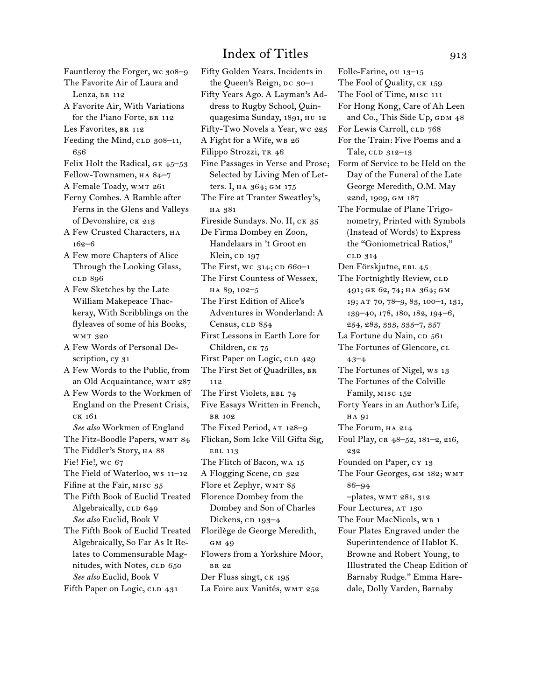- Fauntleroy the Forger, wc 308-9 The Favorite Air of Laura and
- Lenza, BR 112 A Favorite Air, With Variations
- for the Piano Forte, BR 112
- Les Favorites, BR 112
- Feeding the Mind, CLD 308-11, 656

Felix Holt the Radical, ge 45–53

- Fellow-Townsmen, ha 84–7
- A Female Toady, WMT 261
- Ferny Combes. A Ramble after Ferns in the Glens and Valleys of Devonshire, ck 213
- A Few Crusted Characters, HA 162–6
- A Few more Chapters of Alice Through the Looking Glass, cld 896
- A Few Sketches by the Late William Makepeace Thackeray, With Scribblings on the flyleaves of some of his Books, wmt 320
- A Few Words of Personal Description, cy 31
- A Few Words to the Public, from an Old Acquaintance, WMT 287
- A Few Words to the Workmen of England on the Present Crisis, ck 161 *See also* Workmen of England The Fitz-Boodle Papers, WMT 84

The Fiddler's Story, на 88 Fie! Fie!, wc 67 The Field of Waterloo, ws 11–12 Fifine at the Fair, misc 35

The Fifth Book of Euclid Treated Algebraically, CLD 649 *See also* Euclid, Book V

The Fifth Book of Euclid Treated Algebraically, So Far As It Relates to Commensurable Magnitudes, with Notes, CLD 650 *See also* Euclid, Book V Fifth Paper on Logic, CLD 431

Fifty Golden Years. Incidents in the Queen's Reign, DC 30-1 Fifty Years Ago. A Layman's Address to Rugby School, Quinquagesima Sunday, 1891, hu 12 Fifty-Two Novels a Year, wc 225 A Fight for a Wife, WB 26 Filippo Strozzi, TR 46 Fine Passages in Verse and Prose; Selected by Living Men of Letters. I, ha 364; gm 175 The Fire at Tranter Sweatley's, ha 381 Fireside Sundays. No. II, ck 35 De Firma Dombey en Zoon, Handelaars in 't Groot en Klein, cp 197 The First, wc  $314$ ; CD 660-1 The First Countess of Wessex, ha 89, 102–5 The First Edition of Alice's Adventures in Wonderland: A Census, CLD 854 First Lessons in Earth Lore for Children, ск 75 First Paper on Logic, CLD 429 The First Set of Quadrilles, br 112 The First Violets, EBL 74 Five Essays Written in French, br 102 The Fixed Period, AT 128-9 Flickan, Som Icke Vill Gifta Sig, EBL 113 The Flitch of Bacon, wa 15 A Flogging Scene, CD 322 Flore et Zephyr, WMT 85 Florence Dombey from the Dombey and Son of Charles Dickens, cp 193-4 Florilège de George Meredith, gm 49 Flowers from a Yorkshire Moor, br 22 Der Fluss singt, CK 195 La Foire aux Vanités, WMT 252

Folle-Farine, ou 13–15 The Fool of Quality, CK 159 The Fool of Time, misc 111 For Hong Kong, Care of Ah Leen and Co., This Side Up, GDM 48 For Lewis Carroll, CLD 768 For the Train: Five Poems and a Tale, CLD 312-13 Form of Service to be Held on the Day of the Funeral of the Late George Meredith, O.M. May 22nd, 1909, gm 187 The Formulae of Plane Trigonometry, Printed with Symbols (Instead of Words) to Express the "Goniometrical Ratios," cld 314 Den Förskjutne, EBL 45 The Fortnightly Review, CLD 491; ge 62, 74; ha 364; gm 19; at 70, 78–9, 83, 100–1, 131, 139–40, 178, 180, 182, 194–6, 254, 283, 333, 335–7, 357 La Fortune du Nain, CD 561 The Fortunes of Glencore, CL 43–4 The Fortunes of Nigel, ws 13 The Fortunes of the Colville Family, misc 152 Forty Years in an Author's Life, ha 91 The Forum, HA 214 Foul Play, cr 48–52, 181–2, 216, 232 Founded on Paper, cy 13 The Four Georges, GM 182; WMT 86–94 –plates, wmt 281, 312 Four Lectures, AT 130 The Four MacNicols, WB 1 Four Plates Engraved under the Superintendence of Hablot K. Browne and Robert Young, to Illustrated the Cheap Edition of Barnaby Rudge." Emma Haredale, Dolly Varden, Barnaby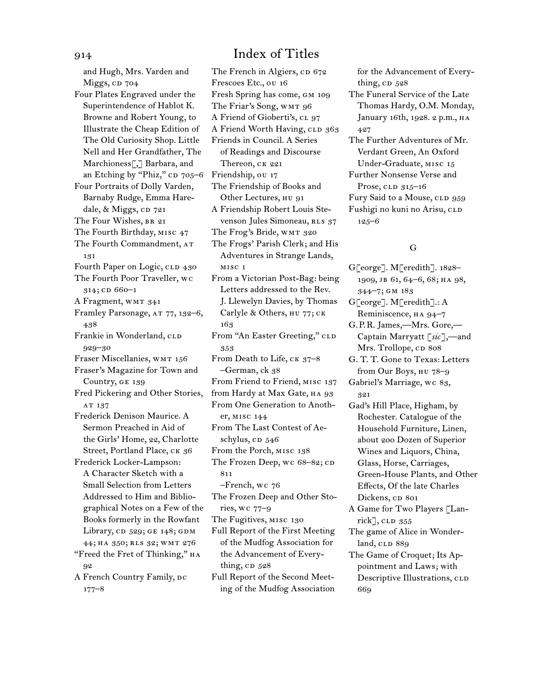and Hugh, Mrs. Varden and Miggs, cp 704 Four Plates Engraved under the Superintendence of Hablot K. Browne and Robert Young, to Illustrate the Cheap Edition of The Old Curiosity Shop. Little Nell and Her Grandfather, The Marchioness[,] Barbara, and an Etching by "Phiz,"  $CD$  705–6 Four Portraits of Dolly Varden, Barnaby Rudge, Emma Haredale, & Miggs, CD 721 The Four Wishes, BR 21 The Fourth Birthday, misc 47 The Fourth Commandment, AT 131 Fourth Paper on Logic, CLD 430 The Fourth Poor Traveller, wc 314; CD 660-1 A Fragment, WMT 341 Framley Parsonage, AT 77, 132-6, 438 Frankie in Wonderland, CLD 929–30 Fraser Miscellanies, WMT 156 Fraser's Magazine for Town and Country, ge 139 Fred Pickering and Other Stories, AT 137 Frederick Denison Maurice. A Sermon Preached in Aid of the Girls' Home, 22, Charlotte Street, Portland Place, CK 36 Frederick Locker-Lampson: A Character Sketch with a Small Selection from Letters Addressed to Him and Bibliographical Notes on a Few of the Books formerly in the Rowfant Library,  $CD$  529; GE 148; GDM 44; ha 350; rls 32; wmt 276 "Freed the Fret of Thinking," HA 92 A French Country Family, DC 177–8

The French in Algiers, CD 672 Frescoes Etc., ou 16 Fresh Spring has come, gm 109 The Friar's Song, WMT 96 A Friend of Gioberti's, CL 97 A Friend Worth Having, CLD 363 Friends in Council. A Series of Readings and Discourse Thereon, CK 221 Friendship, ou 17 The Friendship of Books and Other Lectures, HU 91 A Friendship Robert Louis Stevenson Jules Simoneau, RLS 37 The Frog's Bride, WMT 320 The Frogs' Parish Clerk; and His Adventures in Strange Lands, misc 1 From a Victorian Post-Bag: being Letters addressed to the Rev. J. Llewelyn Davies, by Thomas Carlyle & Others, нu 77; ск 163 From "An Easter Greeting," CLD 353 From Death to Life, CK 37-8 –German, ck 38 From Friend to Friend, misc 137 from Hardy at Max Gate, HA 93 From One Generation to Another, misc 144 From The Last Contest of Aeschylus,  $CD$   $546$ From the Porch, misc 138 The Frozen Deep, wc 68-82; cD 811 –French, wc 76 The Frozen Deep and Other Stories, wc 77–9 The Fugitives, misc 130 Full Report of the First Meeting of the Mudfog Association for the Advancement of Everything,  $CD$   $528$ Full Report of the Second Meeting of the Mudfog Association

for the Advancement of Everything,  $CD$   $528$ 

- The Funeral Service of the Late Thomas Hardy, O.M. Monday, January 16th, 1928. 2 p.m., HA 427
- The Further Adventures of Mr. Verdant Green, An Oxford Under-Graduate, misc 15

Further Nonsense Verse and Prose,  $CLD$   $315-16$ Fury Said to a Mouse, CLD 959

Fushigi no kuni no Arisu, CLD 125–6

### G

G[eorge]. M[eredith]. 1828– 1909, jb 61, 64–6, 68; ha 98, 344–7; gm 183 G[eorge]. M[eredith].: A

Reminiscence, ha 94–7

G.P.R. James,—Mrs. Gore,— Captain Marryatt [*sic*],—and Mrs. Trollope, cp 808

G. T. T. Gone to Texas: Letters from Our Boys, hu 78–9 Gabriel's Marriage, wc 83,

321

- Gad's Hill Place, Higham, by Rochester. Catalogue of the Household Furniture, Linen, about 200 Dozen of Superior Wines and Liquors, China, Glass, Horse, Carriages, Green-House Plants, and Other Effects, Of the late Charles Dickens, CD 801
- A Game for Two Players [Lan $rick$ ], CLD  $355$
- The game of Alice in Wonderland, CLD 889

The Game of Croquet; Its Appointment and Laws; with Descriptive Illustrations, CLD 669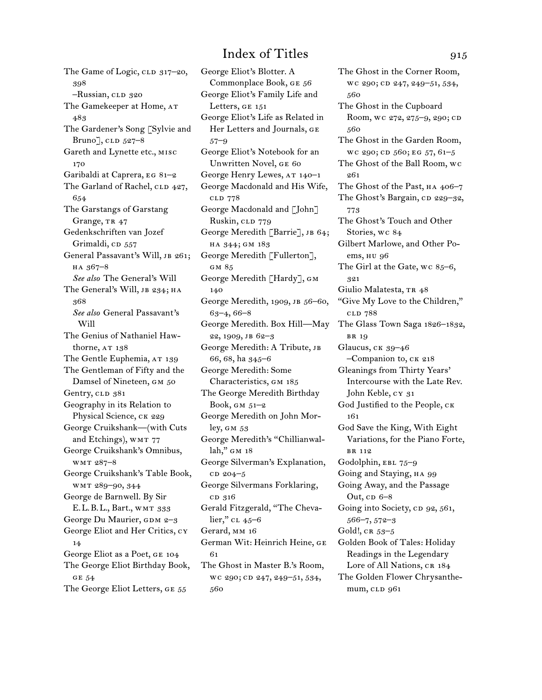The Game of Logic, CLD 317-20, 398 –Russian, clp 320 The Gamekeeper at Home, AT 483 The Gardener's Song [Sylvie and Bruno],  $CLD$   $527-8$ Gareth and Lynette etc., misc 170 Garibaldi at Caprera, eg 81–2 The Garland of Rachel, CLD 427, 654 The Garstangs of Garstang Grange, TR 47 Gedenkschriften van Jozef Grimaldi, CD 557 General Passavant's Will, JB 261; ha 367–8 *See also* The General's Will The General's Will, JB 234; HA 368 *See also* General Passavant's Will The Genius of Nathaniel Hawthorne, AT 138 The Gentle Euphemia, AT 139 The Gentleman of Fifty and the Damsel of Nineteen, GM 50 Gentry, CLD 381 Geography in its Relation to Physical Science, CK 229 George Cruikshank—(with Cuts and Etchings), WMT 77 George Cruikshank's Omnibus, wmt 287–8 George Cruikshank's Table Book, wmt 289–90, 344 George de Barnwell. By Sir E.L.B.L., Bart., wmt 333 George Du Maurier, GDM 2-3 George Eliot and Her Critics, cy 14 George Eliot as a Poet, GE 104 The George Eliot Birthday Book, ge 54 The George Eliot Letters, GE 55

George Eliot's Blotter. A Commonplace Book, ge 56 George Eliot's Family Life and Letters, ge 151 George Eliot's Life as Related in Her Letters and Journals, ge 57–9 George Eliot's Notebook for an Unwritten Novel, ge 60 George Henry Lewes, at 140–1 George Macdonald and His Wife, cld 778 George Macdonald and [John] Ruskin, CLD 779 George Meredith [Barrie], JB 64; ha 344; gm 183 George Meredith [Fullerton], gm 85 George Meredith [Hardy], gm 140 George Meredith, 1909, JB 56-60, 63–4, 66–8 George Meredith. Box Hill—May 22, 1909, jb 62–3 George Meredith: A Tribute, jb 66, 68, ha 345–6 George Meredith: Some Characteristics, gm 185 The George Meredith Birthday Book,  $GM \, 51-2$ George Meredith on John Morley, gm 53 George Meredith's "Chillianwallah," GM 18 George Silverman's Explanation,  $CD 204-5$ George Silvermans Forklaring, c<sub>D</sub> 316 Gerald Fitzgerald, "The Chevalier," cl 45–6 Gerard, mm 16 German Wit: Heinrich Heine, ge 61 The Ghost in Master B.'s Room, wc 290; cD 247, 249-51, 534, 560

The Ghost in the Corner Room, wc 290; cp 247, 249-51, 534, 560 The Ghost in the Cupboard Room, wc 272, 275-9, 290; cD 560 The Ghost in the Garden Room,  $wc$  290;  $CD$  560;  $EG$  57,  $61-5$ The Ghost of the Ball Room, wc 261 The Ghost of the Past,  $HA$  406–7 The Ghost's Bargain, CD 229-32, 773 The Ghost's Touch and Other Stories, wc 84 Gilbert Marlowe, and Other Poems, hu 96 The Girl at the Gate, wc 85–6, 321 Giulio Malatesta, TR 48 "Give My Love to the Children," cld 788 The Glass Town Saga 1826–1832, br 19 Glaucus, ck 39–46 –Companion to, ck 218 Gleanings from Thirty Years' Intercourse with the Late Rev. John Keble, cy 31 God Justified to the People, ck 161 God Save the King, With Eight Variations, for the Piano Forte, br 112 Godolphin, EBL 75-9 Going and Staying, HA 99 Going Away, and the Passage Out,  $CD$  6–8 Going into Society, cp 92, 561, 566–7, 572–3 Gold!,  $CR$  53–5 Golden Book of Tales: Holiday Readings in the Legendary Lore of All Nations, CR 184 The Golden Flower Chrysanthemum, CLD 961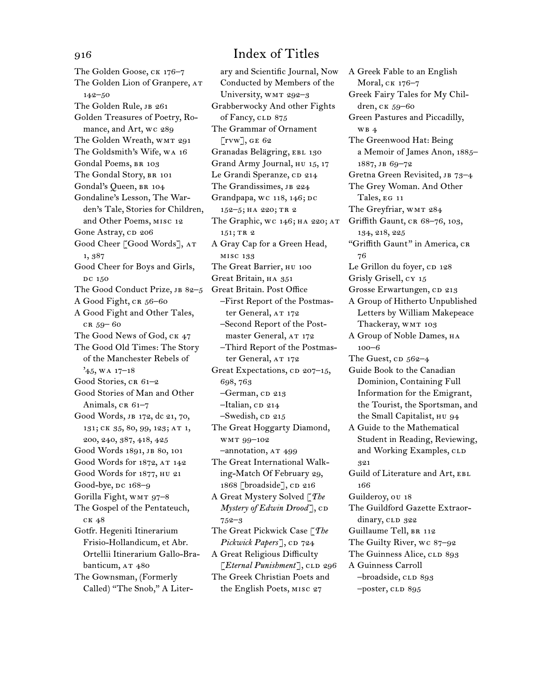The Golden Goose, ck 176–7 The Golden Lion of Granpere, AT 142–50 The Golden Rule, JB 261 Golden Treasures of Poetry, Romance, and Art, wc 289 The Golden Wreath, WMT 291 The Goldsmith's Wife, wa 16 Gondal Poems, BR 103 The Gondal Story, BR 101 Gondal's Queen, br 104 Gondaline's Lesson, The Warden's Tale, Stories for Children, and Other Poems, misc 12 Gone Astray, CD 206 Good Cheer [Good Words], at 1, 387 Good Cheer for Boys and Girls, DC 150 The Good Conduct Prize, JB 82-5 A Good Fight, CR 56-60 A Good Fight and Other Tales, cr 59– 60 The Good News of God, ck 47 The Good Old Times: The Story of the Manchester Rebels of  $'45$ , WA 17-18 Good Stories, CR 61-2 Good Stories of Man and Other Animals,  $CR_61-7$ Good Words, jb 172, dc 21, 70, 131; ck 35, 80, 99, 123; at 1, 200, 240, 387, 418, 425 Good Words 1891, JB 80, 101 Good Words for 1872, AT 142 Good Words for 1877, hu 21 Good-bye, DC 168-9 Gorilla Fight, wmt 97–8 The Gospel of the Pentateuch, ck 48 Gotfr. Hegeniti Itinerarium Frisio-Hollandicum, et Abr. Ortellii Itinerarium Gallo-Brabanticum, AT 480 The Gownsman, (Formerly Called) "The Snob," A Liter-

ary and Scientific Journal, Now Conducted by Members of the University, WMT 292-3 Grabberwocky And other Fights of Fancy, CLD 875 The Grammar of Ornament  $\lceil$ rvw], ge 62 Granadas Belägring, EBL 130 Grand Army Journal, HU 15, 17 Le Grandi Speranze, CD 214 The Grandissimes, JB 224 Grandpapa, wc 118, 146; DC 152–5; ha 220; tr 2 The Graphic, WC 146; HA 220; AT 151; TR 2 A Gray Cap for a Green Head, misc 133 The Great Barrier, HU 100 Great Britain, HA 351 Great Britain. Post Office –First Report of the Postmaster General, AT 172 –Second Report of the Postmaster General, AT 172 –Third Report of the Postmaster General, AT 172 Great Expectations,  $CD$  207–15, 698, 763 -German, cp 213 –Italian, cd 214  $-$ Swedish, CD 215 The Great Hoggarty Diamond, wmt 99–102 –annotation, at 499 The Great International Walking-Match Of February 29, 1868 [broadside], CD 216 A Great Mystery Solved [*The Mystery of Edwin Drood*], CD 752–3 The Great Pickwick Case [*The Pickwick Papers*], CD 724 A Great Religious Difficulty [*Eternal Punishment*], CLD 296 The Greek Christian Poets and the English Poets, misc 27

A Greek Fable to an English Moral, ck 176–7 Greek Fairy Tales for My Children, ck 59–60 Green Pastures and Piccadilly, wb 4 The Greenwood Hat: Being a Memoir of James Anon, 1885– 1887, jb 69–72 Gretna Green Revisited, JB 73-4 The Grey Woman. And Other Tales, eg 11 The Greyfriar, WMT 284 Griffith Gaunt, cr 68–76, 103, 134, 218, 225 "Griffith Gaunt" in America, CR 76 Le Grillon du foyer, CD 128 Grisly Grisell, cy 15 Grosse Erwartungen, cp 213 A Group of Hitherto Unpublished Letters by William Makepeace Thackeray, WMT 103 A Group of Noble Dames, HA 100–6 The Guest,  $CD$  562–4 Guide Book to the Canadian Dominion, Containing Full Information for the Emigrant, the Tourist, the Sportsman, and the Small Capitalist, hu 94 A Guide to the Mathematical Student in Reading, Reviewing, and Working Examples, CLD 321 Guild of Literature and Art, EBL 166 Guilderoy, ou 18 The Guildford Gazette Extraordinary, CLD 322 Guillaume Tell, BR 112 The Guilty River, wc 87–92 The Guinness Alice, CLD 893 A Guinness Carroll –broadside, cld 893 –poster, cld 895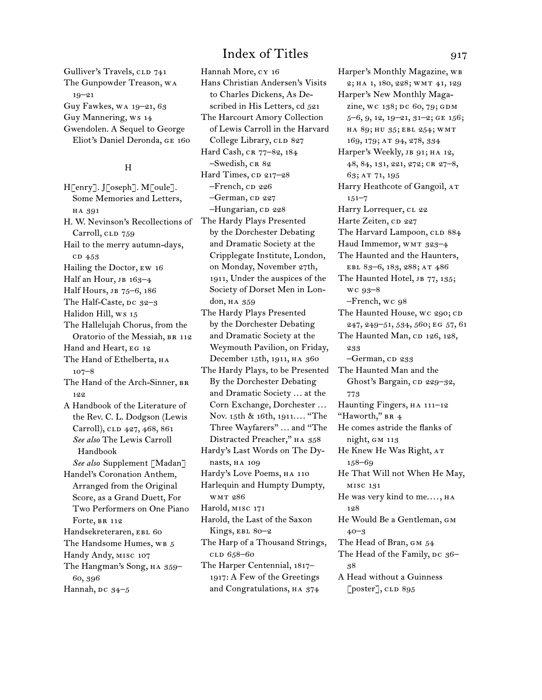Gulliver's Travels, CLD 741 The Gunpowder Treason, wa 19–21 Guy Fawkes, wa 19–21, 63 Guy Mannering, ws 14 Gwendolen. A Sequel to George Eliot's Daniel Deronda, ge 160

### H

H[enry]. J[oseph]. M[oule]. Some Memories and Letters, ha 391 H. W. Nevinson's Recollections of The Hardy Plays Presented Carroll, CLD 759 Hail to the merry autumn-days, c<sub>D</sub> 453 Hailing the Doctor, ew 16 Half an Hour, JB 163-4 Half Hours, JB 75-6, 186 The Half-Caste, DC 32-3 Halidon Hill, ws 15 The Hallelujah Chorus, from the Oratorio of the Messiah, BR 112 Hand and Heart, eg 12 The Hand of Ethelberta, на 107–8 The Hand of the Arch-Sinner, BR 122 A Handbook of the Literature of the Rev. C. L. Dodgson (Lewis Carroll), CLD 427, 468, 861 *See also* The Lewis Carroll Handbook *See also* Supplement [Madan] Handel's Coronation Anthem, Arranged from the Original Score, as a Grand Duett, For Two Performers on One Piano Forte, BR 112 Handsekreteraren, EBL 60 The Handsome Humes, WB 5 Handy Andy, misc 107 The Hangman's Song, HA 359-60, 396 Hannah,  $pc$  34–5

Hannah More, cy 16 Hans Christian Andersen's Visits to Charles Dickens, As Described in His Letters, cd 521 The Harcourt Amory Collection of Lewis Carroll in the Harvard College Library, CLD 827 Hard Cash, CR 77-82, 184 –Swedish, cr 82 Hard Times, cp 217-28  $-$ French, cp  $226$ -German, CD 227 -Hungarian, CD 228 by the Dorchester Debating and Dramatic Society at the Cripplegate Institute, London, on Monday, November 27th, 1911, Under the auspices of the Society of Dorset Men in London, HA 359 The Hardy Plays Presented by the Dorchester Debating and Dramatic Society at the Weymouth Pavilion, on Friday, December 15th, 1911, ha 360 The Hardy Plays, to be Presented By the Dorchester Debating and Dramatic Society . . . at the Corn Exchange, Dorchester ... Nov. 15th & 16th, 1911.... "The Three Wayfarers" ... and "The Distracted Preacher," ha 358 Hardy's Last Words on The Dynasts, ha 109 Hardy's Love Poems, HA 110 Harlequin and Humpty Dumpty, wmt 286 Harold, misc 171 Harold, the Last of the Saxon Kings, EBL 80-2 The Harp of a Thousand Strings, cld 658–60 The Harper Centennial, 1817– 1917: A Few of the Greetings and Congratulations, HA 374

Harper's Monthly Magazine, wb 2; ha 1, 180, 228; wmt 41, 129 Harper's New Monthly Magazine, wc 138; DC 60, 79; GDM 5–6, 9, 12, 19–21, 31–2; ge 156; ha 89; hu 35; ebl 254; wmt 169, 179; at 94, 278, 334 Harper's Weekly, JB 91; HA 12, 48, 84, 131, 221, 272; cr 27–8, 63; at 71, 195 Harry Heathcote of Gangoil, AT 151–7 Harry Lorrequer, cl 22 Harte Zeiten, CD 227 The Harvard Lampoon, CLD 884 Haud Immemor, WMT 323-4 The Haunted and the Haunters, ebl 83–6, 183, 288; at 486 The Haunted Hotel, JB 77, 135; wc 93–8 –French, wc 98 The Haunted House, wc 290; CD 247, 249–51, 534, 560; eg 57, 61 The Haunted Man, CD 126, 128, 233 -German, cp 233 The Haunted Man and the Ghost's Bargain, cp 229–32, 773 Haunting Fingers, HA 111-12 "Haworth," BR 4 He comes astride the flanks of night, gm 113 He Knew He Was Right, AT 158–69 He That Will not When He May, misc 131 He was very kind to me...., HA 128 He Would Be a Gentleman, gm 40–3 The Head of Bran, GM 54 The Head of the Family, DC 36-38 A Head without a Guinness  $[poster],$  CLD 895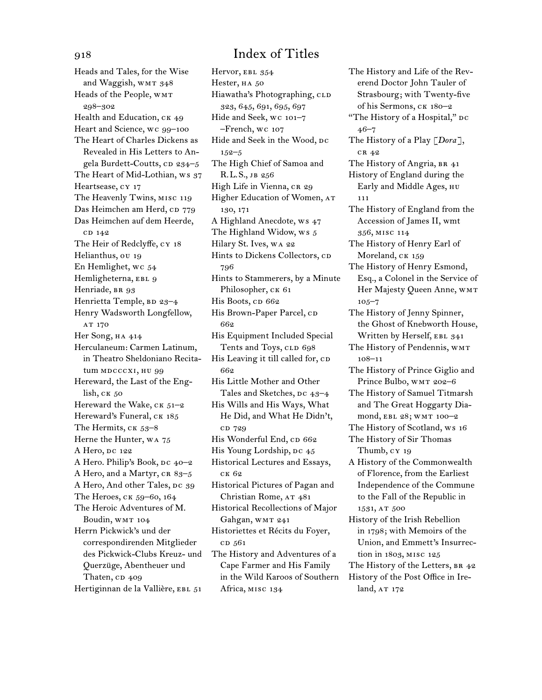Heads and Tales, for the Wise and Waggish, WMT 348 Heads of the People, WMT 298–302 Health and Education, CK 49 Heart and Science, wc 99–100 The Heart of Charles Dickens as Revealed in His Letters to Angela Burdett-Coutts,  $CD$  234–5 The Heart of Mid-Lothian, ws 37 Heartsease, cy 17 The Heavenly Twins, misc 119 Das Heimchen am Herd, cp 779 Das Heimchen auf dem Heerde, c<sub>D</sub> 142 The Heir of Redclyffe, cy 18 Helianthus, ou 19 En Hemlighet, wc 54 Hemligheterna, EBL 9 Henriade, BR 93 Henrietta Temple, BD 23-4 Henry Wadsworth Longfellow, AT 170 Her Song, HA 414 Herculaneum: Carmen Latinum, in Theatro Sheldoniano Recitatum MDCCCXI, HU 99 Hereward, the Last of the English, ck 50 Hereward the Wake,  $CK$   $51-2$ Hereward's Funeral, CK 185 The Hermits, CK 53-8 Herne the Hunter, wa 75 A Hero, DC 122 A Hero. Philip's Book, DC 40-2 A Hero, and a Martyr, CR 83-5 A Hero, And other Tales, DC 39 The Heroes, ck 59–60, 164 The Heroic Adventures of M. Boudin, WMT 104 Herrn Pickwick's und der correspondirenden Mitglieder des Pickwick-Clubs Kreuz- und Querzüge, Abentheuer und Thaten, CD 409 Hertiginnan de la Vallière, EBL 51

Hervor, EBL 354 Hester, HA 50 Hiawatha's Photographing, CLD 323, 645, 691, 695, 697 Hide and Seek, wc 101–7 –French, wc 107 Hide and Seek in the Wood, DC 152–5 The High Chief of Samoa and R.L.S., jb 256 High Life in Vienna, CR 29 Higher Education of Women, AT 130, 171 A Highland Anecdote, ws 47 The Highland Widow, ws 5 Hilary St. Ives, wa 22 Hints to Dickens Collectors, cp 796 Hints to Stammerers, by a Minute Philosopher, CK 61 His Boots, cp 662 His Brown-Paper Parcel, CD 662 His Equipment Included Special Tents and Toys, CLD 698 His Leaving it till called for, CD 662 His Little Mother and Other Tales and Sketches, DC 43-4 His Wills and His Ways, What He Did, and What He Didn't, cd 729 His Wonderful End, CD 662 His Young Lordship, DC 45 Historical Lectures and Essays, ck 62 Historical Pictures of Pagan and Christian Rome, AT 481 Historical Recollections of Major Gahgan, WMT 241 Historiettes et Récits du Foyer, c<sub>D</sub> 561 The History and Adventures of a Cape Farmer and His Family in the Wild Karoos of Southern Africa, misc 134

The History and Life of the Reverend Doctor John Tauler of Strasbourg; with Twenty-five of his Sermons, ck 180–2 "The History of a Hospital," DC 46–7 The History of a Play [*Dora*], cr 42 The History of Angria, BR 41 History of England during the Early and Middle Ages, hu 111 The History of England from the Accession of James II, wmt 356, misc 114 The History of Henry Earl of Moreland, CK 159 The History of Henry Esmond, Esq., a Colonel in the Service of Her Majesty Queen Anne, WMT 105–7 The History of Jenny Spinner, the Ghost of Knebworth House, Written by Herself, EBL 341 The History of Pendennis, WMT 108–11 The History of Prince Giglio and Prince Bulbo, WMT 202-6 The History of Samuel Titmarsh and The Great Hoggarty Diamond, EBL 28; WMT 100-2 The History of Scotland, ws 16 The History of Sir Thomas Thumb, cy 19 A History of the Commonwealth of Florence, from the Earliest Independence of the Commune to the Fall of the Republic in 1531, AT 500 History of the Irish Rebellion in 1798; with Memoirs of the Union, and Emmett's Insurrection in 1803, misc 125 The History of the Letters, BR 42 History of the Post Office in Ire-

land, AT 172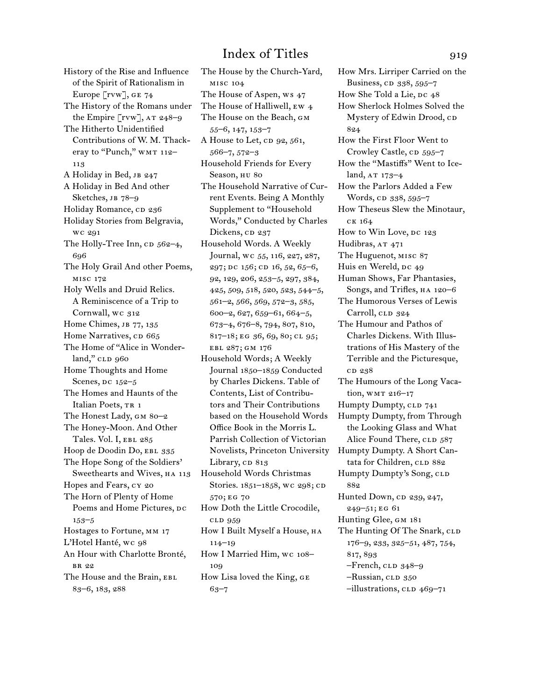History of the Rise and Influence of the Spirit of Rationalism in Europe [rvw], GE 74 The History of the Romans under the Empire  $\lceil \text{rw} \rceil$ , AT 248-9 The Hitherto Unidentified Contributions of W. M. Thackeray to "Punch," WMT 112-113 A Holiday in Bed, JB 247 A Holiday in Bed And other Sketches, JB 78-9 Holiday Romance, cp 236 Holiday Stories from Belgravia, wc 291 The Holly-Tree Inn, cp 562-4, 696 The Holy Grail And other Poems, misc 172 Holy Wells and Druid Relics. A Reminiscence of a Trip to Cornwall, wc 312 Home Chimes, JB 77, 135 Home Narratives, cp 665 The Home of "Alice in Wonder $land,"$   $CLD$   $960$ Home Thoughts and Home Scenes,  $pc$  152–5 The Homes and Haunts of the Italian Poets, TR 1 The Honest Lady, gm 80–2 The Honey-Moon. And Other Tales. Vol. I, EBL 285 Hoop de Doodin Do, EBL 335 The Hope Song of the Soldiers' Sweethearts and Wives, HA 113 Hopes and Fears, cy 20 The Horn of Plenty of Home Poems and Home Pictures, DC 153–5 Hostages to Fortune, mm 17 L'Hotel Hanté, wc 98 An Hour with Charlotte Bronté, br 22 The House and the Brain, EBL 83–6, 183, 288

The House by the Church-Yard, misc 104 The House of Aspen, ws 47 The House of Halliwell, ew 4 The House on the Beach, GM 55–6, 147, 153–7 A House to Let, CD 92, 561, 566–7, 572–3 Household Friends for Every Season, HU 80 The Household Narrative of Current Events. Being A Monthly Supplement to "Household Words," Conducted by Charles Dickens, CD 237 Household Words. A Weekly Journal, wc 55, 116, 227, 287, 297; DC 156; CD 16, 52, 65-6, 92, 129, 206, 253–5, 297, 384, 425, 509, 518, 520, 523, 544–5, 561–2, 566, 569, 572–3, 585, 600–2, 627, 659–61, 664–5, 673–4, 676–8, 794, 807, 810, 817–18; eg 36, 69, 80; cl 95; ebl 287; gm 176 Household Words; A Weekly Journal 1850–1859 Conducted by Charles Dickens. Table of Contents, List of Contributors and Their Contributions based on the Household Words Office Book in the Morris L. Parrish Collection of Victorian Novelists, Princeton University Library, cp 813 Household Words Christmas Stories. 1851-1858, wc 298; cD 570; eg 70 How Doth the Little Crocodile, cld 959 How I Built Myself а House, на 114–19 How I Married Him, wc 108– 109 How Lisa loved the King, ge 63–7

How Mrs. Lirriper Carried on the Business, CD 338, 595-7 How She Told a Lie,  $pc$   $48$ How Sherlock Holmes Solved the Mystery of Edwin Drood, CD 824 How the First Floor Went to Crowley Castle, cp 595–7 How the "Mastiffs" Went to Iceland,  $AT 173-4$ How the Parlors Added a Few Words, cp 338, 595–7 How Theseus Slew the Minotaur, ck 164 How to Win Love, DC 123 Hudibras, AT 471 The Huguenot, misc 87 Huis en Wereld, DC 49 Human Shows, Far Phantasies, Songs, and Trifles, HA 120-6 The Humorous Verses of Lewis Carroll, CLD 324 The Humour and Pathos of Charles Dickens. With Illustrations of His Mastery of the Terrible and the Picturesque, cd 238 The Humours of the Long Vacation, WMT 216-17 Humpty Dumpty, CLD 741 Humpty Dumpty, from Through the Looking Glass and What Alice Found There, CLD 587 Humpty Dumpty. A Short Cantata for Children, CLD 882 Humpty Dumpty's Song, CLD 882 Hunted Down, cp 239, 247, 249–51; eg 61 Hunting Glee, GM 181 The Hunting Of The Snark, CLD 176–9, 233, 325–51, 487, 754, 817, 893  $-$ French,  $CLD$  348–9 –Russian, CLD 350 –illustrations, cld 469–71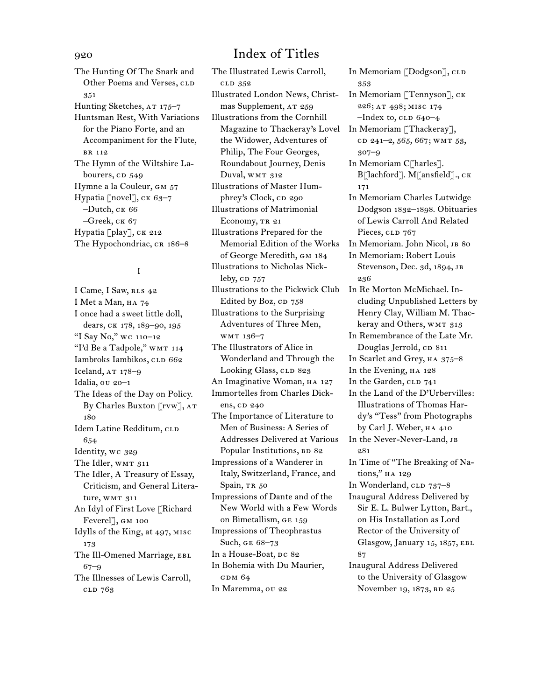The Hunting Of The Snark and Other Poems and Verses, CLD 351 Hunting Sketches, AT 175-7 Huntsman Rest, With Variations for the Piano Forte, and an Accompaniment for the Flute, br 112 The Hymn of the Wiltshire Labourers, CD 549 Hymne a la Couleur, GM 57 Hypatia [novel], ck 63–7 –Dutch, ck 66  $-$ Greek, CK 67 Hypatia [play], CK 212 The Hypochondriac, CR 186-8

### I

I Came, I Saw, RLS 42 I Met a Man, HA 74 I once had a sweet little doll, dears, ck 178, 189–90, 195 "I Say No," wc 110–12 "I'd Be a Tadpole," WMT 114 Iambroks Iambikos, cLD 662 Iceland,  $AT 178-9$ Idalia, ou 20–1 The Ideas of the Day on Policy. By Charles Buxton [rvw], at 180 Idem Latine Redditum, CLD 654 Identity, wc 329 The Idler, WMT 311 The Idler, A Treasury of Essay, Criticism, and General Literature, WMT 311 An Idyl of First Love [Richard Feverel], gm 100 Idylls of the King, at 497, misc 173 The Ill-Omened Marriage, EBL 67–9 The Illnesses of Lewis Carroll, cld 763

## 920 Index of Titles

The Illustrated Lewis Carroll, cld 352 Illustrated London News, Christmas Supplement, AT 259 Illustrations from the Cornhill Magazine to Thackeray's Lovel the Widower, Adventures of Philip, The Four Georges, Roundabout Journey, Denis Duval, WMT 312 Illustrations of Master Humphrey's Clock, CD 290 Illustrations of Matrimonial Economy, TR 21 Illustrations Prepared for the Memorial Edition of the Works of George Meredith, gm 184 Illustrations to Nicholas Nickleby,  $CD$   $757$ Illustrations to the Pickwick Club Edited by Boz, CD 758 Illustrations to the Surprising Adventures of Three Men, wmt 136–7 The Illustrators of Alice in Wonderland and Through the Looking Glass, CLD 823 An Imaginative Woman, HA 127 Immortelles from Charles Dickens, cp 240 The Importance of Literature to Men of Business: A Series of Addresses Delivered at Various Popular Institutions, BD 82 Impressions of a Wanderer in Italy, Switzerland, France, and Spain, TR 50 Impressions of Dante and of the New World with a Few Words on Bimetallism, ge 159 Impressions of Theophrastus Such, ge 68–73 In a House-Boat, DC 82 In Bohemia with Du Maurier, GDM 64 In Maremma, ou 22

In Memoriam [Dodgson], CLD 353 In Memoriam [Tennyson], ck 226; at 498; misc 174  $-$ Index to, CLD  $640-4$ In Memoriam [Thackeray], cd 241-2, 565, 667; wmr 53, 307–9 In Memoriam C[harles]. B[lachford]. M[ansfield]., ck 171 In Memoriam Charles Lutwidge Dodgson 1832–1898. Obituaries of Lewis Carroll And Related Pieces, CLD 767 In Memoriam. John Nicol, JB 80 In Memoriam: Robert Louis Stevenson, Dec. 3d, 1894, JB 236 In Re Morton McMichael. Including Unpublished Letters by Henry Clay, William M. Thackeray and Others, WMT 313 In Remembrance of the Late Mr. Douglas Jerrold, CD 811 In Scarlet and Grey,  $H_A$  375–8 In the Evening,  $HA$  128 In the Garden, CLD 741 In the Land of the D'Urbervilles: Illustrations of Thomas Hardy's "Tess" from Photographs by Carl J. Weber, ha 410 In the Never-Never-Land, jb 081 In Time of "The Breaking of Nations," ha 129 In Wonderland, CLD 737-8 Inaugural Address Delivered by Sir E. L. Bulwer Lytton, Bart., on His Installation as Lord Rector of the University of Glasgow, January 15, 1857, ebl 87 Inaugural Address Delivered to the University of Glasgow November 19, 1873, BD 25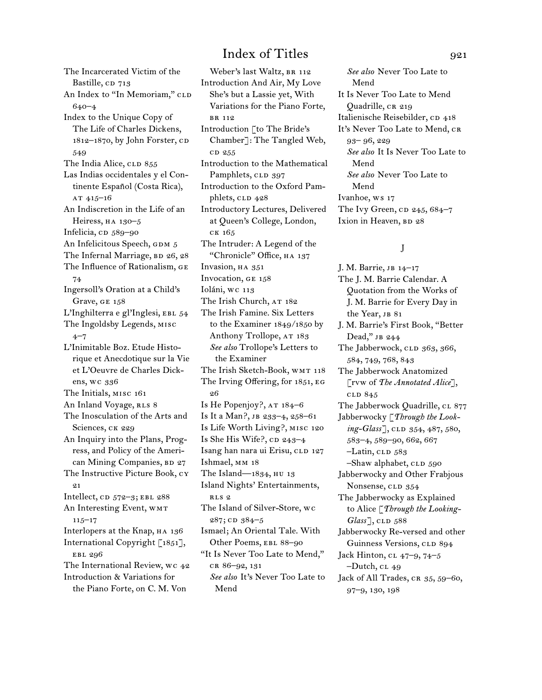The Incarcerated Victim of the Bastille, CD 713 An Index to "In Memoriam," CLD 640–4 Index to the Unique Copy of The Life of Charles Dickens, 1812–1870, by John Forster, cD 549 The India Alice, CLD 855 Las Indias occidentales y el Continente Español (Costa Rica), at 415–16 An Indiscretion in the Life of an Heiress, HA 130-5 Infelicia, cD 589-90 An Infelicitous Speech, GDM 5 The Infernal Marriage,  $BD$  26, 28 The Influence of Rationalism, ge 74 Ingersoll's Oration at a Child's Grave, GE 158 L'Inghilterra e gl'Inglesi, EBL 54 The Ingoldsby Legends, misc  $4 - 7$ L'Inimitable Boz. Etude Historique et Anecdotique sur la Vie et L'Oeuvre de Charles Dickens, wc 336 The Initials, misc 161 An Inland Voyage, RLS 8 The Inosculation of the Arts and Sciences, CK 229 An Inquiry into the Plans, Progress, and Policy of the American Mining Companies, BD 27 The Instructive Picture Book, cy 21 Intellect,  $CD$  572–3; EBL 288 An Interesting Event, WMT 115–17 Interlopers at the Knap, HA 136 International Copyright [1851], ebl 296 The International Review, wc 42 Introduction & Variations for the Piano Forte, on C. M. Von

Weber's last Waltz, BR 112 Introduction And Air, My Love She's but a Lassie yet, With Variations for the Piano Forte, br 112 Introduction [to The Bride's Chamber]: The Tangled Web, cd 255 Introduction to the Mathematical Pamphlets, CLD 397 Introduction to the Oxford Pamphlets, CLD 428 Introductory Lectures, Delivered at Queen's College, London, ck 165 The Intruder: A Legend of the "Chronicle" Office, ha 137 Invasion, HA 351 Invocation, ge 158 Ioláni, wc 113 The Irish Church, AT 182 The Irish Famine. Six Letters to the Examiner 1849/1850 by Anthony Trollope, AT 183 *See also* Trollope's Letters to the Examiner The Irish Sketch-Book, WMT 118 The Irving Offering, for 1851, eg 26 Is He Popenjoy?, AT 184–6 Is It a Man?, jb 233–4, 258–61 Is Life Worth Living?, misc 120 Is She His Wife?,  $CD 243-4$ Isang han nara ui Erisu, CLD 127 Ishmael, mm 18 The Island—1834, hu 13 Island Nights' Entertainments, rls 2 The Island of Silver-Store, wc 287; cD 384-5 Ismael; An Oriental Tale. With Other Poems, EBL 88–90 "It Is Never Too Late to Mend," cr 86–92, 131 *See also* It's Never Too Late to Mend

*See also* Never Too Late to Mend It Is Never Too Late to Mend Quadrille, CR 219 Italienische Reisebilder, cp 418 It's Never Too Late to Mend, CR 93– 96, 229 *See also* It Is Never Too Late to Mend *See also* Never Too Late to Mend Ivanhoe, ws 17 The Ivy Green,  $CD$  245, 684-7 Ixion in Heaven, BD 28

### J

J. M. Barrie, jb 14–17 The J. M. Barrie Calendar. A Quotation from the Works of J. M. Barrie for Every Day in the Year, JB 81 J. M. Barrie's First Book, "Better Dead," jb 244 The Jabberwock, CLD 363, 366, 584, 749, 768, 843 The Jabberwock Anatomized [rvw of *The Annotated Alice*], cld 845 The Jabberwock Quadrille, CL 877 Jabberwocky [*Through the Looking-Glass*], CLD 354, 487, 580, 583–4, 589–90, 662, 667 –Latin, CLD 583 –Shaw alphabet, CLD 590 Jabberwocky and Other Frabjous Nonsense, CLD 354 The Jabberwocky as Explained to Alice [*Through the Looking-Glass*<sup>1</sup>, CLD 588 Jabberwocky Re-versed and other Guinness Versions, CLD 894 Jack Hinton, cl 47–9, 74–5  $-D$ utch, c $L$  49 Jack of All Trades, CR 35, 59-60, 97–9, 130, 198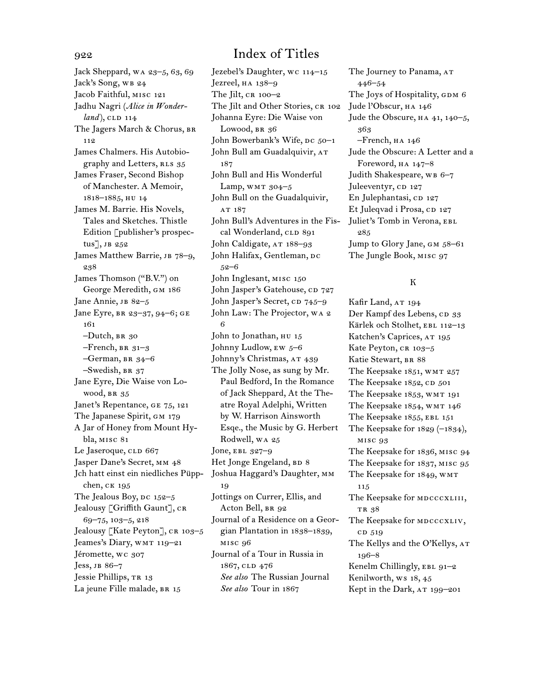Jack Sheppard, wa 23–5, 63, 69 Jack's Song, WB 24 Jacob Faithful, misc 121 Jadhu Nagri (*Alice in Wonderland*), CLD 114 The Jagers March & Chorus, BR 112 James Chalmers. His Autobiography and Letters, RLS 35 James Fraser, Second Bishop of Manchester. A Memoir, 1818–1885, hu 14 James M. Barrie. His Novels, Tales and Sketches. Thistle Edition [publisher's prospectus], jb 252 James Matthew Barrie, JB 78-9, 238 James Thomson ("B.V.") on George Meredith, GM 186 Jane Annie, JB 82-5 Jane Eyre, BR 23-37, 94-6; GE 161 –Dutch, br 30  $-$ French, BR 31–3  $-$ German, BR 34-6 –Swedish, br 37 Jane Eyre, Die Waise von Lowood, BR 35 Janet's Repentance, ge 75, 121 The Japanese Spirit, GM 179 A Jar of Honey from Mount Hybla, misc 81 Le Jaseroque, CLD 667 Jasper Dane's Secret, mm 48 Jch hatt einst ein niedliches Püppchen, ck 195 The Jealous Boy,  $pc$  152–5 Jealousy [Griffith Gaunt], CR 69–75, 103–5, 218 Jealousy [Kate Peyton], CR 103-5 Jeames's Diary, wmt 119–21 Jéromette, wc 307 Jess, jb 86–7 Jessie Phillips, TR 13 La jeune Fille malade, BR 15

Jezebel's Daughter, wc 114–15 Jezreel, ha 138–9 The Jilt,  $CR$  100–2 The Jilt and Other Stories, CR 102 Johanna Eyre: Die Waise von Lowood, BR 36 John Bowerbank's Wife, DC 50-1 John Bull am Guadalquivir, AT 187 John Bull and His Wonderful Lamp, WMT  $304-5$ John Bull on the Guadalquivir, AT 187 John Bull's Adventures in the Fiscal Wonderland, CLD 891 John Caldigate, AT 188-93 John Halifax, Gentleman, DC 52–6 John Inglesant, misc 150 John Jasper's Gatehouse, CD 727 John Jasper's Secret, CD 745–9 John Law: The Projector, wa 2 6 John to Jonathan, HU 15 Johnny Ludlow,  $EW$  5–6 Johnny's Christmas, AT 439 The Jolly Nose, as sung by Mr. Paul Bedford, In the Romance of Jack Sheppard, At the Theatre Royal Adelphi, Written by W. Harrison Ainsworth Esqe., the Music by G. Herbert Rodwell, wa 25 Jone, ebl 327–9 Het Jonge Engeland, BD 8 Joshua Haggard's Daughter, mm 19 Jottings on Currer, Ellis, and Acton Bell, BR 92 Journal of a Residence on a Georgian Plantation in 1838–1839, misc 96 Journal of a Tour in Russia in 1867, cld 476 *See also* The Russian Journal *See also* Tour in 1867

The Journey to Panama, AT 446–54 The Joys of Hospitality, GDM 6 Jude l'Obscur, ha 146 Jude the Obscure,  $HA$  41, 140–5, 363 –French, ha 146 Jude the Obscure: A Letter and a Foreword, ha 147–8 Judith Shakespeare, WB 6-7 Juleeventyr, CD 127 En Julephantasi, CD 127 Et Juleqvad i Prosa, CD 127 Juliet's Tomb in Verona, EBL 285 Jump to Glory Jane, GM 58-61 The Jungle Book, misc 97

### K

Kafir Land, AT 194 Der Kampf des Lebens, cp 33 Kärlek och Stolhet, EBL 112-13 Katchen's Caprices, AT 195 Kate Peyton, CR 103-5 Katie Stewart, BR 88 The Keepsake 1851, WMT 257 The Keepsake  $1852$ , CD  $501$ The Keepsake 1853, WMT 191 The Keepsake 1854, WMT 146 The Keepsake 1855, EBL 151 The Keepsake for  $1829$  (- $1834$ ), misc 93 The Keepsake for 1836, misc 94 The Keepsake for 1837, misc 95 The Keepsake for 1849, wmt 115 The Keepsake for MDCCCXLIII, TR 38 The Keepsake for MDCCCXLIV, c<sub>D</sub> 519 The Kellys and the O'Kellys, AT 196–8 Kenelm Chillingly, EBL 91-2 Kenilworth, ws 18, 45 Kept in the Dark, AT 199-201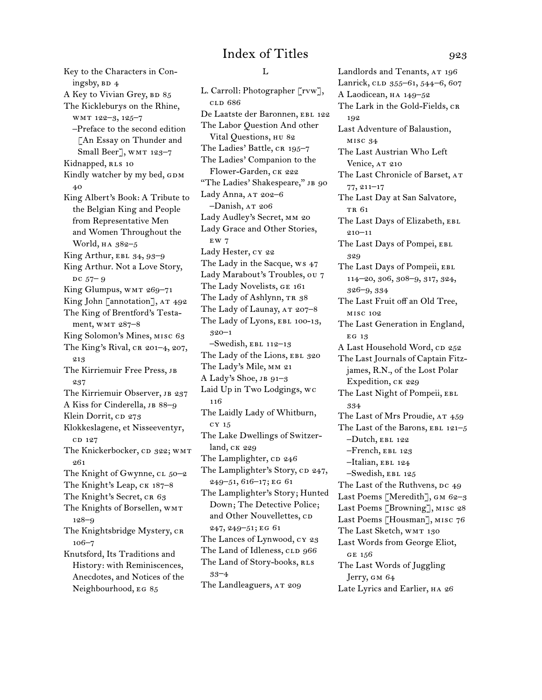Key to the Characters in Coningsby,  $BD$  4 A Key to Vivian Grey, BD 85 The Kickleburys on the Rhine, wmt 122–3, 125–7 –Preface to the second edition [An Essay on Thunder and Small Beer], WMT 123-7 Kidnapped, RLS 10 Kindly watcher by my bed, GDM 40 King Albert's Book: A Tribute to the Belgian King and People from Representative Men and Women Throughout the World, ha 382–5 King Arthur, EBL  $34, 93-9$ King Arthur. Not a Love Story,  $DC 57 - 9$ King Glumpus, WMT 269-71 King John [annotation], AT 492 The King of Brentford's Testament, wmr 287-8 King Solomon's Mines, misc 63 The King's Rival,  $CR$  201–4, 207, 213 The Kirriemuir Free Press, jb 237 The Kirriemuir Observer, JB 237 A Kiss for Cinderella, JB 88-9 Klein Dorrit, CD 273 Klokkeslagene, et Nisseeventyr, CD 127 The Knickerbocker, CD 322; WMT 261 The Knight of Gwynne, cl 50-2 The Knight's Leap, CK 187-8 The Knight's Secret, CR 63 The Knights of Borsellen, WMT 128–9 The Knightsbridge Mystery, CR 106–7 Knutsford, Its Traditions and History: with Reminiscences, Anecdotes, and Notices of the Neighbourhood, eg 85

### $L$

L. Carroll: Photographer [rvw], cld 686 De Laatste der Baronnen, EBL 122 The Labor Question And other Vital Questions, hu 82 The Ladies' Battle, CR 195-7 The Ladies' Companion to the Flower-Garden, ck 222 "The Ladies' Shakespeare," JB 90 Lady Anna, AT 202-6  $-Danish$ ,  $AT 206$ Lady Audley's Secret, mm 20 Lady Grace and Other Stories, ew 7 Lady Hester, cy 22 The Lady in the Sacque, ws 47 Lady Marabout's Troubles, ou 7 The Lady Novelists, ge 161 The Lady of Ashlynn, TR 38 The Lady of Launay, AT 207-8 The Lady of Lyons, EBL 100-13, 320–1  $-$ Swedish, EBL 112–13 The Lady of the Lions, EBL 320 The Lady's Mile, mm 21 A Lady's Shoe, jb 91–3 Laid Up in Two Lodgings, wc 116 The Laidly Lady of Whitburn, cy 15 The Lake Dwellings of Switzerland, ck 229 The Lamplighter, CD 246 The Lamplighter's Story, CD 247, 249–51, 616–17; eg 61 The Lamplighter's Story; Hunted Down; The Detective Police; and Other Nouvellettes, CD 247, 249–51; eg 61 The Lances of Lynwood, cy 23 The Land of Idleness, CLD 966 The Land of Story-books, RLS 33–4 The Landleaguers, AT 209

Landlords and Tenants, AT 196 Lanrick, CLD 355-61, 544-6, 607 A Laodicean, ha 149–52 The Lark in the Gold-Fields, CR 192 Last Adventure of Balaustion, misc 34 The Last Austrian Who Left Venice, AT 210 The Last Chronicle of Barset, AT 77, 211–17 The Last Day at San Salvatore, TR 61 The Last Days of Elizabeth, EBL 210–11 The Last Days of Pompei, EBL 329 The Last Days of Pompeii, EBL 114–20, 306, 308–9, 317, 324, 326–9, 334 The Last Fruit off an Old Tree, misc 102 The Last Generation in England, EG 13 A Last Household Word, CD 252 The Last Journals of Captain Fitzjames, R.N., of the Lost Polar Expedition, CK 229 The Last Night of Pompeii, EBL 334 The Last of Mrs Proudie, AT 459 The Last of the Barons, EBL  $121-5$  $-Dutch, EBL 122$ –French, ebl 123 –Italian, ebl 124 –Swedish, ebl 125 The Last of the Ruthvens, DC 49 Last Poems [Meredith], GM 62-3 Last Poems [Browning], misc 28 Last Poems [Housman], misc 76 The Last Sketch, WMT 130 Last Words from George Eliot, ge 156 The Last Words of Juggling Jerry, gm 64 Late Lyrics and Earlier, HA 26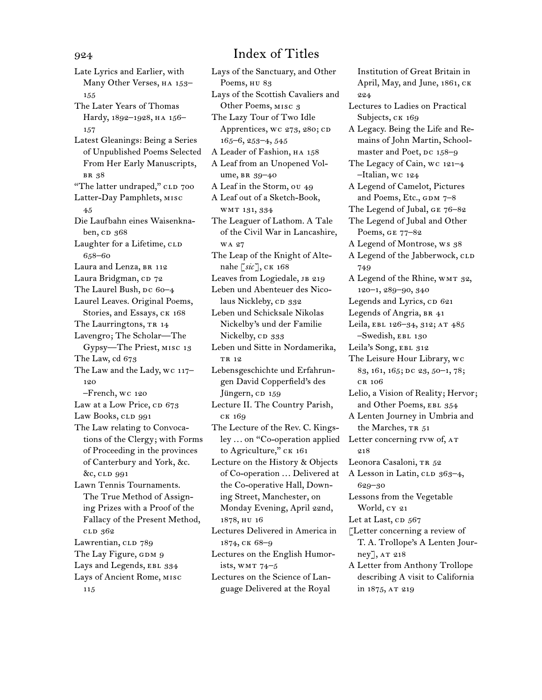Late Lyrics and Earlier, with Many Other Verses, HA 153-155 The Later Years of Thomas Hardy, 1892–1928, ha 156– 157 Latest Gleanings: Being a Series of Unpublished Poems Selected From Her Early Manuscripts, br 38 "The latter undraped," CLD 700 Latter-Day Pamphlets, misc 45 Die Laufbahn eines Waisenknaben, cD 368 Laughter for a Lifetime, CLD 658–60 Laura and Lenza, BR 112 Laura Bridgman, CD 72 The Laurel Bush,  $pc$  60–4 Laurel Leaves. Original Poems, Stories, and Essays, CK 168 The Laurringtons, TR 14 Lavengro; The Scholar—The Gypsy—The Priest, misc 13 The Law, cd 673 The Law and the Lady, wc 117– 120 –French, wc 120 Law at a Low Price, cp 673 Law Books, CLD 991 The Law relating to Convocations of the Clergy; with Forms of Proceeding in the provinces of Canterbury and York, &c. &c, cld 991 Lawn Tennis Tournaments. The True Method of Assigning Prizes with a Proof of the Fallacy of the Present Method, cld 362 Lawrentian, CLD 789 The Lay Figure, GDM 9 Lays and Legends, EBL 334 Lays of Ancient Rome, misc 115

## 924 Index of Titles

Lays of the Sanctuary, and Other Poems, HU 83 Lays of the Scottish Cavaliers and Other Poems, misc 3 The Lazy Tour of Two Idle Apprentices, wc 273, 280; CD 165–6, 253–4, 545 A Leader of Fashion, HA 158 A Leaf from an Unopened Volume, br 39–40 A Leaf in the Storm, ou 49 A Leaf out of a Sketch-Book, wmt 131, 334 The Leaguer of Lathom. A Tale of the Civil War in Lancashire, wa 27 The Leap of the Knight of Altenahe [*sic*], ck 168 Leaves from Logiedale, JB 219 Leben und Abenteuer des Nicolaus Nickleby, CD 332 Leben und Schicksale Nikolas Nickelby's und der Familie Nickelby, CD 333 Leben und Sitte in Nordamerika, TR 10 Lebensgeschichte und Erfahrungen David Copperfield's des Jüngern, cD 159 Lecture II. The Country Parish, ck 169 The Lecture of the Rev. C. Kingsley ... on "Co-operation applied to Agriculture," CK 161 Lecture on the History & Objects of Co-operation ... Delivered at the Co-operative Hall, Downing Street, Manchester, on Monday Evening, April 22nd, 1878, hu 16 Lectures Delivered in America in 1874, ck 68–9 Lectures on the English Humorists, wmt 74–5 Lectures on the Science of Language Delivered at the Royal

Institution of Great Britain in April, May, and June, 1861, ck 224 Lectures to Ladies on Practical Subjects, CK 169 A Legacy. Being the Life and Remains of John Martin, Schoolmaster and Poet, Dc 158–9 The Legacy of Cain, wc 121–4 –Italian, wc 124 A Legend of Camelot, Pictures and Poems, Etc.,  $GDM 7-8$ The Legend of Jubal, ge 76–82 The Legend of Jubal and Other Poems, ge 77–82 A Legend of Montrose, ws 38 A Legend of the Jabberwock, CLD 749 A Legend of the Rhine, WMT 32, 120–1, 289–90, 340 Legends and Lyrics, CD 621 Legends of Angria, BR 41 Leila, EBL 126-34, 312; AT 485 –Swedish, ebl 130 Leila's Song, EBL 312 The Leisure Hour Library, wc 83, 161, 165; DC 23, 50-1, 78; cr 106 Lelio, a Vision of Reality; Hervor; and Other Poems, EBL 354 A Lenten Journey in Umbria and the Marches, TR 51 Letter concerning rvw of,  $AT$ 218 Leonora Casaloni, TR 52 A Lesson in Latin, CLD 363-4, 629–30 Lessons from the Vegetable World, cy 21 Let at Last, cp 567 [Letter concerning a review of T. A. Trollope's A Lenten Journey], AT 218 A Letter from Anthony Trollope describing A visit to California in 1875, AT 219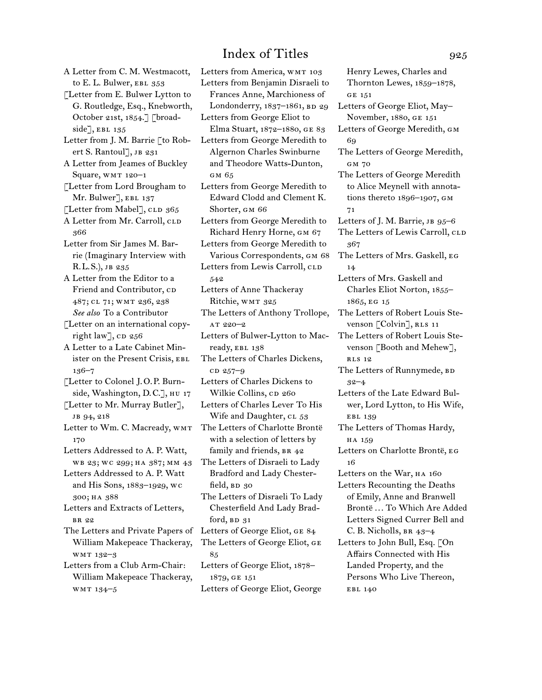A Letter from C. M. Westmacott, to E. L. Bulwer, EBL 353 [Letter from E. Bulwer Lytton to G. Routledge, Esq., Knebworth, October 21st, 1854.] [broadside], EBL  $135$ Letter from J. M. Barrie [to Robert S. Rantoul], JB 231 A Letter from Jeames of Buckley Square, WMT 120-1 [Letter from Lord Brougham to Mr. Bulwer], EBL 137 [Letter from Mabel],  $CLD$  365 A Letter from Mr. Carroll, CLD 366 Letter from Sir James M. Barrie (Imaginary Interview with R.L.S.), jb 235 A Letter from the Editor to a Friend and Contributor, CD 487; cl 71; wmt 236, 238 *See also* To a Contributor [Letter on an international copyright law],  $CD$  256 A Letter to a Late Cabinet Minister on the Present Crisis, ebl 136–7 [Letter to Colonel J.O.P. Burnside, Washington, D.C.], hu 17 [Letter to Mr. Murray Butler], JB 94, 218 Letter to Wm. C. Macready, WMT 170 Letters Addressed to A. P. Watt, wb 23; wc 299; ha 387; mm 43 Letters Addressed to A. P. Watt and His Sons, 1883–1929, wc 300; ha 388 Letters and Extracts of Letters, br 22 The Letters and Private Papers of Letters of George Eliot, ge 84 William Makepeace Thackeray, wmt 132–3 Letters from a Club Arm-Chair: William Makepeace Thackeray, wmt 134–5

Letters from America, WMT 103 Letters from Benjamin Disraeli to Frances Anne, Marchioness of Londonderry, 1837-1861, BD 29 Letters from George Eliot to Elma Stuart, 1872–1880, ge 83 Letters from George Meredith to Algernon Charles Swinburne and Theodore Watts-Dunton, gm 65 Letters from George Meredith to Edward Clodd and Clement K. Shorter, gm 66 Letters from George Meredith to Richard Henry Horne, gm 67 Letters from George Meredith to Various Correspondents, GM 68 Letters from Lewis Carroll, CLD 542 Letters of Anne Thackeray Ritchie, WMT 325 The Letters of Anthony Trollope, at 220–2 Letters of Bulwer-Lytton to Macready, EBL 138 The Letters of Charles Dickens, c<sub>D</sub> 257-9 Letters of Charles Dickens to Wilkie Collins, cp 260 Letters of Charles Lever To His Wife and Daughter, CL 53 The Letters of Charlotte Brontë with a selection of letters by family and friends, BR 42 The Letters of Disraeli to Lady Bradford and Lady Chesterfield, BD 30 The Letters of Disraeli To Lady Chesterfield And Lady Bradford,  $BD$   $31$ The Letters of George Eliot, ge 85 Letters of George Eliot, 1878– 1879, ge 151 Letters of George Eliot, George

Henry Lewes, Charles and Thornton Lewes, 1859–1878, ge 151 Letters of George Eliot, May– November, 1880, ge 151 Letters of George Meredith, gm 69 The Letters of George Meredith, GM 70 The Letters of George Meredith to Alice Meynell with annotations thereto 1896–1907, gm 71 Letters of J. M. Barrie, JB  $95-6$ The Letters of Lewis Carroll, CLD 367 The Letters of Mrs. Gaskell, eg 14 Letters of Mrs. Gaskell and Charles Eliot Norton, 1855– 1865, eg 15 The Letters of Robert Louis Stevenson [Colvin], RLS 11 The Letters of Robert Louis Stevenson [Booth and Mehew], rls 12 The Letters of Runnymede, BD 32–4 Letters of the Late Edward Bulwer, Lord Lytton, to His Wife, ebl 139 The Letters of Thomas Hardy, HA 159 Letters on Charlotte Brontë, eg 16 Letters on the War, HA 160 Letters Recounting the Deaths of Emily, Anne and Branwell Brontë ... To Which Are Added Letters Signed Currer Bell and C. B. Nicholls, br 43–4 Letters to John Bull, Esq. [On Affairs Connected with His Landed Property, and the Persons Who Live Thereon, EBL 140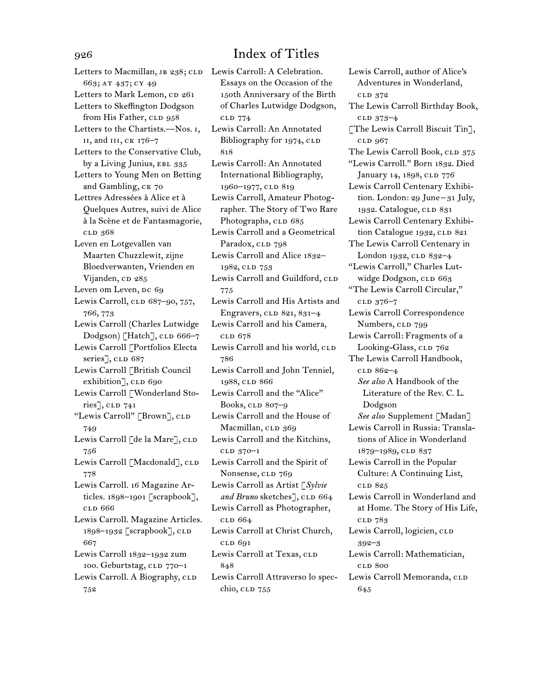Letters to Macmillan, JB 238; CLD Lewis Carroll: A Celebration. 663; at 437; cy 49 Letters to Mark Lemon, cp 261 Letters to Skeffington Dodgson from His Father, CLD 958 Letters to the Chartists.—Nos. i, ii, and iii, ck 176–7 Letters to the Conservative Club, by a Living Junius, EBL 335 Letters to Young Men on Betting and Gambling, ck 70 Lettres Adressées à Alice et à Quelques Autres, suivi de Alice à la Scène et de Fantasmagorie, cld 368 Leven en Lotgevallen van Maarten Chuzzlewit, zijne Bloedverwanten, Vrienden en Vijanden, cp 285 Leven om Leven, Dc 69 Lewis Carroll, CLD 687-90, 757, 766, 773 Lewis Carroll (Charles Lutwidge Dodgson) [Hatch], CLD 666-7 Lewis Carroll [Portfolios Electa series], CLD 687 Lewis Carroll [British Council exhibition], CLD 690 Lewis Carroll [Wonderland Stories], CLD 741 "Lewis Carroll" [Brown], CLD 749 Lewis Carroll [de la Mare], CLD 756 Lewis Carroll [Macdonald], CLD 778 Lewis Carroll. 16 Magazine Articles. 1898–1901 [scrapbook], cld 666 Lewis Carroll. Magazine Articles. 1898–1932 [scrapbook], CLD 667 Lewis Carroll 1832–1932 zum 100. Geburtstag, CLD 770-1 Lewis Carroll. A Biography, CLD 752

Essays on the Occasion of the 150th Anniversary of the Birth of Charles Lutwidge Dodgson, cld 774 Lewis Carroll: An Annotated Bibliography for 1974, CLD 818 Lewis Carroll: An Annotated International Bibliography, 1960–1977, CLD 819 Lewis Carroll, Amateur Photographer. The Story of Two Rare Photographs, CLD 685 Lewis Carroll and a Geometrical Paradox, CLD 798 Lewis Carroll and Alice 1832– 1982, CLD 753 Lewis Carroll and Guildford, CLD 775 Lewis Carroll and His Artists and Engravers,  $CLD$  821, 831–4 Lewis Carroll and his Camera, cld 678 Lewis Carroll and his world, CLD 786 Lewis Carroll and John Tenniel, 1988, CLD 866 Lewis Carroll and the "Alice" Books,  $CLD$  807–9 Lewis Carroll and the House of Macmillan, CLD 369 Lewis Carroll and the Kitchins, cld 370–1 Lewis Carroll and the Spirit of Nonsense, CLD 769 Lewis Carroll as Artist [*Sylvie*  and Bruno sketches], CLD 664 Lewis Carroll as Photographer, cld 664 Lewis Carroll at Christ Church, cld 691 Lewis Carroll at Texas, CLD 848 Lewis Carroll Attraverso lo specchio, clp 755

Lewis Carroll, author of Alice's Adventures in Wonderland, cld 372 The Lewis Carroll Birthday Book, cld 373–4 [The Lewis Carroll Biscuit Tin], cld 967 The Lewis Carroll Book, CLD 375 "Lewis Carroll." Born 1832. Died January 14, 1898, CLD 776 Lewis Carroll Centenary Exhibition. London: 29 June– 31 July, 1932. Catalogue, CLD 831 Lewis Carroll Centenary Exhibition Catalogue 1932, CLD 821 The Lewis Carroll Centenary in London 1932, CLD 832-4 "Lewis Carroll," Charles Lutwidge Dodgson, CLD 663 "The Lewis Carroll Circular," cld 376–7 Lewis Carroll Correspondence Numbers, CLD 799 Lewis Carroll: Fragments of a Looking-Glass, CLD 762 The Lewis Carroll Handbook, clD 862-4 *See also* A Handbook of the Literature of the Rev. C. L. Dodgson *See also* Supplement [Madan] Lewis Carroll in Russia: Translations of Alice in Wonderland 1879-1989, CLD 837 Lewis Carroll in the Popular Culture: A Continuing List, cld 825 Lewis Carroll in Wonderland and at Home. The Story of His Life, cld 783 Lewis Carroll, logicien, CLD 392–3 Lewis Carroll: Mathematician, cld 800 Lewis Carroll Memoranda, CLD 645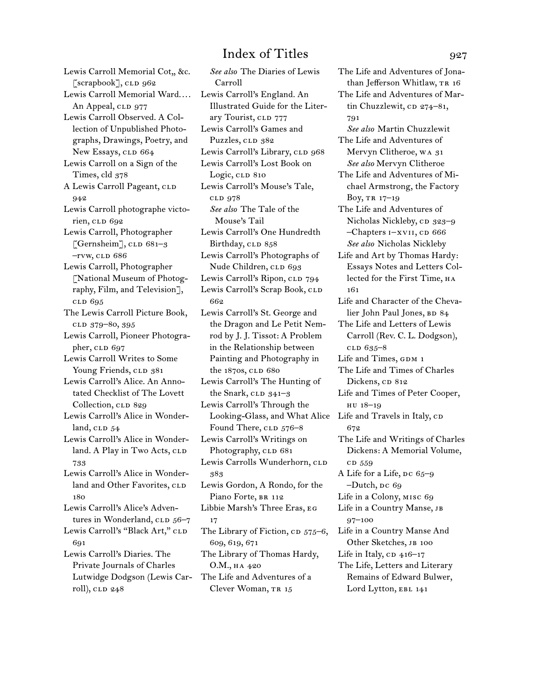Lewis Carroll Memorial Cot,, &c.  $\lceil$ scrapbook $\rceil$ , CLD 962 Lewis Carroll Memorial Ward.... An Appeal, CLD 977 Lewis Carroll Observed. A Collection of Unpublished Photographs, Drawings, Poetry, and New Essays, CLD 664 Lewis Carroll on a Sign of the Times, cld 378 A Lewis Carroll Pageant, CLD 942 Lewis Carroll photographe victorien, clp 692 Lewis Carroll, Photographer [Gernsheim],  $CLD$  681–3  $-*rw*, *CLD* 686$ Lewis Carroll, Photographer [National Museum of Photography, Film, and Television], cld 695 The Lewis Carroll Picture Book, clD 379-80, 395 Lewis Carroll, Pioneer Photographer,  $CLD$  697 Lewis Carroll Writes to Some Young Friends, CLD 381 Lewis Carroll's Alice. An Annotated Checklist of The Lovett Collection, CLD 829 Lewis Carroll's Alice in Wonderland,  $CLD$   $54$ Lewis Carroll's Alice in Wonderland. A Play in Two Acts, CLD 733 Lewis Carroll's Alice in Wonderland and Other Favorites, CLD 180 Lewis Carroll's Alice's Adventures in Wonderland, CLD 56-7 Lewis Carroll's "Black Art," CLD 691 Lewis Carroll's Diaries. The Private Journals of Charles Lutwidge Dodgson (Lewis Carroll), CLD 248

*See also* The Diaries of Lewis Carroll Lewis Carroll's England. An Illustrated Guide for the Literary Tourist, CLD 777 Lewis Carroll's Games and Puzzles, CLD 382 Lewis Carroll's Library, CLD 968 Lewis Carroll's Lost Book on Logic, clp 810 Lewis Carroll's Mouse's Tale, cld 978 *See also* The Tale of the Mouse's Tail Lewis Carroll's One Hundredth Birthday, CLD 858 Lewis Carroll's Photographs of Nude Children, CLD 693 Lewis Carroll's Ripon, CLD 794 Lewis Carroll's Scrap Book, CLD 662 Lewis Carroll's St. George and the Dragon and Le Petit Nemrod by J. J. Tissot: A Problem in the Relationship between Painting and Photography in the 1870s, CLD 680 Lewis Carroll's The Hunting of the Snark,  $CLD$   $341-3$ Lewis Carroll's Through the Looking-Glass, and What Alice Life and Travels in Italy, CD Found There, CLD 576-8 Lewis Carroll's Writings on Photography, CLD 681 Lewis Carrolls Wunderhorn, CLD 383 Lewis Gordon, A Rondo, for the Piano Forte, BR 112 Libbie Marsh's Three Eras, eg 17 The Library of Fiction,  $CD$   $575-6$ , 609, 619, 671 The Library of Thomas Hardy, O.M., ha 420 The Life and Adventures of a Clever Woman, TR 15

The Life and Adventures of Jonathan Jefferson Whitlaw, TR 16 The Life and Adventures of Martin Chuzzlewit, cp 274–81, 791 *See also* Martin Chuzzlewit The Life and Adventures of Mervyn Clitheroe, wa 31 *See also* Mervyn Clitheroe The Life and Adventures of Michael Armstrong, the Factory Boy, tr 17–19 The Life and Adventures of Nicholas Nickleby, cp 323–9 –Chapters I–XVII, CD 666 *See also* Nicholas Nickleby Life and Art by Thomas Hardy: Essays Notes and Letters Collected for the First Time, на 161 Life and Character of the Chevalier John Paul Jones, BD 84 The Life and Letters of Lewis Carroll (Rev. C. L. Dodgson), cld 635–8 Life and Times, GDM 1 The Life and Times of Charles Dickens, CD 812 Life and Times of Peter Cooper, hu 18–19 672 The Life and Writings of Charles Dickens: A Memorial Volume, c<sub>D</sub> 559 A Life for a Life, DC 65-9 –Dutch, Dc 69 Life in a Colony, misc 69 Life in a Country Manse, jb 97–100 Life in a Country Manse And Other Sketches, JB 100 Life in Italy,  $CD$  416–17 The Life, Letters and Literary Remains of Edward Bulwer, Lord Lytton, EBL 141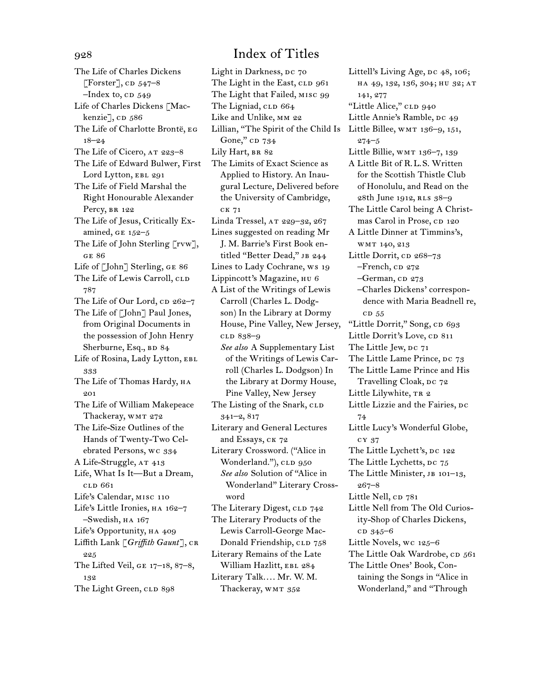The Life of Charles Dickens [Forster],  $CD$  547–8  $-$ Index to, CD  $549$ Life of Charles Dickens [Mackenzie], cD 586 The Life of Charlotte Brontë, eg 18–24 The Life of Cicero, AT 223-8 The Life of Edward Bulwer, First Lord Lytton, EBL 291 The Life of Field Marshal the Right Honourable Alexander Percy, br 122 The Life of Jesus, Critically Examined, ge 152–5 The Life of John Sterling [rvw], ge 86 Life of [John] Sterling, ge 86 The Life of Lewis Carroll, CLD 787 The Life of Our Lord, CD 262-7 The Life of [John] Paul Jones, from Original Documents in the possession of John Henry Sherburne, Esq., BD 84 Life of Rosina, Lady Lytton, EBL 333 The Life of Thomas Hardy, HA  $201$ The Life of William Makepeace Thackeray, WMT 272 The Life-Size Outlines of the Hands of Twenty-Two Celebrated Persons, wc 334 A Life-Struggle, AT 413 Life, What Is It—But a Dream, cld 661 Life's Calendar, misc 110 Life's Little Ironies, HA 162-7 –Swedish, ha 167 Life's Opportunity, HA 409 Liffith Lank [*Griffith Gaunt*], CR 225 The Lifted Veil, ge 17–18, 87–8, 132 The Light Green, CLD 898

Light in Darkness, DC 70 The Light in the East, CLD 961 The Light that Failed, misc 99 The Ligniad, CLD 664 Like and Unlike, mm 22 Lillian, "The Spirit of the Child Is Little Billee, WMT 136-9, 151, Gone," CD 734 Lily Hart, BR 82 The Limits of Exact Science as Applied to History. An Inaugural Lecture, Delivered before the University of Cambridge, ck 71 Linda Tressel, AT 229-32, 267 Lines suggested on reading Mr J. M. Barrie's First Book entitled "Better Dead," JB 244 Lines to Lady Cochrane, ws 19 Lippincott's Magazine, hu 6 A List of the Writings of Lewis Carroll (Charles L. Dodgson) In the Library at Dormy House, Pine Valley, New Jersey, cld 838–9 *See also* A Supplementary List of the Writings of Lewis Carroll (Charles L. Dodgson) In the Library at Dormy House, Pine Valley, New Jersey The Listing of the Snark, CLD 341–2, 817 Literary and General Lectures and Essays, ck 72 Literary Crossword. ("Alice in Wonderland."), CLD 950 *See also* Solution of "Alice in Wonderland" Literary Crossword The Literary Digest, CLD 742 The Literary Products of the Lewis Carroll-George Mac-Donald Friendship, CLD 758 Literary Remains of the Late William Hazlitt, EBL 284 Literary Talk.... Mr. W. M. Thackeray, WMT 352

Littell's Living Age, DC 48, 106; ha 49, 132, 136, 304; hu 32; at 141, 277 "Little Alice," CLD 940 Little Annie's Ramble, DC 49 274–5 Little Billie, WMT 136-7, 139 A Little Bit of R.L.S. Written for the Scottish Thistle Club of Honolulu, and Read on the 28th June 1912, rls 38–9 The Little Carol being A Christmas Carol in Prose, CD 120 A Little Dinner at Timmins's, wmt 140, 213 Little Dorrit,  $CD$  268–73  $-$ French,  $CD$  272 -German, cp 273 –Charles Dickens' correspondence with Maria Beadnell re, cd 55 "Little Dorrit," Song, CD 693 Little Dorrit's Love, CD 811 The Little Jew, DC 71 The Little Lame Prince, DC 73 The Little Lame Prince and His Travelling Cloak, DC 72 Little Lilywhite, TR 2 Little Lizzie and the Fairies, DC 74 Little Lucy's Wonderful Globe, cy 37 The Little Lychett's, DC 122 The Little Lychetts, DC 75 The Little Minister, JB 101-13, 267–8 Little Nell, CD 781 Little Nell from The Old Curiosity-Shop of Charles Dickens, cd 345–6 Little Novels, wc 125–6 The Little Oak Wardrobe, CD 561 The Little Ones' Book, Containing the Songs in "Alice in Wonderland," and "Through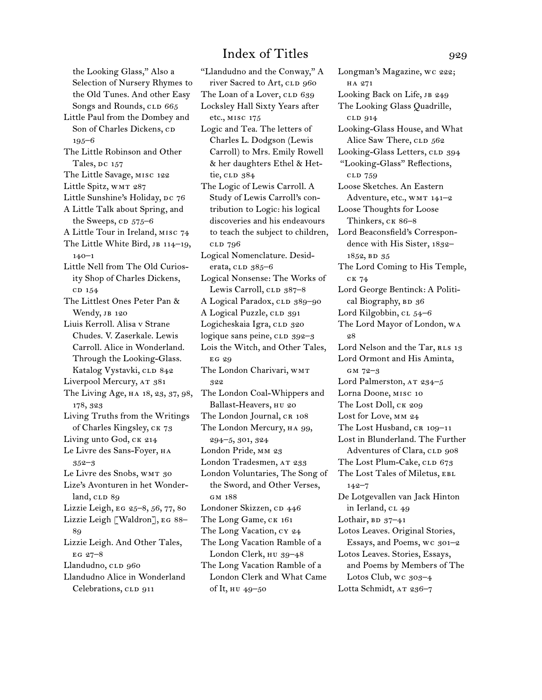the Looking Glass," Also a Selection of Nursery Rhymes to the Old Tunes. And other Easy Songs and Rounds, CLD 665 Little Paul from the Dombey and Son of Charles Dickens, CD 195–6 The Little Robinson and Other Tales,  $pc$  157 The Little Savage, misc 122 Little Spitz, WMT 287 Little Sunshine's Holiday, DC 76 A Little Talk about Spring, and the Sweeps,  $CD$   $575-6$ A Little Tour in Ireland, misc 74 The Little White Bird, JB 114-19,  $140 - 1$ Little Nell from The Old Curiosity Shop of Charles Dickens, c<sub>D</sub> 154 The Littlest Ones Peter Pan & Wendy, JB 120 Liuis Kerroll. Alisa v Strane Chudes. V. Zaserkale. Lewis Carroll. Alice in Wonderland. Through the Looking-Glass. Katalog Vystavki, CLD 842 Liverpool Mercury, AT 381 The Living Age, ha 18, 23, 37, 98, 178, 323 Living Truths from the Writings of Charles Kingsley, ck 73 Living unto God, CK 214 Le Livre des Sans-Foyer, HA 352–3 Le Livre des Snobs, WMT 30 Lize's Avonturen in het Wonderland, CLD 89 Lizzie Leigh, eg 25–8, 56, 77, 80 Lizzie Leigh [Waldron], eg 88– 89 Lizzie Leigh. And Other Tales, EG  $27 - 8$ Llandudno, CLD 960 Llandudno Alice in Wonderland Celebrations, CLD 911

"Llandudno and the Conway," A river Sacred to Art, CLD 960 The Loan of a Lover, CLD 639 Locksley Hall Sixty Years after etc., misc 175 Logic and Tea. The letters of Charles L. Dodgson (Lewis Carroll) to Mrs. Emily Rowell & her daughters Ethel & Hettie, cLD 384 The Logic of Lewis Carroll. A Study of Lewis Carroll's contribution to Logic: his logical discoveries and his endeavours to teach the subject to children, cld 796 Logical Nomenclature. Desiderata, cLD 385-6 Logical Nonsense: The Works of Lewis Carroll, CLD 387-8 A Logical Paradox, CLD 389-90 A Logical Puzzle, CLD 391 Logicheskaia Igra, CLD 320 logique sans peine, CLD 392-3 Lois the Witch, and Other Tales, EG 29 The London Charivari, WMT 322 The London Coal-Whippers and Ballast-Heavers, HU 20 The London Journal, CR 108 The London Mercury, HA 99, 294–5, 301, 324 London Pride, MM 23 London Tradesmen, AT 233 London Voluntaries, The Song of the Sword, and Other Verses, gm 188 Londoner Skizzen, cp 446 The Long Game, ck 161 The Long Vacation, cy 24 The Long Vacation Ramble of a London Clerk, hu 39–48 The Long Vacation Ramble of a London Clerk and What Came of It, hu 49–50

Longman's Magazine, wc 222; ha 271 Looking Back on Life, JB 249 The Looking Glass Quadrille, cld 914 Looking-Glass House, and What Alice Saw There, CLD 562 Looking-Glass Letters, CLD 394 "Looking-Glass" Reflections, cld 759 Loose Sketches. An Eastern Adventure, etc., WMT 141-2 Loose Thoughts for Loose Thinkers, ck 86–8 Lord Beaconsfield's Correspondence with His Sister, 1832– 1852, BD 35 The Lord Coming to His Temple, ck 74 Lord George Bentinck: A Political Biography, BD 36 Lord Kilgobbin,  $CL$   $54-6$ The Lord Mayor of London, wa 28 Lord Nelson and the Tar, RLS 13 Lord Ormont and His Aminta, gm 72–3 Lord Palmerston, AT 234-5 Lorna Doone, misc 10 The Lost Doll, CK 209 Lost for Love, MM 24 The Lost Husband, CR 109-11 Lost in Blunderland. The Further Adventures of Clara, CLD 908 The Lost Plum-Cake, CLD 673 The Lost Tales of Miletus, EBL 142–7 De Lotgevallen van Jack Hinton in Ierland, cL 49 Lothair, BD  $37-41$ Lotos Leaves. Original Stories, Essays, and Poems, wc 301–2 Lotos Leaves. Stories, Essays, and Poems by Members of The Lotos Club, wc 303–4 Lotta Schmidt, AT 236-7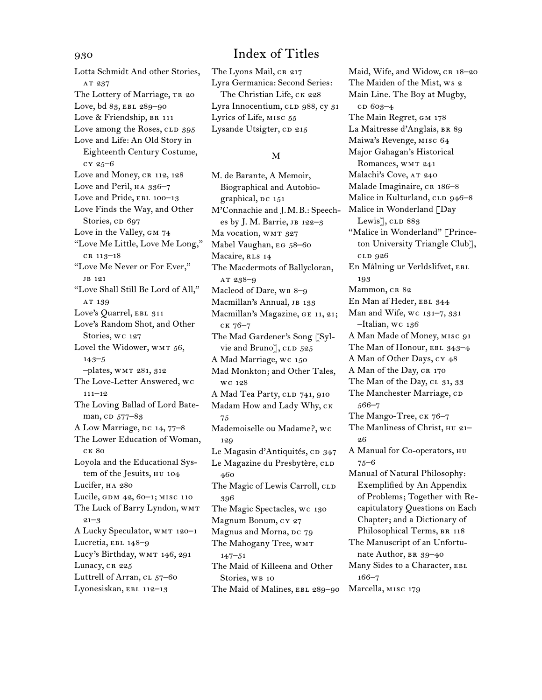Lotta Schmidt And other Stories, AT 237 The Lottery of Marriage, TR 20 Love, bd 83, EBL 289-90 Love & Friendship, BR 111 Love among the Roses, CLD 395 Love and Life: An Old Story in Eighteenth Century Costume, cy 25–6 Love and Money, CR 112, 128 Love and Peril, ha 336–7 Love and Pride, EBL 100-13 Love Finds the Way, and Other Stories, cp 697 Love in the Valley, GM 74 "Love Me Little, Love Me Long," cr 113–18 "Love Me Never or For Ever," jb 121 "Love Shall Still Be Lord of All," AT 139 Love's Quarrel, EBL 311 Love's Random Shot, and Other Stories, wc 127 Lovel the Widower, WMT 56, 143–5 –plates, wmt 281, 312 The Love-Letter Answered, wc  $111-12$ The Loving Ballad of Lord Bateman, cD 577-83 A Low Marriage, DC 14, 77-8 The Lower Education of Woman, ck 80 Loyola and the Educational System of the Jesuits, hu 104 Lucifer, ha 280 Lucile, GDM 42, 60-1; MISC 110 The Luck of Barry Lyndon, wmt  $21 - 3$ A Lucky Speculator, wmt 120–1 Lucretia, EBL 148-9 Lucy's Birthday, WMT 146, 291 Lunacy, CR 225 Luttrell of Arran, cl 57–60 Lyonesiskan, EBL 112-13

930 Index of Titles The Lyons Mail, CR 217 Lyra Germanica: Second Series: The Christian Life, CK 228 Lyra Innocentium, CLD 988, cy 31 Lyrics of Life, misc 55 Lysande Utsigter, cp 215

## M

M. de Barante, A Memoir, Biographical and Autobiographical, DC 151 M'Connachie and J.M.B.: Speeches by J. M. Barrie, JB 122-3 Ma vocation, WMT 327 Mabel Vaughan, EG 58-60 Macaire, RLS 14 The Macdermots of Ballycloran, at 238–9 Macleod of Dare, WB 8-9 Macmillan's Annual, JB 133 Macmillan's Magazine, ge 11, 21; ck 76–7 The Mad Gardener's Song [Sylvie and Bruno], CLD 525 A Mad Marriage, wc 150 Mad Monkton; and Other Tales, wc 128 A Mad Tea Party, CLD 741, 910 Madam How and Lady Why, ck 75 Mademoiselle ou Madame?, wc 129 Le Magasin d'Antiquités, cD 347 Le Magazine du Presbytère, CLD 460 The Magic of Lewis Carroll, CLD 396 The Magic Spectacles, wc 130 Magnum Bonum, cy 27 Magnus and Morna, DC 79 The Mahogany Tree, WMT 147–51 The Maid of Killeena and Other Stories, WB 10 The Maid of Malines, EBL 289-90 Maid, Wife, and Widow, CR 18-20 The Maiden of the Mist, ws 2 Main Line. The Boy at Mugby, cD 603-4 The Main Regret, GM 178 La Maitresse d'Anglais, BR 89 Maiwa's Revenge, misc 64 Major Gahagan's Historical Romances, WMT 241 Malachi's Cove, AT 240 Malade Imaginaire, CR 186-8 Malice in Kulturland, CLD 946-8 Malice in Wonderland [Day Lewis<sup>7</sup>, CLD 883 "Malice in Wonderland" [Princeton University Triangle Club], cld 926 En Målning ur Verldslifvet, ebl 193 Mammon, CR 82 En Man af Heder, EBL 344 Man and Wife, wc 131–7, 331 –Italian, wc 136 A Man Made of Money, misc 91 The Man of Honour, EBL 343-4 A Man of Other Days, cy 48 A Man of the Day, CR 170 The Man of the Day, CL 31, 33 The Manchester Marriage, CD 566–7 The Mango-Tree, CK 76-7 The Manliness of Christ, HU 21-26 A Manual for Co-operators, hu 75–6 Manual of Natural Philosophy: Exemplified by An Appendix of Problems; Together with Recapitulatory Questions on Each Chapter; and a Dictionary of Philosophical Terms, BR 118 The Manuscript of an Unfortunate Author, BR 39-40 Many Sides to a Character, EBL 166–7

Marcella, MISC 179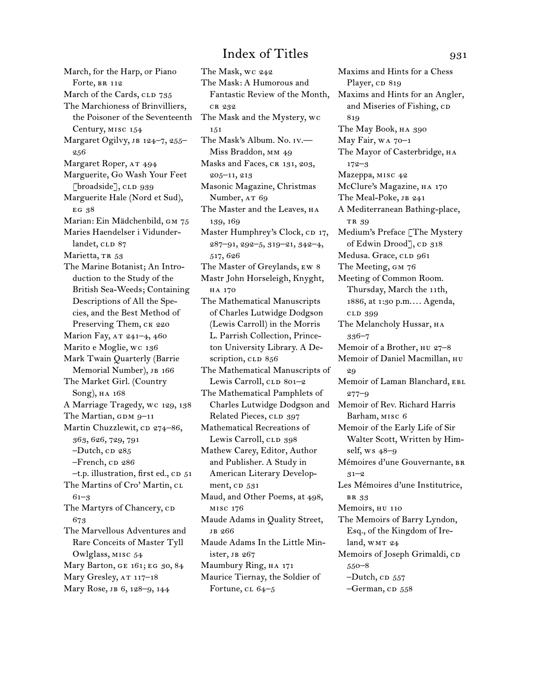March, for the Harp, or Piano Forte, BR 112 March of the Cards, CLD 735 The Marchioness of Brinvilliers, the Poisoner of the Seventeenth Century, misc 154 Margaret Ogilvy, JB 124-7, 255-256 Margaret Roper, AT 494 Marguerite, Go Wash Your Feet [broadside],  $CLD$  939 Marguerite Hale (Nord et Sud), EG 38 Marian: Ein Mädchenbild, gm 75 Maries Haendelser i Vidunderlandet, CLD 87 Marietta, TR 53 The Marine Botanist; An Introduction to the Study of the British Sea-Weeds; Containing Descriptions of All the Species, and the Best Method of Preserving Them, CK 220 Marion Fay, AT 241-4, 460 Marito e Moglie, wc 136 Mark Twain Quarterly (Barrie Memorial Number), JB 166 The Market Girl. (Country Song), HA 168 A Marriage Tragedy, wc 129, 138 The Martian,  $GDM 9-11$ Martin Chuzzlewit, cp 274–86, 363, 626, 729, 791  $-Dutch$ , CD  $285$ –French, cp 286  $-$ t.p. illustration, first ed.,  $CD$  51 The Martins of Cro' Martin,  $CL$ 61–3 The Martyrs of Chancery,  $CD$ 673 The Marvellous Adventures and Rare Conceits of Master Tyll Owlglass, misc 54 Mary Barton, ge 161; eg 30, 84 Mary Gresley, AT 117-18 Mary Rose, jb 6, 128–9, 144

The Mask, wc 242 The Mask: A Humorous and Fantastic Review of the Month, cr 232 The Mask and the Mystery, wc 151 The Mask's Album. No. iv.— Miss Braddon, MM 49 Masks and Faces, CR 131, 203, 205–11, 213 Masonic Magazine, Christmas Number, AT 69 The Master and the Leaves, HA 139, 169 Master Humphrey's Clock, CD 17, 287–91, 292–5, 319–21, 342–4, 517, 626 The Master of Greylands, ew 8 Mastr John Horseleigh, Knyght, ha 170 The Mathematical Manuscripts of Charles Lutwidge Dodgson (Lewis Carroll) in the Morris L. Parrish Collection, Princeton University Library. A Description, CLD 856 The Mathematical Manuscripts of Lewis Carroll,  $CLD$  801–2 The Mathematical Pamphlets of Charles Lutwidge Dodgson and Memoir of Rev. Richard Harris Related Pieces, CLD 397 Mathematical Recreations of Lewis Carroll, CLD 398 Mathew Carey, Editor, Author and Publisher. A Study in American Literary Development,  $CD$   $531$ Maud, and Other Poems, at 498, misc 176 Maude Adams in Quality Street, jb 266 Maude Adams In the Little Minister, jb 267 Maumbury Ring, HA 171 Maurice Tiernay, the Soldier of Fortune, cl 64–5

Maxims and Hints for a Chess Player, CD 819 Maxims and Hints for an Angler, and Miseries of Fishing, CD 819 The May Book, HA 390 May Fair, wa 70–1 The Mayor of Casterbridge, на 172–3 Mazeppa, misc 42 McClure's Magazine, ha 170 The Meal-Poke, JB 241 A Mediterranean Bathing-place, TR 39 Medium's Preface [The Mystery of Edwin Drood], cp 318 Medusa. Grace, CLD 961 The Meeting, GM 76 Meeting of Common Room. Thursday, March the 11th, 1886, at 1:30 p.m.... Agenda, cld 399 The Melancholy Hussar, HA 336–7 Memoir of a Brother, hu 27–8 Memoir of Daniel Macmillan, нu 29 Memoir of Laman Blanchard, EBL 277–9 Barham, misc 6 Memoir of the Early Life of Sir Walter Scott, Written by Himself, ws 48–9 Mémoires d'une Gouvernante, br  $31 - 2$ Les Mémoires d'une Institutrice, br 33 Memoirs, HU 110 The Memoirs of Barry Lyndon, Esq., of the Kingdom of Ireland,  $WMT 24$ Memoirs of Joseph Grimaldi, CD 550–8  $-D$ utch, c $D$  557

 $-$ German, CD  $558$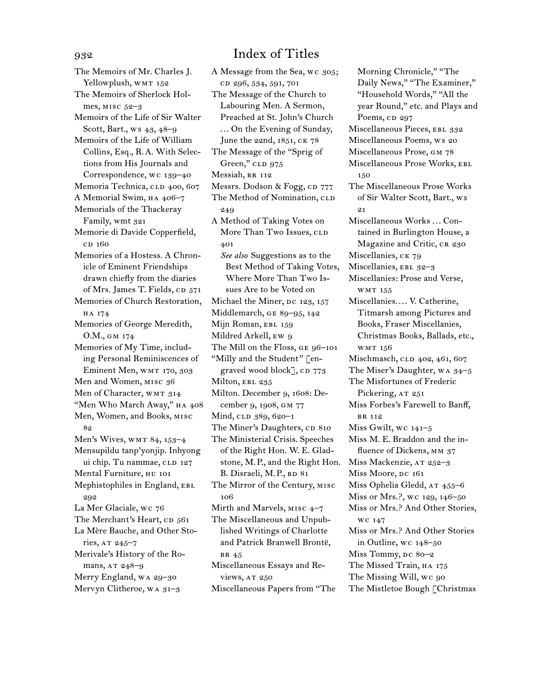The Memoirs of Mr. Charles J. Yellowplush, WMT 152 The Memoirs of Sherlock Holmes, MISC 52-3 Memoirs of the Life of Sir Walter Scott, Bart., ws 43, 48–9 Memoirs of the Life of William Collins, Esq., R.A. With Selections from His Journals and Correspondence, wc 139–40 Memoria Technica, CLD 400, 607 A Memorial Swim, HA 406-7 Memorials of the Thackeray Family, wmt 321 Memorie di Davide Copperfield, c<sub>D</sub> 160 Memories of a Hostess. A Chronicle of Eminent Friendships drawn chiefly from the diaries of Mrs. James T. Fields, CD 571 Memories of Church Restoration, ha 174 Memories of George Meredith, O.M., gm 174 Memories of My Time, including Personal Reminiscences of Eminent Men, WMT 170, 303 Men and Women, MISC 36 Men of Character, WMT 314 "Men Who March Away," HA 408 Men, Women, and Books, misc 89. Men's Wives, WMT 84, 153-4 Mensupildu tanp'yonjip. Inhyong ui chip. Tu nammae, CLD 127 Mental Furniture, hu 101 Mephistophiles in England, EBL 292 La Mer Glaciale, wc 76 The Merchant's Heart, CD 561 La Mère Bauche, and Other Stories, AT 245-7 Merivale's History of the Romans, AT 248-9 Merry England, wa 29–30 Mervyn Clitheroe, wa 31–3

A Message from the Sea, wc 305; cd 296, 534, 591, 701 The Message of the Church to Labouring Men. A Sermon, Preached at St. John's Church ... On the Evening of Sunday, June the 22nd, 1851, CK 78 The Message of the "Sprig of Green," CLD 975 Messiah, BR 112 Messrs. Dodson & Fogg, CD 777 The Method of Nomination, CLD 249 A Method of Taking Votes on More Than Two Issues, CLD 401 *See also* Suggestions as to the Best Method of Taking Votes, Where More Than Two Issues Are to be Voted on Michael the Miner, DC 123, 157 Middlemarch, ge 89–95, 142 Mijn Roman, EBL 159 Mildred Arkell, ew 9 The Mill on the Floss, GE 96-101 "Milly and the Student" [engraved wood block],  $CD$  773 Milton, EBL 235 Milton. December 9, 1608: December 9, 1908, gm 77 Mind, CLD 389, 620-1 The Miner's Daughters, CD 810 The Ministerial Crisis. Speeches of the Right Hon. W. E. Gladstone, M.P., and the Right Hon. B. Disraeli, M.P., BD 81 The Mirror of the Century, misc 106 Mirth and Marvels, misc 4–7 The Miscellaneous and Unpublished Writings of Charlotte and Patrick Branwell Brontë, br 45 Miscellaneous Essays and Reviews, AT 250 Miscellaneous Papers from "The

Morning Chronicle," "The Daily News," "The Examiner," "Household Words," "All the year Round," etc. and Plays and Poems, cp 297 Miscellaneous Pieces, EBL 332 Miscellaneous Poems, ws 20 Miscellaneous Prose, gm 78 Miscellaneous Prose Works, ebl 150 The Miscellaneous Prose Works of Sir Walter Scott, Bart., ws 21 Miscellaneous Works ... Contained in Burlington House, a Magazine and Critic, CR 230 Miscellanies, CK 79 Miscellanies, EBL 32-3 Miscellanies: Prose and Verse, wmt 155 Miscellanies.... V. Catherine, Titmarsh among Pictures and Books, Fraser Miscellanies, Christmas Books, Ballads, etc., wmt 156 Mischmasch, CLD 402, 461, 607 The Miser's Daughter, wa 34–5 The Misfortunes of Frederic Pickering, AT 251 Miss Forbes's Farewell to Banff, br 112 Miss Gwilt, wc 141–5 Miss M. E. Braddon and the influence of Dickens, mm 37 Miss Mackenzie, AT 252-3 Miss Moore, DC 161 Miss Ophelia Gledd, AT 455-6 Miss or Mrs.?, wc 129, 146–50 Miss or Mrs.? And Other Stories, wc 147 Miss or Mrs.? And Other Stories in Outline, wc 148–50 Miss Tommy, Dc 80-2 The Missed Train, HA 175 The Missing Will, wc 90 The Mistletoe Bough [Christmas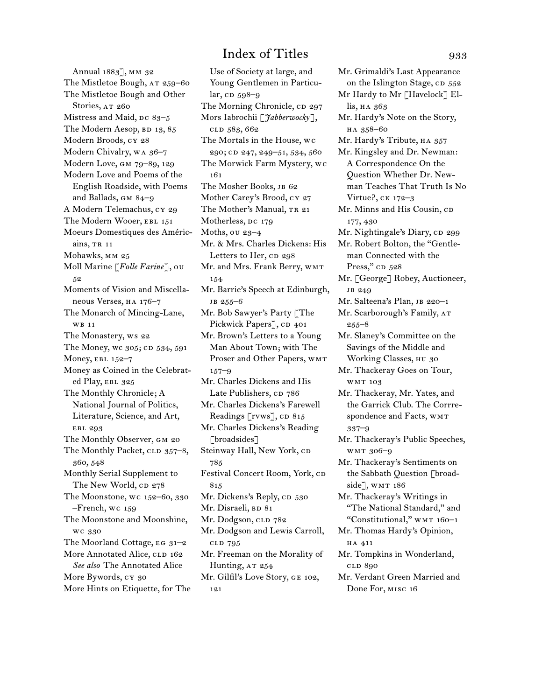Annual 1883], MM 32 The Mistletoe Bough, AT 259-60 The Mistletoe Bough and Other Stories, AT 260 Mistress and Maid,  $pc$  83–5 The Modern Aesop, BD 13, 85 Modern Broods, cy 28 Modern Chivalry, wa 36-7 Modern Love, gm 79–89, 129 Modern Love and Poems of the English Roadside, with Poems and Ballads, gm 84–9 A Modern Telemachus, cy 29 The Modern Wooer, EBL 151 Moeurs Domestiques des Américains, TR 11 Mohawks, mm 25 Moll Marine [*Folle Farine*], ou 52 Moments of Vision and Miscellaneous Verses, ha 176–7 The Monarch of Mincing-Lane, wb 11 The Monastery, ws 22 The Money, wc 305; CD 534, 591 Money, EBL 152-7 Money as Coined in the Celebrated Play, EBL 325 The Monthly Chronicle; A National Journal of Politics, Literature, Science, and Art, ebl 293 The Monthly Observer, GM 20 The Monthly Packet, CLD 357-8, 360, 548 Monthly Serial Supplement to The New World, cp 278 The Moonstone, wc 152–60, 330 –French, wc 159 The Moonstone and Moonshine, wc 330 The Moorland Cottage,  $EGg1-2$ More Annotated Alice, CLD 162 *See also* The Annotated Alice More Bywords, cy 30 More Hints on Etiquette, for The

Use of Society at large, and Young Gentlemen in Particular, cp 598–9 The Morning Chronicle, cp 297 Mors Iabrochii [*Jabberwocky*], cld 583, 662 The Mortals in the House, wc 290; cd 247, 249–51, 534, 560 The Morwick Farm Mystery, wc 161 The Mosher Books, JB 62 Mother Carey's Brood, cy 27 The Mother's Manual, TR 21 Motherless, DC 179 Moths, ou 23–4 Mr. & Mrs. Charles Dickens: His Letters to Her, cp 298 Mr. and Mrs. Frank Berry, WMT 154 Mr. Barrie's Speech at Edinburgh, jb 255–6 Mr. Bob Sawyer's Party [The Pickwick Papers], CD 401 Mr. Brown's Letters to a Young Man About Town; with The Proser and Other Papers, WMT 157–9 Mr. Charles Dickens and His Late Publishers, CD 786 Mr. Charles Dickens's Farewell Readings [rvws], CD 815 Mr. Charles Dickens's Reading [broadsides] Steinway Hall, New York, CD 785 Festival Concert Room, York, CD 815 Mr. Dickens's Reply, CD 530 Mr. Disraeli, BD 81 Mr. Dodgson, CLD 782 Mr. Dodgson and Lewis Carroll, cld 795 Mr. Freeman on the Morality of Hunting, AT 254 Mr. Gilfil's Love Story, ge 102,

121

on the Islington Stage, CD 552 Mr Hardy to Mr [Havelock] Ellis, на 363 Mr. Hardy's Note on the Story, ha 358–60 Mr. Hardy's Tribute, ha 357 Mr. Kingsley and Dr. Newman: A Correspondence On the Question Whether Dr. Newman Teaches That Truth Is No Virtue?, ck 172–3 Mr. Minns and His Cousin, cp 177, 430 Mr. Nightingale's Diary, CD 299 Mr. Robert Bolton, the "Gentleman Connected with the Press," CD 528 Mr. [George] Robey, Auctioneer, jb 249 Mr. Salteena's Plan, JB 220-1 Mr. Scarborough's Family, AT 255–8 Mr. Slaney's Committee on the Savings of the Middle and Working Classes, hu 30 Mr. Thackeray Goes on Tour, wmt 103 Mr. Thackeray, Mr. Yates, and the Garrick Club. The Corrrespondence and Facts, WMT 337–9 Mr. Thackeray's Public Speeches, wmt 306–9 Mr. Thackeray's Sentiments on the Sabbath Question [broadside], WMT 186 Mr. Thackeray's Writings in "The National Standard," and "Constitutional," WMT 160-1 Mr. Thomas Hardy's Opinion, ha 411 Mr. Tompkins in Wonderland, cld 890 Mr. Verdant Green Married and Done For, misc 16

Mr. Grimaldi's Last Appearance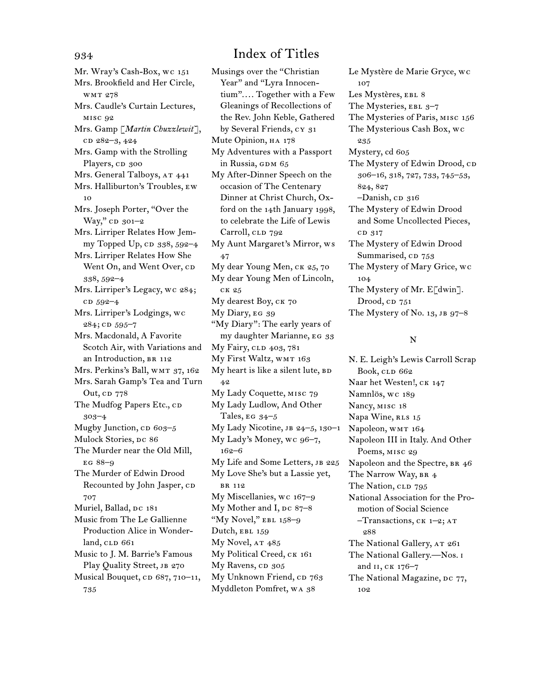Mr. Wray's Cash-Box, wc 151 Mrs. Brookfield and Her Circle, wmt 278 Mrs. Caudle's Curtain Lectures, misc 92 Mrs. Gamp [*Martin Chuzzlewit*], cd 282-3, 424 Mrs. Gamp with the Strolling Players, CD 300 Mrs. General Talboys, AT 441 Mrs. Halliburton's Troubles, ew 10 Mrs. Joseph Porter, "Over the Way," cp 301-2 Mrs. Lirriper Relates How Jemmy Topped Up, cp 338, 592-4 Mrs. Lirriper Relates How She Went On, and Went Over, CD 338, 592–4 Mrs. Lirriper's Legacy, wc 284; cd 592-4 Mrs. Lirriper's Lodgings, wc 284; cD 595-7 Mrs. Macdonald, A Favorite Scotch Air, with Variations and an Introduction, BR 112 Mrs. Perkins's Ball, WMT 37, 162 Mrs. Sarah Gamp's Tea and Turn Out, cp 778 The Mudfog Papers Etc., CD 303–4 Mugby Junction, cp 603-5 Mulock Stories, DC 86 The Murder near the Old Mill, eg 88–9 The Murder of Edwin Drood Recounted by John Jasper, CD 707 Muriel, Ballad, DC 181 Music from The Le Gallienne Production Alice in Wonder $land, c<sub>LD</sub> 661$ Music to J. M. Barrie's Famous Play Quality Street, JB 270 Musical Bouquet, cp 687, 710–11, 735

Musings over the "Christian Year" and "Lyra Innocentium".... Together with a Few Gleanings of Recollections of the Rev. John Keble, Gathered by Several Friends, cy 31 Mute Opinion, ha 178 My Adventures with a Passport in Russia, GDM 65 My After-Dinner Speech on the occasion of The Centenary Dinner at Christ Church, Oxford on the 14th January 1998, to celebrate the Life of Lewis Carroll, CLD 792 My Aunt Margaret's Mirror, ws 47 My dear Young Men, ck 25, 70 My dear Young Men of Lincoln, ck 25 My dearest Boy, ск 70 My Diary, EG 39 "My Diary": The early years of my daughter Marianne, eg 33 My Fairy, CLD 403, 781 My First Waltz, wmt 163 My heart is like a silent lute, BD 42 My Lady Coquette, misc 79 My Lady Ludlow, And Other Tales, EG  $34-5$ My Lady Nicotine, jb 24–5, 130–1 My Lady's Money, wc 96–7, 162–6 My Life and Some Letters, JB 225 My Love She's but a Lassie yet, br 112 My Miscellanies, wc 167–9 My Mother and I,  $pc$  87–8 "My Novel," EBL 158-9 Dutch, EBL 159 My Novel, AT  $485$ My Political Creed, ck 161 My Ravens, CD 305 My Unknown Friend, CD 763 Myddleton Pomfret, wa 38

Le Mystère de Marie Gryce, wc 107 Les Mystères, EBL 8 The Mysteries, EBL 3-7 The Mysteries of Paris, misc 156 The Mysterious Cash Box, wc 235 Mystery, cd 605 The Mystery of Edwin Drood, cD 306–16, 318, 727, 733, 745–53, 824, 827 -Danish, cp 316 The Mystery of Edwin Drood and Some Uncollected Pieces, cd 317 The Mystery of Edwin Drood Summarised, CD 753 The Mystery of Mary Grice, wc 104 The Mystery of Mr. E[dwin]. Drood, CD 751 The Mystery of No. 13, JB 97-8

## N

N. E. Leigh's Lewis Carroll Scrap Book, CLD 662 Naar het Westen!, ck 147 Namnlös, wc 189 Nancy, misc 18 Napa Wine, RLS 15 Napoleon, WMT 164 Napoleon III in Italy. And Other Poems, misc 29 Napoleon and the Spectre, BR 46 The Narrow Way, BR 4 The Nation, CLD 795 National Association for the Promotion of Social Science –Transactions, ck 1–2; at 288 The National Gallery, AT 261 The National Gallery.—Nos. i and ii, ck 176–7 The National Magazine, DC 77, 102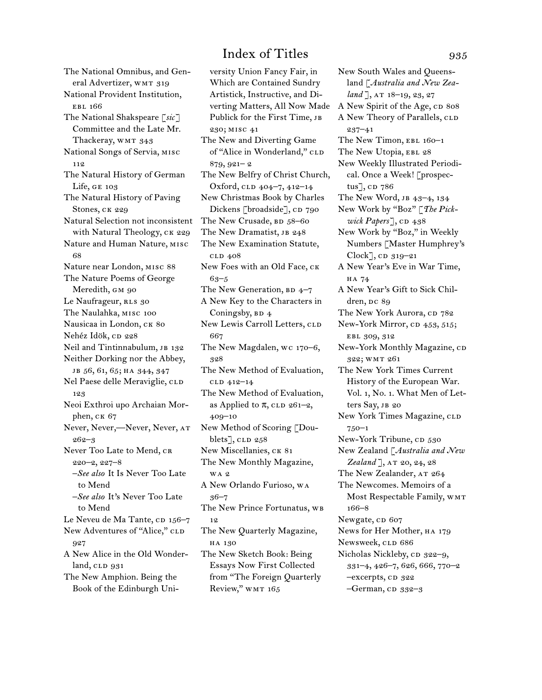The National Omnibus, and General Advertizer, WMT 319 National Provident Institution, ebl 166 The National Shakspeare [*sic*] Committee and the Late Mr. Thackeray, WMT 343 National Songs of Servia, misc 112 The Natural History of German Life, ge 103 The Natural History of Paving Stones, ck 229 Natural Selection not inconsistent with Natural Theology, CK 229 Nature and Human Nature, misc 68 Nature near London, misc 88 The Nature Poems of George Meredith, GM 90 Le Naufrageur, RLS 30 The Naulahka, misc 100 Nausicaa in London, CK 80 Nehéz Idök, cp 228 Neil and Tintinnabulum, JB 132 Neither Dorking nor the Abbey, jb 56, 61, 65; ha 344, 347 Nel Paese delle Meraviglie, CLD 123 Neoi Exthroi upo Archaian Morphen, CK 67 Never, Never,—Never, Never, at 262–3 Never Too Late to Mend, CR 220–2, 227–8 –*See also* It Is Never Too Late to Mend –*See also* It's Never Too Late to Mend Le Neveu de Ma Tante, cD 156-7 New Adventures of "Alice," CLD 927 A New Alice in the Old Wonder $land$ ,  $CLD$   $931$ The New Amphion. Being the Book of the Edinburgh Uni-

versity Union Fancy Fair, in Which are Contained Sundry Artistick, Instructive, and Diverting Matters, All Now Made Publick for the First Time, JB 230; misc 41 The New and Diverting Game of "Alice in Wonderland," CLD 879, 921– 2 The New Belfry of Christ Church, Oxford, cld 404–7, 412–14 New Christmas Book by Charles Dickens [broadside], CD 790 The New Crusade, BD 58–60 The New Dramatist, JB 248 The New Examination Statute, cld 408 New Foes with an Old Face,  $CK$ 63–5 The New Generation,  $BD$  4–7 A New Key to the Characters in Coningsby,  $BD$  4 New Lewis Carroll Letters, CLD 667 The New Magdalen, wc 170–6, 328 The New Method of Evaluation, cld 412–14 The New Method of Evaluation, as Applied to  $\pi$ , CLD 261–2, 409–10 New Method of Scoring [Doublets],  $CLD$  258 New Miscellanies, CK 81 The New Monthly Magazine, wa 2 A New Orlando Furioso, wa 36–7 The New Prince Fortunatus, WB 12 The New Quarterly Magazine, ha 130 The New Sketch Book: Being Essays Now First Collected from "The Foreign Quarterly Review," WMT 165

New South Wales and Queensland [*Australia and New Zealand* ], AT 18-19, 23, 27 A New Spirit of the Age, CD 808 A New Theory of Parallels, CLD 237–41 The New Timon, EBL 160-1 The New Utopia, EBL 28 New Weekly Illustrated Periodical. Once a Week! [prospectus $\rceil$ , cp  $786$ The New Word, jb 43–4, 134 New Work by "Boz" [*The Pickwick Papers*], CD 438 New Work by "Boz," in Weekly Numbers [Master Humphrey's  $Clock$ , cp  $319-21$ A New Year's Eve in War Time, ha 74 A New Year's Gift to Sick Children, Dc 89 The New York Aurora, CD 782 New-York Mirror, cp 453, 515; EBL 309, 312 New-York Monthly Magazine, co 322; wmt 261 The New York Times Current History of the European War. Vol. 1, No. 1. What Men of Letters Say, JB 20 New York Times Magazine, CLD 750–1 New-York Tribune, CD 530 New Zealand [*Australia and New*  Zealand ], AT 20, 24, 28 The New Zealander, AT 264 The Newcomes. Memoirs of a Most Respectable Family, WMT 166–8 Newgate, cp 607 News for Her Mother, ha 179 Newsweek, CLD 686 Nicholas Nickleby, cp 322-9, 331–4, 426–7, 626, 666, 770–2 -excerpts, cD 322  $-$ German,  $CD$  332–3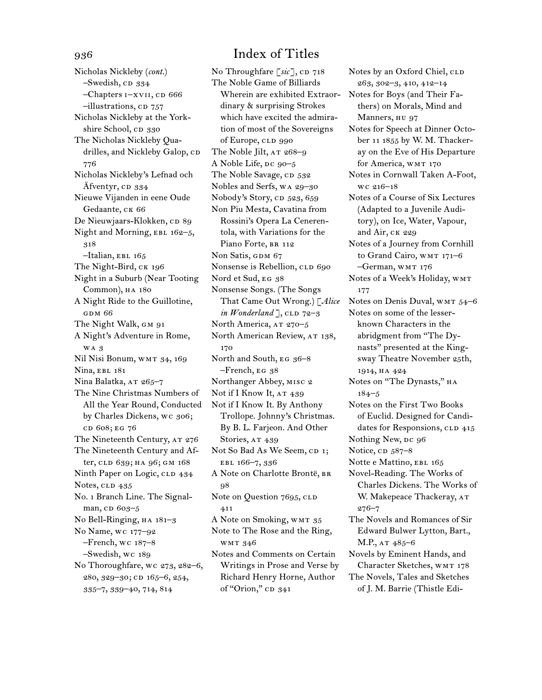Nicholas Nickleby (*cont.*) –Swedish, cp 334 –Chapters i–xvii, cd 666 -illustrations, cp 757 Nicholas Nickleby at the Yorkshire School, CD 330 The Nicholas Nickleby Quadrilles, and Nickleby Galop, CD 776 Nicholas Nickleby's Lefnad och Äfventyr, cD 334 Nieuwe Vijanden in eene Oude Gedaante, CK 66 De Nieuwjaars-Klokken, cp 89 Night and Morning, EBL 162-5, 318  $-$ Italian, EBL 165 The Night-Bird, CK 196 Night in a Suburb (Near Tooting Common), HA 180 A Night Ride to the Guillotine, gdm 66 The Night Walk, GM 91 A Night's Adventure in Rome, wa 3 Nil Nisi Bonum, wmt 34, 169 Nina, EBL 181 Nina Balatka, AT 265-7 The Nine Christmas Numbers of All the Year Round, Conducted by Charles Dickens, wc 306; cd 608; eg 76 The Nineteenth Century, AT 276 The Nineteenth Century and After, cld 639; ha 96; GM 168 Ninth Paper on Logic, CLD 434 Notes, CLD 435 No. 1 Branch Line. The Signalman, cD 603-5 No Bell-Ringing, ha 181–3 No Name, wc 177–92 –French, wc 187–8 –Swedish, wc 189 No Thoroughfare, wc 273, 282–6, 280, 329–30; cd 165–6, 254, 335–7, 339–40, 714, 814

# 936 Index of Titles

No Throughfare [sic], CD 718 The Noble Game of Billiards Wherein are exhibited Extraordinary & surprising Strokes which have excited the admiration of most of the Sovereigns of Europe, CLD 990 The Noble Jilt, AT 268-9 A Noble Life, DC 90-5 The Noble Savage, CD 532 Nobles and Serfs, wa 29–30 Nobody's Story, cn 523, 659 Non Piu Mesta, Cavatina from Rossini's Opera La Cenerentola, with Variations for the Piano Forte, BR 112 Non Satis, GDM 67 Nonsense is Rebellion, CLD 690 Nord et Sud, EG 38 Nonsense Songs. (The Songs That Came Out Wrong.) [*Alice in Wonderland*  $\left[ \right]$ , CLD 72–3 North America, AT 270-5 North American Review, AT 138, 170 North and South, EG 36-8 –French, eg 38 Northanger Abbey, misc 2 Not if I Know It, AT 439 Not if I Know It. By Anthony Trollope. Johnny's Christmas. By B. L. Farjeon. And Other Stories, AT 439 Not So Bad As We Seem, CD 1; ebl 166–7, 336 A Note on Charlotte Brontë, BR 98 Note on Question 7695, CLD 411 A Note on Smoking, WMT 35 Note to The Rose and the Ring, wmt 346 Notes and Comments on Certain Writings in Prose and Verse by Richard Henry Horne, Author of "Orion," cD 341

263, 302–3, 410, 412–14 Notes for Boys (and Their Fathers) on Morals, Mind and Manners, HU 97 Notes for Speech at Dinner October 11 1855 by W. M. Thackeray on the Eve of His Departure for America, WMT 170 Notes in Cornwall Taken A-Foot, wc 216–18 Notes of a Course of Six Lectures (Adapted to a Juvenile Auditory), on Ice, Water, Vapour, and Air, ck 229 Notes of a Journey from Cornhill to Grand Cairo, WMT 171-6 –German, wmt 176 Notes of a Week's Holiday, WMT 177 Notes on Denis Duval, WMT 54-6 Notes on some of the lesserknown Characters in the abridgment from "The Dynasts" presented at the Kingsway Theatre November 25th, 1914, ha 424 Notes on "The Dynasts," на 184–5 Notes on the First Two Books of Euclid. Designed for Candidates for Responsions, CLD 415 Nothing New, DC 96 Notice, cp 587–8 Notte e Mattino, EBL 165 Novel-Reading. The Works of Charles Dickens. The Works of W. Makepeace Thackeray, AT 276–7 The Novels and Romances of Sir Edward Bulwer Lytton, Bart., M.P., AT 485-6 Novels by Eminent Hands, and Character Sketches, wmt 178 The Novels, Tales and Sketches of J. M. Barrie (Thistle Edi-

Notes by an Oxford Chiel, CLD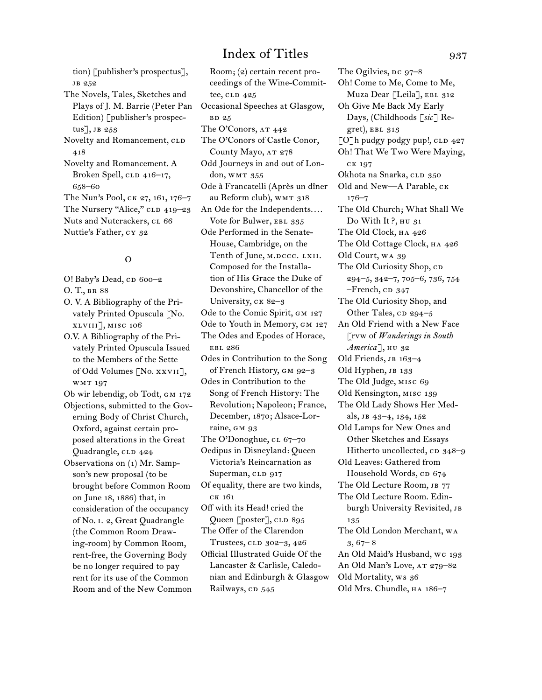tion) [publisher's prospectus], jb 252

The Novels, Tales, Sketches and Plays of J. M. Barrie (Peter Pan Edition) [publisher's prospectus], JB  $253$ Novelty and Romancement, CLD 418 Novelty and Romancement. A Broken Spell, CLD 416–17, 658–60 The Nun's Pool, ck 27, 161, 176–7 The Nursery "Alice," CLD 419-23 Nuts and Nutcrackers, cL 66 Nuttie's Father, cy 32

## O

O! Baby's Dead, CD 600-2 O. T., BR 88 O. V. A Bibliography of the Privately Printed Opuscula [No. xlviii], misc 106 O.V. A Bibliography of the Privately Printed Opuscula Issued to the Members of the Sette of Odd Volumes [No. xxvii], wmt 197 Ob wir lebendig, ob Todt, gm 172 Objections, submitted to the Governing Body of Christ Church, Oxford, against certain proposed alterations in the Great Quadrangle, CLD 424 Observations on (1) Mr. Sampson's new proposal (to be brought before Common Room on June 18, 1886) that, in consideration of the occupancy of No. i. 2, Great Quadrangle (the Common Room Drawing-room) by Common Room, rent-free, the Governing Body be no longer required to pay rent for its use of the Common Room and of the New Common

Room; (2) certain recent proceedings of the Wine-Committee,  $CLD$   $425$ Occasional Speeches at Glasgow, bd 25 The O'Conors, AT 442 The O'Conors of Castle Conor, County Mayo, AT 278 Odd Journeys in and out of London, WMT 355 Ode à Francatelli (Après un dîner au Reform club), WMT 318 An Ode for the Independents.... Vote for Bulwer, EBL 335 Ode Performed in the Senate-House, Cambridge, on the Tenth of June, M.DCCC. LXII. Composed for the Installation of His Grace the Duke of Devonshire, Chancellor of the University, CK 82-3 Ode to the Comic Spirit, GM 127 Ode to Youth in Memory, GM 127 The Odes and Epodes of Horace, ebl 286 Odes in Contribution to the Song of French History, gm 92–3 Odes in Contribution to the Song of French History: The Revolution; Napoleon; France, December, 1870; Alsace-Lorraine, GM 93 The O'Donoghue, cl 67-70 Oedipus in Disneyland: Queen Victoria's Reincarnation as Superman, CLD 917 Of equality, there are two kinds, ck 161 Off with its Head! cried the Queen [poster], CLD 895 The Offer of the Clarendon Trustees, CLD 302-3, 426 Official Illustrated Guide Of the Lancaster & Carlisle, Caledonian and Edinburgh & Glasgow Railways, CD 545

The Ogilvies,  $pc$  97–8 Oh! Come to Me, Come to Me, Muza Dear [Leila], EBL 312 Oh Give Me Back My Early Days, (Childhoods [*sic*] Re $gret$ , EBL  $313$ [O]h pudgy podgy pup!, CLD 427 Oh! That We Two Were Maying, ck 197 Okhota na Snarka, CLD 350 Old and New—A Parable, ck 176–7 The Old Church; What Shall We Do With It?, HU 31 The Old Clock, ha 426 The Old Cottage Clock, ha 426 Old Court, wa 39 The Old Curiosity Shop, CD 294–5, 342–7, 705–6, 736, 754  $-$ French,  $CD$  347 The Old Curiosity Shop, and Other Tales,  $CD$  294–5 An Old Friend with a New Face [rvw of *Wanderings in South America*], ни 32 Old Friends, JB 163-4 Old Hyphen, JB 133 The Old Judge, misc 69 Old Kensington, misc 139 The Old Lady Shows Her Medals, jb 43–4, 134, 152 Old Lamps for New Ones and Other Sketches and Essays Hitherto uncollected, cp 348–9 Old Leaves: Gathered from Household Words, CD 674 The Old Lecture Room, JB 77 The Old Lecture Room. Edinburgh University Revisited, JB 135 The Old London Merchant, wa  $3,67-8$ An Old Maid's Husband, wc 193 An Old Man's Love, AT 279-82 Old Mortality, ws 36 Old Mrs. Chundle, ha 186–7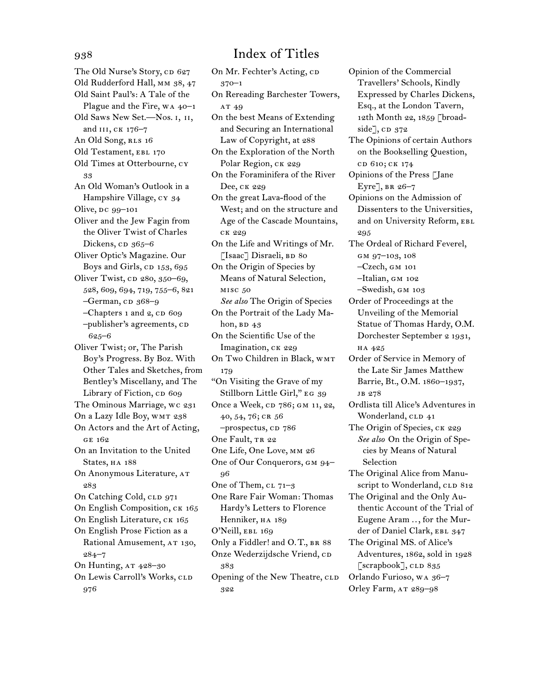The Old Nurse's Story, cp 627 Old Rudderford Hall, mm 38, 47 Old Saint Paul's: A Tale of the Plague and the Fire, wa 40–1 Old Saws New Set.—Nos. i, ii, and III, CK 176-7 An Old Song, RLS 16 Old Testament, EBL 170 Old Times at Otterbourne, cy 33 An Old Woman's Outlook in a Hampshire Village, cy 34 Olive, DC 99-101 Oliver and the Jew Fagin from the Oliver Twist of Charles Dickens, cp 365–6 Oliver Optic's Magazine. Our Boys and Girls, cp 153, 695 Oliver Twist, cp 280, 350–69, 528, 609, 694, 719, 755–6, 821 –German, cp 368–9 –Chapters 1 and 2, CD 609 –publisher's agreements, cd 625–6 Oliver Twist; or, The Parish Boy's Progress. By Boz. With Other Tales and Sketches, from Bentley's Miscellany, and The Library of Fiction, cp 609 The Ominous Marriage, wc 231 On a Lazy Idle Boy, WMT 238 On Actors and the Art of Acting, ge 162 On an Invitation to the United States, HA 188 On Anonymous Literature, at 283 On Catching Cold, CLD 971 On English Composition, ck 165 On English Literature, CK 165 On English Prose Fiction as a Rational Amusement, AT 130, 284–7 On Hunting, AT 428-30 On Lewis Carroll's Works, CLD 976

# 938 Index of Titles

On Mr. Fechter's Acting, CD

370–1 On Rereading Barchester Towers, AT 49 On the best Means of Extending and Securing an International Law of Copyright, at 288 On the Exploration of the North Polar Region, CK 229 On the Foraminifera of the River Dee, ck 229 On the great Lava-flood of the West; and on the structure and Age of the Cascade Mountains, ck 229 On the Life and Writings of Mr. [Isaac] Disraeli, BD 80 On the Origin of Species by Means of Natural Selection, misc 50 *See also* The Origin of Species On the Portrait of the Lady Mahon,  $BD$  43 On the Scientific Use of the Imagination, CK 229 On Two Children in Black, WMT 179 "On Visiting the Grave of my Stillborn Little Girl," EG 39 Once a Week, CD 786; GM 11, 22, 40, 54, 76; CR 56 –prospectus, cd 786 One Fault, TR 22 One Life, One Love, mm 26 One of Our Conquerors, GM 94-96 One of Them,  $CL 71-3$ One Rare Fair Woman: Thomas Hardy's Letters to Florence Henniker, HA 189 O'Neill, EBL 169 Only a Fiddler! and O.T., br 88 Onze Wederzijdsche Vriend, cD 383 Opening of the New Theatre, CLD 322

Opinion of the Commercial Travellers' Schools, Kindly Expressed by Charles Dickens, Esq., at the London Tavern, 12th Month 22, 1859 [broad $side$ ], CD  $372$ The Opinions of certain Authors on the Bookselling Question, cd 610; ck 174 Opinions of the Press [Jane Eyre], br 26–7 Opinions on the Admission of Dissenters to the Universities, and on University Reform, EBL 295 The Ordeal of Richard Feverel, GM 97-103, 108

–Czech, gm 101

–Italian, gm 102

–Swedish, gm 103

Order of Proceedings at the Unveiling of the Memorial Statue of Thomas Hardy, O.M. Dorchester September 2 1931, ha 425

Order of Service in Memory of the Late Sir James Matthew Barrie, Bt., O.M. 1860–1937, jb 278

Ordlista till Alice's Adventures in Wonderland, CLD 41

The Origin of Species, CK 229 *See also* On the Origin of Species by Means of Natural Selection

The Original Alice from Manuscript to Wonderland, CLD 812

The Original and the Only Authentic Account of the Trial of Eugene Aram .., for the Murder of Daniel Clark, EBL 347

The Original MS. of Alice's Adventures, 1862, sold in 1928 [ $scrb$ ],  $CLD$  835 Orlando Furioso, wa 36–7

Orley Farm, AT 289-98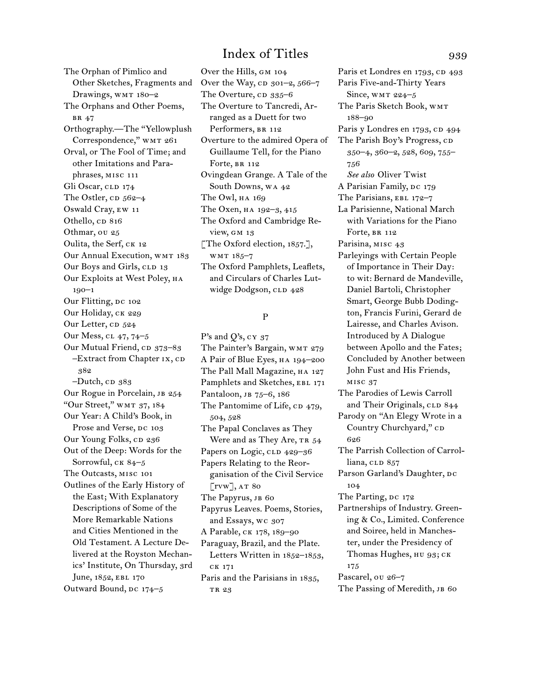The Orphan of Pimlico and Other Sketches, Fragments and Drawings, WMT 180-2 The Orphans and Other Poems, br 47 Orthography.—The "Yellowplush Correspondence," wmt 261 Orval, or The Fool of Time; and other Imitations and Paraphrases, misc 111 Gli Oscar, CLD 174 The Ostler,  $CD$  562–4 Oswald Cray, ew 11 Othello, CD 816 Othmar, ou 25 Oulita, the Serf, ck 12 Our Annual Execution, WMT 183 Our Boys and Girls, CLD 13 Our Exploits at West Poley, ha 190–1 Our Flitting, DC 102 Our Holiday, CK 229 Our Letter, cp 524 Our Mess, cl 47, 74–5 Our Mutual Friend, cp 373–83  $-$ Extract from Chapter  $IX, CD$ 382  $-D$ utch, c $D$  383 Our Rogue in Porcelain, JB 254 "Our Street," WMT 37, 184 Our Year: A Child's Book, in Prose and Verse, DC 103 Our Young Folks, CD 236 Out of the Deep: Words for the Sorrowful, CK 84-5 The Outcasts, misc 101 Outlines of the Early History of the East; With Explanatory Descriptions of Some of the More Remarkable Nations and Cities Mentioned in the Old Testament. A Lecture Delivered at the Royston Mechanics' Institute, On Thursday, 3rd June, 1852, EBL 170 Outward Bound, DC 174-5

Over the Hills, gm 104 Over the Way,  $CD$  301–2, 566–7 The Overture,  $CD$  335–6 The Overture to Tancredi, Arranged as a Duett for two Performers, BR 112 Overture to the admired Opera of Guillaume Tell, for the Piano Forte, BR 112 Ovingdean Grange. A Tale of the South Downs, wa 42 The Owl, на 169 The Oxen, ha 192–3, 415 The Oxford and Cambridge Review, gm 13 [The Oxford election, 1857.], wmt 185–7 The Oxford Pamphlets, Leaflets, and Circulars of Charles Lutwidge Dodgson, CLD 428

## P

P's and Q's,  $cY$  37 The Painter's Bargain, WMT 279 A Pair of Blue Eyes, ha 194–200 The Pall Mall Magazine, HA 127 Pamphlets and Sketches, EBL 171 Pantaloon, JB 75-6, 186 The Pantomime of Life, CD 479, 504, 528 The Papal Conclaves as They Were and as They Are, TR 54 Papers on Logic, CLD 429-36 Papers Relating to the Reorganisation of the Civil Service  $\lbrack$ rvw $\rbrack$ , at 80 The Papyrus, JB 60 Papyrus Leaves. Poems, Stories, and Essays, wc 307 A Parable, ck 178, 189–90 Paraguay, Brazil, and the Plate. Letters Written in 1852–1853, ck 171 Paris and the Parisians in 1835, TR 23

Paris et Londres en 1793, CD 493 Paris Five-and-Thirty Years Since,  $WMT 224-5$ The Paris Sketch Book, wmt 188–90 Paris y Londres en 1793, CD 494 The Parish Boy's Progress, CD 350–4, 360–2, 528, 609, 755– 756 *See also* Oliver Twist A Parisian Family, DC 179 The Parisians, EBL 172-7 La Parisienne, National March with Variations for the Piano Forte, BR 112 Parisina, MISC 43 Parleyings with Certain People of Importance in Their Day: to wit: Bernard de Mandeville, Daniel Bartoli, Christopher Smart, George Bubb Dodington, Francis Furini, Gerard de Lairesse, and Charles Avison. Introduced by A Dialogue between Apollo and the Fates; Concluded by Another between John Fust and His Friends, misc 37 The Parodies of Lewis Carroll and Their Originals, CLD 844 Parody on "An Elegy Wrote in a Country Churchyard," CD 626 The Parrish Collection of Carrolliana, CLD 857 Parson Garland's Daughter, DC 104 The Parting, DC 172 Partnerships of Industry. Greening & Co., Limited. Conference and Soiree, held in Manchester, under the Presidency of Thomas Hughes, HU 93; CK 175 Pascarel, ou 26–7 The Passing of Meredith, JB 60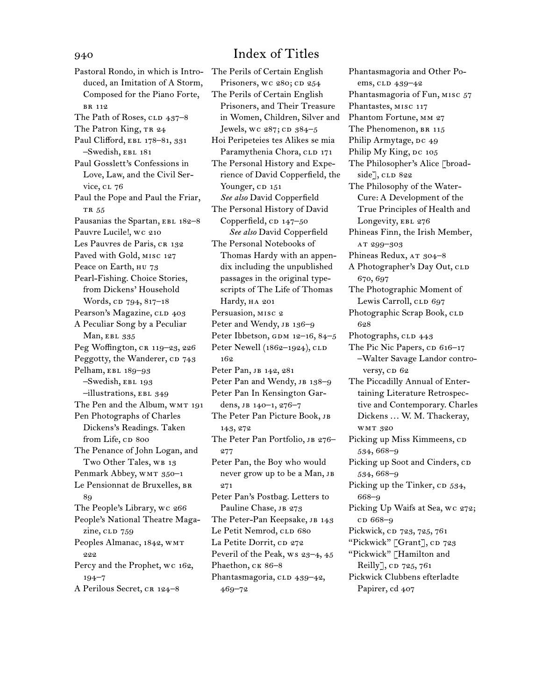Pastoral Rondo, in which is Introduced, an Imitation of A Storm, Composed for the Piano Forte, br 112 The Path of Roses,  $CLD$  437–8 The Patron King, TR 24 Paul Clifford, EBL 178-81, 331 –Swedish, ebl 181 Paul Gosslett's Confessions in Love, Law, and the Civil Service, cl 76 Paul the Pope and Paul the Friar, TR 55 Pausanias the Spartan, EBL 182-8 Pauvre Lucile!, wc 210 Les Pauvres de Paris, CR 132 Paved with Gold, misc 127 Peace on Earth, HU 73 Pearl-Fishing. Choice Stories, from Dickens' Household Words, cp 794, 817-18 Pearson's Magazine, CLD 403 A Peculiar Song by a Peculiar Man, EBL 335 Peg Woffington, CR 119-23, 226 Peggotty, the Wanderer, CD 743 Pelham, EBL 189-93 –Swedish, ebl 193 –illustrations, ebl 349 The Pen and the Album, WMT 191 Pen Photographs of Charles Dickens's Readings. Taken from Life, CD 800 The Penance of John Logan, and Two Other Tales, WB 13 Penmark Abbey, WMT 350-1 Le Pensionnat de Bruxelles, BR 89 The People's Library, wc 266 People's National Theatre Magazine, CLD 759 Peoples Almanac, 1842, wmt 222 Percy and the Prophet, wc 162, 194–7 A Perilous Secret, CR 124-8

The Perils of Certain English Prisoners, wc 280; cD 254 The Perils of Certain English Prisoners, and Their Treasure in Women, Children, Silver and Jewels, wc 287; cD 384-5 Hoi Peripeteies tes Alikes se mia Paramythenia Chora, CLD 171 The Personal History and Experience of David Copperfield, the Younger, CD 151 *See also* David Copperfield The Personal History of David Copperfield,  $CD$  147–50 *See also* David Copperfield The Personal Notebooks of Thomas Hardy with an appendix including the unpublished passages in the original typescripts of The Life of Thomas Hardy, HA 201 Persuasion, misc 2 Peter and Wendy, JB 136-9 Peter Ibbetson, GDM  $12-16$ ,  $84-5$ Peter Newell (1862-1924), CLD 162 Peter Pan, JB 142, 281 Peter Pan and Wendy, JB 138-9 Peter Pan In Kensington Gardens, jb 140–1, 276–7 The Peter Pan Picture Book, jb 143, 272 The Peter Pan Portfolio, JB 276-277 Peter Pan, the Boy who would never grow up to be a Man, JB 271 Peter Pan's Postbag. Letters to Pauline Chase, JB 273 The Peter-Pan Keepsake, JB 143 Le Petit Nemrod, CLD 680 La Petite Dorrit, CD 272 Peveril of the Peak, ws 23-4, 45 Phaethon, CK 86-8 Phantasmagoria, CLD 439-42, 469–72

Phantasmagoria and Other Poems, clp 439-42 Phantasmagoria of Fun, MISC 57 Phantastes, misc 117 Phantom Fortune, mm 27 The Phenomenon, BR 115 Philip Armytage, DC 49 Philip My King, DC 105 The Philosopher's Alice [broadside], CLD 822 The Philosophy of the Water-Cure: A Development of the True Principles of Health and Longevity, EBL 276 Phineas Finn, the Irish Member, at 299–303 Phineas Redux, AT 304-8 A Photographer's Day Out, CLD 670, 697 The Photographic Moment of Lewis Carroll, CLD 697 Photographic Scrap Book, CLD 628 Photographs, CLD 443 The Pic Nic Papers,  $CD$  616–17 –Walter Savage Landor controversy, cp 62 The Piccadilly Annual of Entertaining Literature Retrospective and Contemporary. Charles Dickens ... W. M. Thackeray, wmt 320 Picking up Miss Kimmeens, CD 534, 668–9 Picking up Soot and Cinders, CD 534, 668–9 Picking up the Tinker, CD 534, 668–9 Picking Up Waifs at Sea, wc 272; cd 668–9 Pickwick, cp 723, 725, 761 "Pickwick" [Grant], cD 723 "Pickwick" [Hamilton and Reilly],  $CD$  725, 761 Pickwick Clubbens efterladte Papirer, cd 407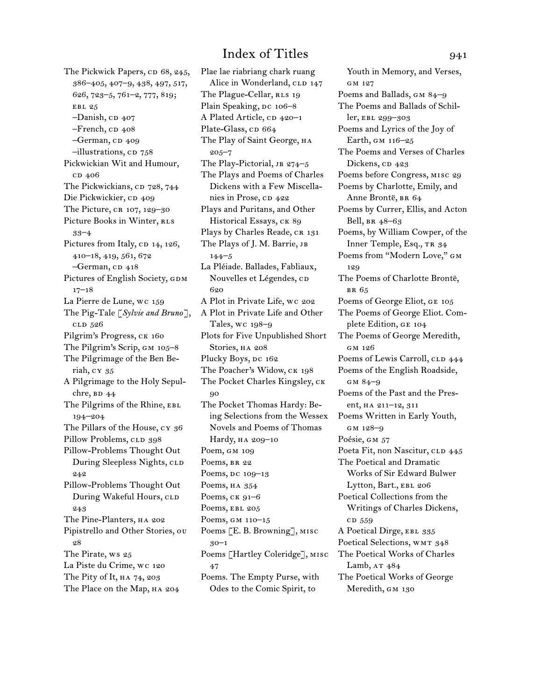The Pickwick Papers, CD 68, 245, 386–405, 407–9, 438, 497, 517, 626, 723–5, 761–2, 777, 819; EBL 25  $-Danish$ , CD  $407$ –French, c $p$  408 -German, cp 409  $-$ illustrations, cp  $758$ Pickwickian Wit and Humour, c<sub>D</sub> 406 The Pickwickians, cp 728, 744 Die Pickwickier, cp 409 The Picture, CR 107, 129-30 Picture Books in Winter, RLS 33–4 Pictures from Italy,  $CD$  14, 126, 410–18, 419, 561, 672 -German, cD 418 Pictures of English Society, GDM  $17 - 18$ La Pierre de Lune, wc 159 The Pig-Tale [*Sylvie and Bruno*], cld 526 Pilgrim's Progress, CK 160 The Pilgrim's Scrip, gm 105–8 The Pilgrimage of the Ben Beriah, cy 35 A Pilgrimage to the Holy Sepulchre,  $BD$  44 The Pilgrims of the Rhine, EBL 194–204 The Pillars of the House, cy 36 Pillow Problems, CLD 398 Pillow-Problems Thought Out During Sleepless Nights, CLD 242 Pillow-Problems Thought Out During Wakeful Hours, CLD 243 The Pine-Planters, HA 202 Pipistrello and Other Stories, ou 28 The Pirate, ws 25 La Piste du Crime, wc 120 The Pity of It, HA 74, 203 The Place on the Map, HA 204

Plae lae riabriang chark ruang Alice in Wonderland, CLD 147 The Plague-Cellar, RLS 19 Plain Speaking, DC 106-8 A Plated Article, CD 420-1 Plate-Glass, cp 664 The Play of Saint George, на 205–7 The Play-Pictorial,  $JB 274-5$ The Plays and Poems of Charles Dickens with a Few Miscellanies in Prose, cp 422 Plays and Puritans, and Other Historical Essays, CK 89 Plays by Charles Reade, CR 131 The Plays of J. M. Barrie, JB 144–5 La Pléiade. Ballades, Fabliaux, Nouvelles et Légendes, co 620 A Plot in Private Life, wc 202 A Plot in Private Life and Other Tales, wc 198–9 Plots for Five Unpublished Short Stories, HA 208 Plucky Boys, DC 162 The Poacher's Widow, CK 198 The Pocket Charles Kingsley, ck 90 The Pocket Thomas Hardy: Being Selections from the Wessex Novels and Poems of Thomas Hardy, ha 209–10 Poem, gm 109 Poems, BR 22 Poems, DC 109-13 Poems, HA 354 Poems, ck 91–6 Poems, EBL 205 Poems, gm 110–15 Poems [E. B. Browning], misc 30–1 Poems [Hartley Coleridge], misc 47 Poems. The Empty Purse, with Odes to the Comic Spirit, to

Youth in Memory, and Verses, gm 127 Poems and Ballads, GM 84-9 The Poems and Ballads of Schiller, ebl 299–303 Poems and Lyrics of the Joy of Earth, gm 116–25 The Poems and Verses of Charles Dickens,  $CD$  423 Poems before Congress, misc 29 Poems by Charlotte, Emily, and Anne Brontë, BR 64 Poems by Currer, Ellis, and Acton Bell, br 48–63 Poems, by William Cowper, of the Inner Temple, Esq., TR 34 Poems from "Modern Love," gm 129 The Poems of Charlotte Brontë, br 65 Poems of George Eliot, ge 105 The Poems of George Eliot. Complete Edition, ge 104 The Poems of George Meredith, gm 126 Poems of Lewis Carroll, CLD 444 Poems of the English Roadside, gm 84–9 Poems of the Past and the Present, ha 211–12, 311 Poems Written in Early Youth, gm 128–9 Poésie, GM 57 Poeta Fit, non Nascitur, CLD 445 The Poetical and Dramatic Works of Sir Edward Bulwer Lytton, Bart., EBL 206 Poetical Collections from the Writings of Charles Dickens, cd 559 A Poetical Dirge, EBL 335 Poetical Selections, WMT 348 The Poetical Works of Charles Lamb,  $AT$  484 The Poetical Works of George Meredith, GM 130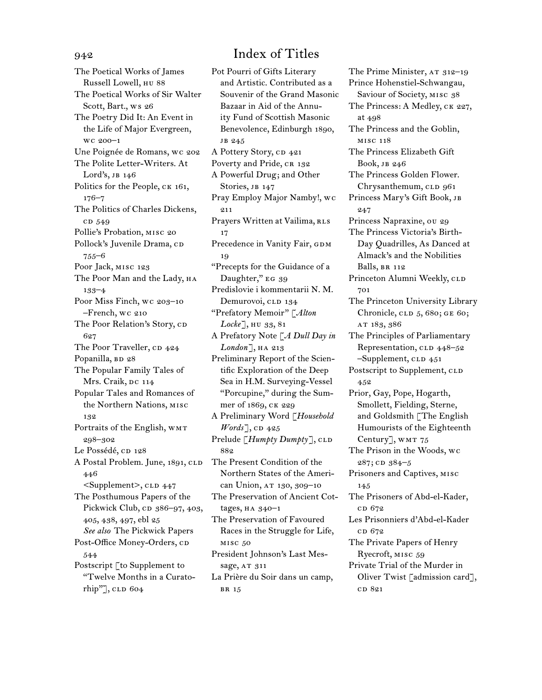The Poetical Works of James Russell Lowell, hu 88 The Poetical Works of Sir Walter Scott, Bart., ws 26 The Poetry Did It: An Event in the Life of Major Evergreen, wc 200–1 Une Poignée de Romans, wc 202 The Polite Letter-Writers. At Lord's, jb 146 Politics for the People, CK 161, 176–7 The Politics of Charles Dickens, cd 549 Pollie's Probation, misc 20 Pollock's Juvenile Drama, cD 755–6 Poor Jack, misc 123 The Poor Man and the Lady, HA 133–4 Poor Miss Finch, wc 203–10 –French, wc 210 The Poor Relation's Story, CD 627 The Poor Traveller, CD 424 Popanilla, BD 28 The Popular Family Tales of Mrs. Craik, DC 114 Popular Tales and Romances of the Northern Nations, misc 132 Portraits of the English, WMT 298–302 Le Possédé, cD 128 A Postal Problem. June, 1891, CLD 446 <Supplement>, cld 447 The Posthumous Papers of the Pickwick Club, cp 386–97, 403, 405, 438, 497, ebl 25 *See also* The Pickwick Papers Post-Office Money-Orders, cD 544 Postscript [to Supplement to "Twelve Months in a Curato $rhip"$ , CLD 604

Pot Pourri of Gifts Literary and Artistic. Contributed as a Souvenir of the Grand Masonic Bazaar in Aid of the Annuity Fund of Scottish Masonic Benevolence, Edinburgh 1890, jb 245 A Pottery Story, cp 421 Poverty and Pride, CR 132 A Powerful Drug; and Other Stories, JB 147 Pray Employ Major Namby!, wc 211 Prayers Written at Vailima, RLS 17 Precedence in Vanity Fair, GDM 19 "Precepts for the Guidance of a Daughter," EG 39 Predislovie i kommentarii N. M. Demurovoi, CLD 134 "Prefatory Memoir" [*Alton Locke*], hu 33, 81 A Prefatory Note [*A Dull Day in*  London<sup>]</sup>, HA 213 Preliminary Report of the Scientific Exploration of the Deep Sea in H.M. Surveying-Vessel "Porcupine," during the Summer of 1869, ck 229 A Preliminary Word [*Household Words*], CD 425 Prelude [*Humpty Dumpty*], CLD 882 The Present Condition of the Northern States of the American Union, AT 130, 309-10 The Preservation of Ancient Cottages,  $HA$   $340-1$ The Preservation of Favoured Races in the Struggle for Life, misc 50 President Johnson's Last Message, AT 311 La Prière du Soir dans un camp, br 15

The Prime Minister, AT 312-19 Prince Hohenstiel-Schwangau, Saviour of Society, MISC 38 The Princess: A Medley, CK 227, at 498 The Princess and the Goblin, misc 118 The Princess Elizabeth Gift Book, jb 246 The Princess Golden Flower. Chrysanthemum, CLD 961 Princess Mary's Gift Book, jb 247 Princess Napraxine, ou 29 The Princess Victoria's Birth-Day Quadrilles, As Danced at Almack's and the Nobilities Balls, BR 112 Princeton Alumni Weekly, CLD 701 The Princeton University Library Chronicle, CLD 5, 680; GE 60; at 183, 386 The Principles of Parliamentary Representation, CLD 448–52  $-$ Supplement, CLD  $451$ Postscript to Supplement, CLD 452 Prior, Gay, Pope, Hogarth, Smollett, Fielding, Sterne, and Goldsmith [The English Humourists of the Eighteenth Century], WMT 75 The Prison in the Woods, wc  $287;$  CD  $384-5$ Prisoners and Captives, misc 145 The Prisoners of Abd-el-Kader, cp 672 Les Prisonniers d'Abd-el-Kader c<sub>D</sub> 672 The Private Papers of Henry Ryecroft, misc 59 Private Trial of the Murder in Oliver Twist [admission card], c<sub>D</sub> 821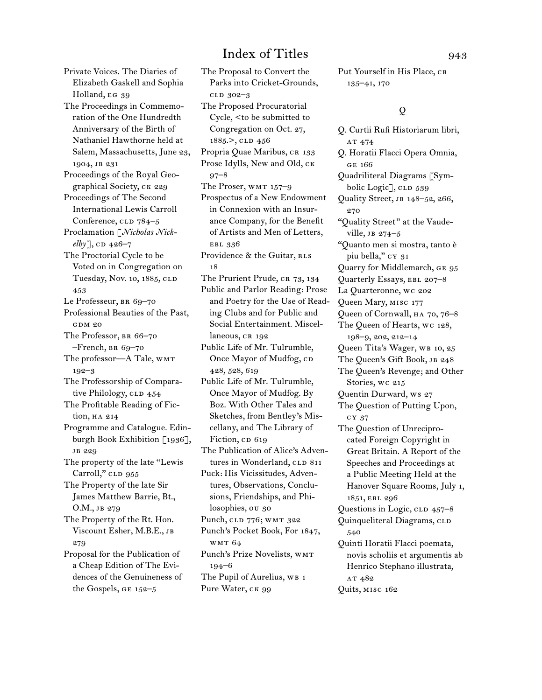Private Voices. The Diaries of Elizabeth Gaskell and Sophia Holland, EG 39 The Proceedings in Commemoration of the One Hundredth Anniversary of the Birth of Nathaniel Hawthorne held at Salem, Massachusetts, June 23, 1904, jb 231 Proceedings of the Royal Geographical Society, ck 229 Proceedings of The Second International Lewis Carroll Conference, CLD 784–5 Proclamation [*Nicholas Nick* $elby$ ], CD 426–7 The Proctorial Cycle to be Voted on in Congregation on Tuesday, Nov. 10, 1885, CLD 453 Le Professeur, BR 69-70 Professional Beauties of the Past, gdm 20 The Professor, BR 66-70  $-$ French, BR 69–70 The professor-A Tale, WMT 192–3 The Professorship of Comparative Philology,  $CLD$   $454$ The Profitable Reading of Fiction, HA 214 Programme and Catalogue. Edinburgh Book Exhibition [1936], jb 229 The property of the late "Lewis Carroll," CLD 955 The Property of the late Sir James Matthew Barrie, Bt., O.M., jb 279 The Property of the Rt. Hon. Viscount Esher, M.B.E., jb 279 Proposal for the Publication of a Cheap Edition of The Evidences of the Genuineness of the Gospels, ge 152–5

The Proposal to Convert the Parks into Cricket-Grounds, cld 302–3 The Proposed Procuratorial Cycle, <to be submitted to Congregation on Oct. 27, 1885.>, clD 456 Propria Quae Maribus, CR 133 Prose Idylls, New and Old, ck 97–8 The Proser,  $WMT 157-9$ Prospectus of a New Endowment in Connexion with an Insurance Company, for the Benefit of Artists and Men of Letters, ebl 336 Providence & the Guitar, RLS 18 The Prurient Prude, CR 73, 134 Public and Parlor Reading: Prose and Poetry for the Use of Reading Clubs and for Public and Social Entertainment. Miscellaneous, CR 192 Public Life of Mr. Tulrumble, Once Mayor of Mudfog, CD 428, 528, 619 Public Life of Mr. Tulrumble, Once Mayor of Mudfog. By Boz. With Other Tales and Sketches, from Bentley's Miscellany, and The Library of Fiction, cp 619 The Publication of Alice's Adventures in Wonderland, CLD 811 Puck: His Vicissitudes, Adventures, Observations, Conclusions, Friendships, and Philosophies, ou 30 Punch, CLD 776; WMT 322 Punch's Pocket Book, For 1847, wmt 64 Punch's Prize Novelists, wmt 194–6 The Pupil of Aurelius, WB 1 Pure Water, CK 99

Put Yourself in His Place, CR 135–41, 170

## $\Omega$

Q. Curtii Rufi Historiarum libri, AT 474 Q. Horatii Flacci Opera Omnia, ge 166 Quadriliteral Diagrams [Symbolic Logic], CLD 539 Quality Street, jb 148–52, 266, 270 "Quality Street" at the Vaudeville,  $\overline{J}$  274–5 "Quanto men si mostra, tanto è piu bella," cy 31 Quarry for Middlemarch, ge 95 Quarterly Essays, ebl 207–8 La Quarteronne, wc 202 Queen Mary, misc 177 Queen of Cornwall, ha 70, 76–8 The Queen of Hearts, wc 128, 198–9, 202, 212–14 Queen Tita's Wager, WB 10, 25 The Queen's Gift Book, JB 248 The Queen's Revenge; and Other Stories, wc 215 Quentin Durward, ws 27 The Question of Putting Upon, cy 37 The Question of Unreciprocated Foreign Copyright in Great Britain. A Report of the Speeches and Proceedings at a Public Meeting Held at the Hanover Square Rooms, July 1, 1851, ebl 296 Questions in Logic,  $CLD$   $457-8$ Quinqueliteral Diagrams, CLD 540 Quinti Horatii Flacci poemata, novis scholiis et argumentis ab Henrico Stephano illustrata, AT 482 Quits, misc 162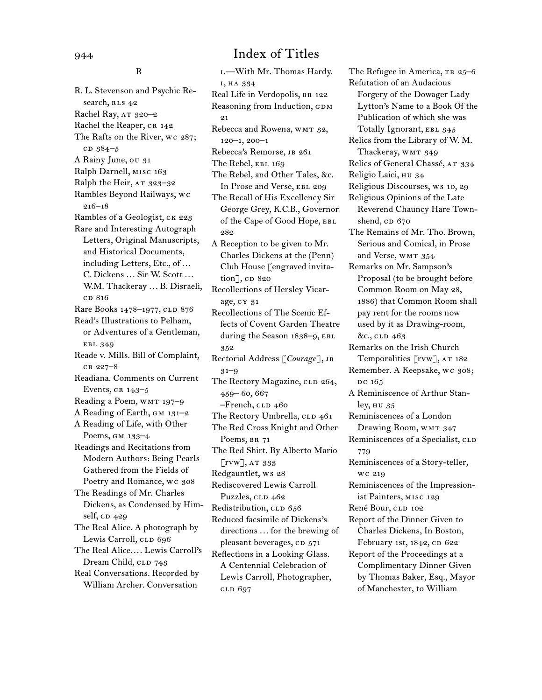R

R. L. Stevenson and Psychic Research, RLS 42 Rachel Ray,  $AT_{320-2}$ Rachel the Reaper, CR 142 The Rafts on the River, wc 287;  $CD$  384–5 A Rainy June, ou 31 Ralph Darnell, misc 163 Ralph the Heir, AT 323-32 Rambles Beyond Railways, wc 216–18 Rambles of a Geologist, ck 223 Rare and Interesting Autograph Letters, Original Manuscripts, and Historical Documents, including Letters, Etc., of ... C. Dickens ... Sir W. Scott ... W.M. Thackeray ... B. Disraeli, c<sub>D</sub> 816 Rare Books 1478–1977, CLD 876 Read's Illustrations to Pelham, or Adventures of a Gentleman, ebl 349 Reade v. Mills. Bill of Complaint, cr 227–8 Readiana. Comments on Current Events,  $CR$  143–5 Reading a Poem, WMT 197-9 A Reading of Earth, GM 131-2 A Reading of Life, with Other Poems, gm 133–4 Readings and Recitations from Modern Authors: Being Pearls Gathered from the Fields of Poetry and Romance, wc 308 The Readings of Mr. Charles Dickens, as Condensed by Himself, cp 429 The Real Alice. A photograph by Lewis Carroll, CLD 696 The Real Alice.... Lewis Carroll's Dream Child, CLD 743 Real Conversations. Recorded by William Archer. Conversation

i.—With Mr. Thomas Hardy. i, ha 334 Real Life in Verdopolis, BR 122 Reasoning from Induction, GDM  $^{0.1}$ Rebecca and Rowena, WMT 32, 120–1, 200–1 Rebecca's Remorse, JB 261 The Rebel, EBL 169 The Rebel, and Other Tales, &c. In Prose and Verse, EBL 209 The Recall of His Excellency Sir George Grey, K.C.B., Governor of the Cape of Good Hope, EBL 282 A Reception to be given to Mr. Charles Dickens at the (Penn) Club House [engraved invita $tion$ ,  $CD$  820 Recollections of Hersley Vicarage, cy 31 Recollections of The Scenic Effects of Covent Garden Theatre during the Season 1838-9, EBL 352 Rectorial Address [*Courage*], jb 31–9 The Rectory Magazine, CLD 264, 459– 60, 667  $-$ French,  $CLD$  460 The Rectory Umbrella, CLD 461 The Red Cross Knight and Other Poems, BR 71 The Red Shirt. By Alberto Mario [rvw], at 333 Redgauntlet, ws 28 Rediscovered Lewis Carroll Puzzles, CLD 462 Redistribution, CLD 656 Reduced facsimile of Dickens's directions ... for the brewing of pleasant beverages, CD 571 Reflections in a Looking Glass. A Centennial Celebration of Lewis Carroll, Photographer, cld 697

The Refugee in America, TR 25-6 Refutation of an Audacious Forgery of the Dowager Lady Lytton's Name to a Book Of the Publication of which she was Totally Ignorant, EBL 345 Relics from the Library of W. M. Thackeray, WMT 349 Relics of General Chassé, AT 334 Religio Laici, hu 34 Religious Discourses, ws 10, 29 Religious Opinions of the Late Reverend Chauncy Hare Townshend,  $CD$  670 The Remains of Mr. Tho. Brown, Serious and Comical, in Prose and Verse, WMT 354 Remarks on Mr. Sampson's Proposal (to be brought before Common Room on May 28, 1886) that Common Room shall pay rent for the rooms now used by it as Drawing-room, &c., cld 463 Remarks on the Irish Church Temporalities [rvw], AT 182 Remember. A Keepsake, wc 308; DC 165 A Reminiscence of Arthur Stanley, hu 35 Reminiscences of a London Drawing Room, WMT 347 Reminiscences of a Specialist, CLD 779 Reminiscences of a Story-teller, wc 219 Reminiscences of the Impressionist Painters, misc 129 René Bour, CLD 102 Report of the Dinner Given to Charles Dickens, In Boston, February 1st, 1842, CD 622 Report of the Proceedings at a Complimentary Dinner Given by Thomas Baker, Esq., Mayor of Manchester, to William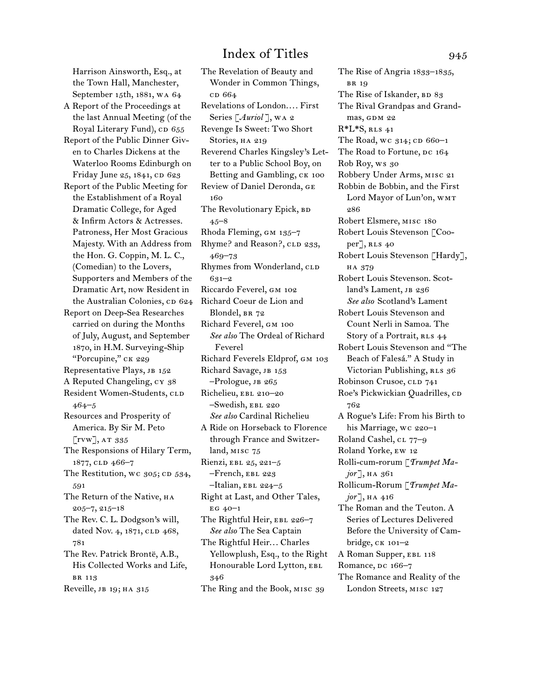Harrison Ainsworth, Esq., at the Town Hall, Manchester, September 15th, 1881, wa 64 A Report of the Proceedings at the last Annual Meeting (of the Royal Literary Fund), CD 655 Report of the Public Dinner Given to Charles Dickens at the Waterloo Rooms Edinburgh on Friday June 25, 1841, CD 623 Report of the Public Meeting for the Establishment of a Royal Dramatic College, for Aged & Infirm Actors & Actresses. Patroness, Her Most Gracious Majesty. With an Address from the Hon. G. Coppin, M. L. C., (Comedian) to the Lovers, Supporters and Members of the Dramatic Art, now Resident in the Australian Colonies, CD 624 Report on Deep-Sea Researches carried on during the Months of July, August, and September 1870, in H.M. Surveying-Ship "Porcupine," ck 229 Representative Plays, JB 152 A Reputed Changeling, cy 38 Resident Women-Students, CLD 464–5 Resources and Prosperity of America. By Sir M. Peto  $\left[\text{rvw}\right]$ , at 335 The Responsions of Hilary Term, 1877, CLD 466-7 The Restitution, wc  $305$ ; CD  $534$ , 591 The Return of the Native, HA 205–7, 215–18 The Rev. C. L. Dodgson's will, dated Nov. 4, 1871, CLD 468, 781 The Rev. Patrick Brontë, A.B., His Collected Works and Life, br 113 Reveille, JB 19; HA 315

The Revelation of Beauty and Wonder in Common Things, cd 664 Revelations of London.... First Series [*Auriol* ], wa 2 Revenge Is Sweet: Two Short Stories, HA 219 Reverend Charles Kingsley's Letter to a Public School Boy, on Betting and Gambling, CK 100 Review of Daniel Deronda, ge 160 The Revolutionary Epick, BD 45–8 Rhoda Fleming, GM 135-7 Rhyme? and Reason?, CLD 233, 469–73 Rhymes from Wonderland, CLD 631–2 Riccardo Feverel, gm 102 Richard Coeur de Lion and Blondel, BR 72 Richard Feverel, gm 100 *See also* The Ordeal of Richard Feverel Richard Feverels Eldprof, gm 103 Richard Savage, JB 153  $-$ Prologue, JB 265 Richelieu, EBL 210-20 –Swedish, ebl 220 *See also* Cardinal Richelieu A Ride on Horseback to Florence through France and Switzerland, misc 75 Rienzi, EBL 25, 221-5 –French, ebl 223  $-$ Italian, EBL 224-5 Right at Last, and Other Tales,  $EG 40-1$ The Rightful Heir, EBL 226-7 *See also* The Sea Captain The Rightful Heir... Charles Yellowplush, Esq., to the Right Honourable Lord Lytton, EBL 346 The Ring and the Book, misc 39

The Rise of Angria 1833–1835, br 19 The Rise of Iskander, BD 83 The Rival Grandpas and Grandmas, GDM 22  $R^*L^*S$ , RLS 41 The Road, wc  $314$ ; CD 660-1 The Road to Fortune, DC 164 Rob Roy, ws 30 Robbery Under Arms, misc 21 Robbin de Bobbin, and the First Lord Mayor of Lun'on, WMT 286 Robert Elsmere, misc 180 Robert Louis Stevenson [Cooper], RLS 40 Robert Louis Stevenson [Hardy], ha 379 Robert Louis Stevenson. Scotland's Lament, JB 236 *See also* Scotland's Lament Robert Louis Stevenson and Count Nerli in Samoa. The Story of a Portrait, RLS 44 Robert Louis Stevenson and "The Beach of Falesá." A Study in Victorian Publishing, RLS 36 Robinson Crusoe, CLD 741 Roe's Pickwickian Quadrilles, CD 762 A Rogue's Life: From his Birth to his Marriage, wc 220-1 Roland Cashel, CL 77-9 Roland Yorke, ew 12 Rolli-cum-rorum [*Trumpet Major*], ha 361 Rollicum-Rorum [*Trumpet Ma* $jor$ ], на 416 The Roman and the Teuton. A Series of Lectures Delivered Before the University of Cambridge, ck 101–2 A Roman Supper, EBL 118 Romance, DC 166-7 The Romance and Reality of the London Streets, misc 127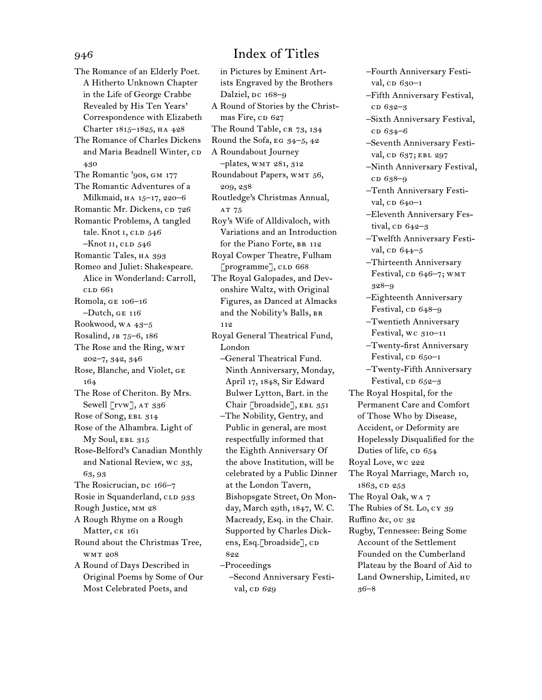The Romance of an Elderly Poet. A Hitherto Unknown Chapter in the Life of George Crabbe Revealed by His Ten Years' Correspondence with Elizabeth Charter 1815–1825, ha 428 The Romance of Charles Dickens and Maria Beadnell Winter, CD 430 The Romantic '90s, GM 177 The Romantic Adventures of a Milkmaid, HA 15-17, 220-6 Romantic Mr. Dickens, cp 726 Romantic Problems, A tangled tale. Knot I, CLD 546  $-Knot$  II, CLD  $546$ Romantic Tales, HA 393 Romeo and Juliet: Shakespeare. Alice in Wonderland: Carroll, cld 661 Romola, ge 106–16 –Dutch, ge 116 Rookwood, wa 43–5 Rosalind, JB 75–6, 186 The Rose and the Ring, WMT 202–7, 342, 346 Rose, Blanche, and Violet, ge 164 The Rose of Cheriton. By Mrs. Sewell [rvw], AT 336 Rose of Song, EBL 314 Rose of the Alhambra. Light of My Soul, EBL 315 Rose-Belford's Canadian Monthly and National Review, wc 33, 63, 93 The Rosicrucian, DC 166-7 Rosie in Squanderland, CLD 933 Rough Justice, mm 28 A Rough Rhyme on a Rough Matter, CK 161 Round about the Christmas Tree, wmt 208 A Round of Days Described in Original Poems by Some of Our Most Celebrated Poets, and

## in Pictures by Eminent Artists Engraved by the Brothers Dalziel, Dc 168–9 A Round of Stories by the Christmas Fire, cp 627 The Round Table, CR 73, 134 Round the Sofa, eg 34–5, 42 A Roundabout Journey –plates, wmt 281, 312 Roundabout Papers, WMT 56, 209, 238 Routledge's Christmas Annual, AT 75 Roy's Wife of Alldivaloch, with Variations and an Introduction for the Piano Forte, BR 112 Royal Cowper Theatre, Fulham [programme], CLD 668 The Royal Galopades, and Devonshire Waltz, with Original Figures, as Danced at Almacks and the Nobility's Balls, br 112 Royal General Theatrical Fund, London –General Theatrical Fund. Ninth Anniversary, Monday, April 17, 1848, Sir Edward Bulwer Lytton, Bart. in the Chair [broadside], EBL 351 –The Nobility, Gentry, and Public in general, are most respectfully informed that the Eighth Anniversary Of the above Institution, will be celebrated by a Public Dinner at the London Tavern, Bishopsgate Street, On Monday, March 29th, 1847, W. C. Macready, Esq. in the Chair. Supported by Charles Dickens, Esq.[broadside], CD 822 –Proceedings –Second Anniversary Festival, cD 629

- –Fourth Anniversary Festival,  $CD$  630–1
- –Fifth Anniversary Festival, c<sub>D</sub> 632-3
- –Sixth Anniversary Festival, cd 634–6
- –Seventh Anniversary Festival, CD 637; EBL 297
- –Ninth Anniversary Festival, c<sub>D</sub> 638-9
- –Tenth Anniversary Festival,  $CD 640-1$
- –Eleventh Anniversary Festival,  $CD$  642–3
- –Twelfth Anniversary Festival, cD  $644-5$
- –Thirteenth Anniversary Festival, cp  $646-7$ ; wmt 328–9
- –Eighteenth Anniversary Festival, cp 648–9
- –Twentieth Anniversary Festival, wc 310–11 –Twenty-first Anniversary

Festival,  $CD 650-1$ 

- –Twenty-Fifth Anniversary Festival,  $CD 652-3$
- The Royal Hospital, for the Permanent Care and Comfort of Those Who by Disease, Accident, or Deformity are Hopelessly Disqualified for the Duties of life, cp 654
- Royal Love, wc 222
- The Royal Marriage, March 10, 1863, cd 253
- The Royal Oak, wa 7
- The Rubies of St. Lo, cy 39
- Ruffino &c, ou 32
- Rugby, Tennessee: Being Some Account of the Settlement Founded on the Cumberland Plateau by the Board of Aid to Land Ownership, Limited, hu 36–8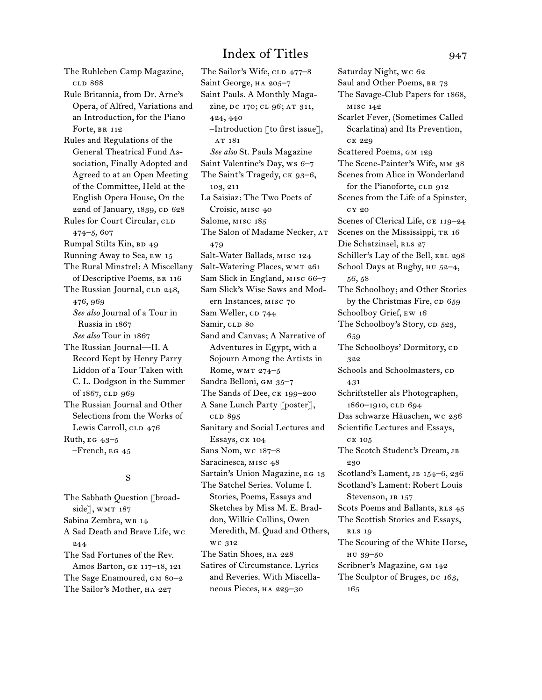The Ruhleben Camp Magazine, cld 868 Rule Britannia, from Dr. Arne's Opera, of Alfred, Variations and an Introduction, for the Piano Forte, BR 112 Rules and Regulations of the General Theatrical Fund Association, Finally Adopted and Agreed to at an Open Meeting of the Committee, Held at the English Opera House, On the 22nd of January, 1839, CD 628 Rules for Court Circular, CLD 474–5, 607 Rumpal Stilts Kin, BD 49 Running Away to Sea, ew 15 The Rural Minstrel: A Miscellany of Descriptive Poems, BR 116 The Russian Journal, CLD 248, 476, 969 *See also* Journal of a Tour in Russia in 1867 *See also* Tour in 1867 The Russian Journal—II. A Record Kept by Henry Parry Liddon of a Tour Taken with C. L. Dodgson in the Summer of 1867, cLD 969 The Russian Journal and Other Selections from the Works of Lewis Carroll, CLD 476 Ruth,  $EG_{43-5}$  $-$ French, EG  $45$ 

## S

The Sabbath Question [broadside], WMT 187 Sabina Zembra, WB 14 A Sad Death and Brave Life, wc 244 The Sad Fortunes of the Rev. Amos Barton, ge 117–18, 121 The Sage Enamoured, GM 80-2 The Sailor's Mother, ha 227

The Sailor's Wife, CLD 477-8 Saint George, ha 205–7 Saint Pauls. A Monthly Magazine, DC 170; CL 96; AT 311, 424, 440 –Introduction [to first issue], AT 181 *See also* St. Pauls Magazine Saint Valentine's Day, ws 6–7 The Saint's Tragedy, CK 93-6, 103, 211 La Saisiaz: The Two Poets of Croisic, misc 40 Salome, misc 185 The Salon of Madame Necker, AT 479 Salt-Water Ballads, misc 124 Salt-Watering Places, WMT 261 Sam Slick in England, misc 66–7 Sam Slick's Wise Saws and Modern Instances, misc 70 Sam Weller, CD 744 Samir, CLD 80 Sand and Canvas; A Narrative of Adventures in Egypt, with a Sojourn Among the Artists in Rome, wmt 274–5 Sandra Belloni, GM 35-7 The Sands of Dee, ck 199–200 A Sane Lunch Party [poster], cld 895 Sanitary and Social Lectures and Essays, ck 104 Sans Nom, wc 187–8 Saracinesca, MISC 48 Sartain's Union Magazine, EG 13 The Satchel Series. Volume I. Stories, Poems, Essays and Sketches by Miss M. E. Braddon, Wilkie Collins, Owen Meredith, M. Quad and Others, wc 312 The Satin Shoes, HA 228 Satires of Circumstance. Lyrics and Reveries. With Miscellaneous Pieces, ha 229–30

Saturday Night, wc 62 Saul and Other Poems, BR 73 The Savage-Club Papers for 1868, misc 142 Scarlet Fever, (Sometimes Called Scarlatina) and Its Prevention, ck 229 Scattered Poems, gm 129 The Scene-Painter's Wife, mm 38 Scenes from Alice in Wonderland for the Pianoforte, CLD 912 Scenes from the Life of a Spinster, cy 20 Scenes of Clerical Life, GE 119–24 Scenes on the Mississippi, TR 16 Die Schatzinsel, RLS 27 Schiller's Lay of the Bell, EBL 298 School Days at Rugby, HU 52-4, 56, 58 The Schoolboy; and Other Stories by the Christmas Fire, cp 659 Schoolboy Grief, ew 16 The Schoolboy's Story, CD 523, 659 The Schoolboys' Dormitory, cp 322 Schools and Schoolmasters, cp. 431 Schriftsteller als Photographen, 1860-1910, CLD 694 Das schwarze Häuschen, wc 236 Scientific Lectures and Essays, ck 105 The Scotch Student's Dream, Jв 230 Scotland's Lament, JB 154-6, 236 Scotland's Lament: Robert Louis Stevenson, JB 157 Scots Poems and Ballants, RLS 45 The Scottish Stories and Essays, rls 19 The Scouring of the White Horse, hu 39–50 Scribner's Magazine, GM 142 The Sculptor of Bruges, DC 163, 165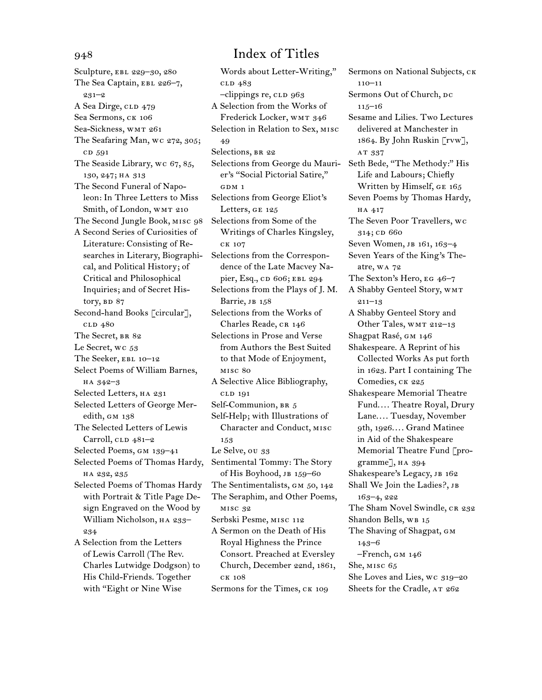Sculpture, ebl 229–30, 280 The Sea Captain, EBL 226-7, 231–2 A Sea Dirge, CLD 479 Sea Sermons, ck 106 Sea-Sickness, WMT 261 The Seafaring Man, wc 272, 305; cd 591 The Seaside Library, wc 67, 85, 130, 247; ha 313 The Second Funeral of Napoleon: In Three Letters to Miss Smith, of London, WMT 210 The Second Jungle Book, misc 98 A Second Series of Curiosities of Literature: Consisting of Researches in Literary, Biographical, and Political History; of Critical and Philosophical Inquiries; and of Secret History, BD 87 Second-hand Books [circular], cld 480 The Secret, BR 82 Le Secret, wc 53 The Seeker, EBL 10-12 Select Poems of William Barnes, ha 342–3 Selected Letters, HA 231 Selected Letters of George Meredith, GM 138 The Selected Letters of Lewis Carroll,  $CLD$  481–2 Selected Poems, gm 139–41 Selected Poems of Thomas Hardy, ha 232, 235 Selected Poems of Thomas Hardy with Portrait & Title Page Design Engraved on the Wood by William Nicholson, HA 233-234 A Selection from the Letters of Lewis Carroll (The Rev. Charles Lutwidge Dodgson) to His Child-Friends. Together with "Eight or Nine Wise

# 948 Index of Titles

Words about Letter-Writing," cld 483 –clippings re, cld 963 A Selection from the Works of Frederick Locker, WMT 346 Selection in Relation to Sex, misc 49 Selections, BR 22 Selections from George du Maurier's "Social Pictorial Satire," GDM 1 Selections from George Eliot's Letters, ge 125 Selections from Some of the Writings of Charles Kingsley, ck 107 Selections from the Correspondence of the Late Macvey Napier, Esq., CD 606; EBL 294 Selections from the Plays of J. M. Barrie, JB 158 Selections from the Works of Charles Reade, CR 146 Selections in Prose and Verse from Authors the Best Suited to that Mode of Enjoyment, misc 80 A Selective Alice Bibliography, cld 191 Self-Communion, BR 5 Self-Help; with Illustrations of Character and Conduct, misc 153 Le Selve, ou 33 Sentimental Tommy: The Story of His Boyhood, JB 159-60 The Sentimentalists, GM 50, 142 The Seraphim, and Other Poems, misc 32 Serbski Pesme, misc 112 A Sermon on the Death of His Royal Highness the Prince Consort. Preached at Eversley Church, December 22nd, 1861, ck 108 Sermons for the Times, CK 109

Sermons on National Subjects, CK 110–11 Sermons Out of Church, DC 115–16 Sesame and Lilies. Two Lectures delivered at Manchester in 1864. By John Ruskin [rvw], AT 337 Seth Bede, "The Methody:" His Life and Labours; Chiefly Written by Himself, ge 165 Seven Poems by Thomas Hardy, ha 417 The Seven Poor Travellers, wc 314; cD 660 Seven Women, JB 161, 163-4 Seven Years of the King's Theatre, wa 72 The Sexton's Hero, eg 46–7 A Shabby Genteel Story, wmt 211–13 A Shabby Genteel Story and Other Tales, WMT 212-13 Shagpat Rasé, gm 146 Shakespeare. A Reprint of his Collected Works As put forth in 1623. Part I containing The Comedies, CK 225 Shakespeare Memorial Theatre Fund.... Theatre Royal, Drury Lane.... Tuesday, November 9th, 1926.... Grand Matinee in Aid of the Shakespeare Memorial Theatre Fund [programme], HA 394 Shakespeare's Legacy, JB 162 Shall We Join the Ladies?, JB 163–4, 222 The Sham Novel Swindle, CR 232 Shandon Bells, WB 15 The Shaving of Shagpat, GM 143–6 –French, gm 146 She, misc 65 She Loves and Lies, wc 319–20 Sheets for the Cradle, AT 262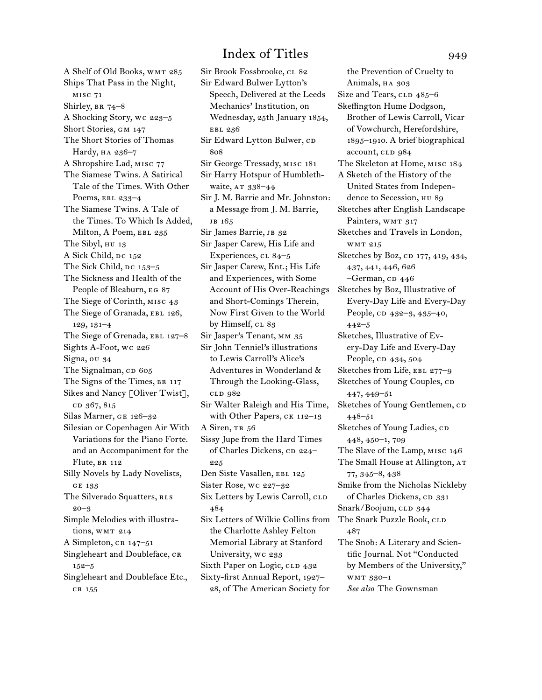A Shelf of Old Books, WMT 285 Ships That Pass in the Night, misc 71 Shirley, BR 74-8 A Shocking Story, wc 223–5 Short Stories, gm 147 The Short Stories of Thomas Hardy, HA 236-7 A Shropshire Lad, misc 77 The Siamese Twins. A Satirical Tale of the Times. With Other Poems, ebl 233–4 The Siamese Twins. A Tale of the Times. To Which Is Added, Milton, A Poem, EBL 235 The Sibyl, нu 13 A Sick Child, DC 152 The Sick Child,  $pc$  153–5 The Sickness and Health of the People of Bleaburn, eg 87 The Siege of Corinth, misc 43 The Siege of Granada, EBL 126, 129, 131–4 The Siege of Grenada, EBL 127-8 Sights A-Foot, wc 226 Signa, ou 34 The Signalman,  $CD$  605 The Signs of the Times, BR 117 Sikes and Nancy [Oliver Twist], cp 367, 815 Silas Marner, ge 126–32 Silesian or Copenhagen Air With Variations for the Piano Forte. and an Accompaniment for the Flute, br 112 Silly Novels by Lady Novelists, ge 133 The Silverado Squatters, RLS 20–3 Simple Melodies with illustrations, WMT 214 A Simpleton, CR 147–51 Singleheart and Doubleface, CR 152–5 Singleheart and Doubleface Etc., cr 155

Sir Brook Fossbrooke, CL 82 Sir Edward Bulwer Lytton's Speech, Delivered at the Leeds Mechanics' Institution, on Wednesday, 25th January 1854, ebl 236 Sir Edward Lytton Bulwer, CD 808 Sir George Tressady, misc 181 Sir Harry Hotspur of Humblethwaite, AT 338-44 Sir J. M. Barrie and Mr. Johnston: a Message from J. M. Barrie, JB 165 Sir James Barrie, JB 32 Sir Jasper Carew, His Life and Experiences, cl 84–5 Sir Jasper Carew, Knt.; His Life and Experiences, with Some Account of His Over-Reachings and Short-Comings Therein, Now First Given to the World by Himself, CL 83 Sir Jasper's Tenant, mm 35 Sir John Tenniel's illustrations to Lewis Carroll's Alice's Adventures in Wonderland & Through the Looking-Glass, cld 982 Sir Walter Raleigh and His Time, with Other Papers, CK 112–13 A Siren, TR 56 Sissy Jupe from the Hard Times of Charles Dickens, cp 224-225 Den Siste Vasallen, EBL 125 Sister Rose, wc 227–32 Six Letters by Lewis Carroll, CLD 484 Six Letters of Wilkie Collins from the Charlotte Ashley Felton Memorial Library at Stanford University, wc 233 Sixth Paper on Logic, CLD 432 Sixty-first Annual Report, 1927– 28, of The American Society for

the Prevention of Cruelty to Animals, HA 303 Size and Tears, CLD 485–6 Skeffington Hume Dodgson, Brother of Lewis Carroll, Vicar of Vowchurch, Herefordshire, 1895–1910. A brief biographical account, CLD 984 The Skeleton at Home, misc 184 A Sketch of the History of the United States from Independence to Secession, HU 89 Sketches after English Landscape Painters, WMT 317 Sketches and Travels in London, wmt 215 Sketches by Boz, CD 177, 419, 434, 437, 441, 446, 626  $-$ German, CD 446 Sketches by Boz, Illustrative of Every-Day Life and Every-Day People, cD 432–3, 435–40, 442–5 Sketches, Illustrative of Every-Day Life and Every-Day People, cp 434, 504 Sketches from Life, EBL 277-9 Sketches of Young Couples, CD 447, 449–51 Sketches of Young Gentlemen, CD 448–51 Sketches of Young Ladies, CD 448, 450–1, 709 The Slave of the Lamp, misc 146 The Small House at Allington, AT 77, 345–8, 438 Smike from the Nicholas Nickleby of Charles Dickens, CD 331 Snark/Boojum, CLD 344 The Snark Puzzle Book, CLD 487 The Snob: A Literary and Scientific Journal. Not "Conducted by Members of the University," wmt 330–1 *See also* The Gownsman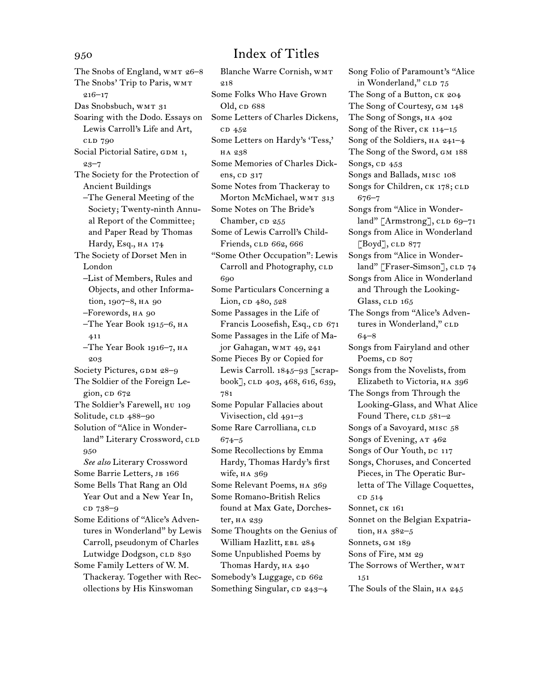The Snobs of England, WMT 26-8 The Snobs' Trip to Paris, WMT 216–17 Das Snobsbuch, WMT 31 Soaring with the Dodo. Essays on Lewis Carroll's Life and Art, cld 790 Social Pictorial Satire, GDM 1, 23–7 The Society for the Protection of Ancient Buildings –The General Meeting of the Society; Twenty-ninth Annual Report of the Committee; and Paper Read by Thomas Hardy, Esq., HA 174 The Society of Dorset Men in London –List of Members, Rules and Objects, and other Information, 1907–8, HA 90 –Forewords, ha 90 –The Year Book 1915–6, ha 411 –The Year Book 1916–7, ha 203 Society Pictures, GDM 28–9 The Soldier of the Foreign Legion, cp 672 The Soldier's Farewell, нu 109 Solitude, CLD 488-90 Solution of "Alice in Wonderland" Literary Crossword, CLD 950 *See also* Literary Crossword Some Barrie Letters, JB 166 Some Bells That Rang an Old Year Out and a New Year In, cd 738–9 Some Editions of "Alice's Adventures in Wonderland" by Lewis Carroll, pseudonym of Charles Lutwidge Dodgson, CLD 830 Some Family Letters of W. M. Thackeray. Together with Recollections by His Kinswoman

Blanche Warre Cornish, wmt  $018$ Some Folks Who Have Grown Old, cp 688 Some Letters of Charles Dickens, cp 452 Some Letters on Hardy's 'Tess,' ha 238 Some Memories of Charles Dickens, cp 317 Some Notes from Thackeray to Morton McMichael, WMT 313 Some Notes on The Bride's Chamber,  $CD$  255 Some of Lewis Carroll's Child-Friends, CLD 662, 666 "Some Other Occupation": Lewis Carroll and Photography, CLD 690 Some Particulars Concerning a Lion, cp 480, 528 Some Passages in the Life of Francis Loosefish, Esq., CD 671 Some Passages in the Life of Major Gahagan, wm r 49, 241 Some Pieces By or Copied for Lewis Carroll. 1845–93 [scrapbook], CLD 403, 468, 616, 639, 781 Some Popular Fallacies about Vivisection, cld 491–3 Some Rare Carrolliana, CLD 674–5 Some Recollections by Emma Hardy, Thomas Hardy's first wife, ha 369 Some Relevant Poems, HA 369 Some Romano-British Relics found at Max Gate, Dorchester, ha 239 Some Thoughts on the Genius of William Hazlitt, EBL 284 Some Unpublished Poems by Thomas Hardy, HA 240 Somebody's Luggage, CD 662 Something Singular, cp 243-4

Song Folio of Paramount's "Alice in Wonderland," CLD 75 The Song of a Button, CK 204 The Song of Courtesy, GM 148 The Song of Songs, HA  $402$ Song of the River, CK 114-15 Song of the Soldiers, HA 241-4 The Song of the Sword, gm 188 Songs, cp 453 Songs and Ballads, misc 108 Songs for Children, CK 178; CLD 676–7 Songs from "Alice in Wonderland"  $[Armstrong]$ , CLD 69–71 Songs from Alice in Wonderland  $[Boyd]$ , CLD 877 Songs from "Alice in Wonderland" [Fraser-Simson], CLD 74 Songs from Alice in Wonderland and Through the Looking-Glass, CLD 165 The Songs from "Alice's Adventures in Wonderland," CLD 64–8 Songs from Fairyland and other Poems, cp 807 Songs from the Novelists, from Elizabeth to Victoria, ha 396 The Songs from Through the Looking-Glass, and What Alice Found There, CLD 581-2 Songs of a Savoyard, misc 58 Songs of Evening, AT 462 Songs of Our Youth, DC 117 Songs, Choruses, and Concerted Pieces, in The Operatic Burletta of The Village Coquettes, c<sub>D</sub> 514 Sonnet, CK 161 Sonnet on the Belgian Expatriation, ha 382–5 Sonnets, GM 189 Sons of Fire, MM 29 The Sorrows of Werther, WMT 151

The Souls of the Slain, HA 245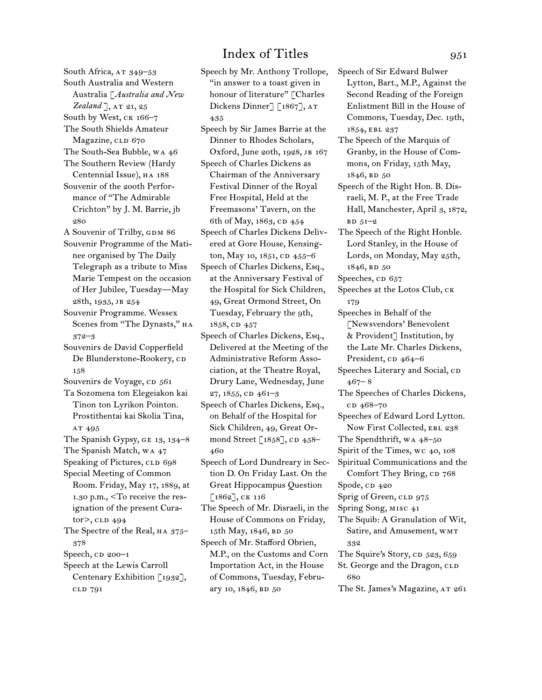South Africa, AT 349-53 South Australia and Western Australia [*Australia and New*  Zealand ], AT 21, 25 South by West, ck 166–7 The South Shields Amateur Magazine, CLD 670 The South-Sea Bubble, wa 46 The Southern Review (Hardy Centennial Issue), на 188 Souvenir of the 200th Performance of "The Admirable Crichton" by J. M. Barrie, jb 280 A Souvenir of Trilby, GDM 86 Souvenir Programme of the Matinee organised by The Daily Telegraph as a tribute to Miss Marie Tempest on the occasion of Her Jubilee, Tuesday—May 28th, 1935, jb 254 Souvenir Programme. Wessex Scenes from "The Dynasts," HA 372–3 Souvenirs de David Copperfield De Blunderstone-Rookery, cD 158 Souvenirs de Voyage, cp 561 Ta Sozomena ton Elegeiakon kai Tinon ton Lyrikon Pointon. Prostithentai kai Skolia Tina, AT 495 The Spanish Gypsy, ge 13, 134–8 The Spanish Match, wa 47 Speaking of Pictures, CLD 698 Special Meeting of Common Room. Friday, May 17, 1889, at 1.30 p.m., <To receive the resignation of the present Curator>, cLD 494 The Spectre of the Real, HA 375-378 Speech,  $CD$  200–1 Speech at the Lewis Carroll Centenary Exhibition [1932], cld 791

Speech by Mr. Anthony Trollope, "in answer to a toast given in honour of literature" [Charles Dickens Dinner] [1867], AT 435 Speech by Sir James Barrie at the Dinner to Rhodes Scholars, Oxford, June 20th, 1928, jb 167 Speech of Charles Dickens as Chairman of the Anniversary Festival Dinner of the Royal Free Hospital, Held at the Freemasons' Tavern, on the 6th of May, 1863, cp 454 Speech of Charles Dickens Delivered at Gore House, Kensington, May 10, 1851, CD 455-6 Speech of Charles Dickens, Esq., at the Anniversary Festival of the Hospital for Sick Children, 49, Great Ormond Street, On Tuesday, February the 9th, 1858, cp 457 Speech of Charles Dickens, Esq., Delivered at the Meeting of the Administrative Reform Association, at the Theatre Royal, Drury Lane, Wednesday, June 27, 1855, CD 461-3 Speech of Charles Dickens, Esq., on Behalf of the Hospital for Sick Children, 49, Great Ormond Street  $[1858]$ , CD 458– 460 Speech of Lord Dundreary in Section D. On Friday Last. On the Great Hippocampus Question [1862], ck 116 The Speech of Mr. Disraeli, in the House of Commons on Friday, 15th May, 1846, BD 50 Speech of Mr. Stafford Obrien, M.P., on the Customs and Corn Importation Act, in the House of Commons, Tuesday, February 10, 1846, BD 50

Speech of Sir Edward Bulwer Lytton, Bart., M.P., Against the Second Reading of the Foreign Enlistment Bill in the House of Commons, Tuesday, Dec. 19th, 1854, ebl 237 The Speech of the Marquis of Granby, in the House of Commons, on Friday, 15th May, 1846, BD 50 Speech of the Right Hon. B. Disraeli, M. P., at the Free Trade Hall, Manchester, April 3, 1872,  $BD 51-2$ The Speech of the Right Honble. Lord Stanley, in the House of Lords, on Monday, May 25th, 1846, BD 50 Speeches, cD 657 Speeches at the Lotos Club, ck 179 Speeches in Behalf of the [Newsvendors' Benevolent & Provident] Institution, by the Late Mr. Charles Dickens, President, cp 464–6 Speeches Literary and Social, CD  $467 - 8$ The Speeches of Charles Dickens, cp 468–70 Speeches of Edward Lord Lytton. Now First Collected, EBL 238 The Spendthrift, wa 48–50 Spirit of the Times, wc 40, 108 Spiritual Communications and the Comfort They Bring, cp 768 Spode, CD 420 Sprig of Green, CLD 975 Spring Song, misc 41 The Squib: A Granulation of Wit, Satire, and Amusement, WMT 332 The Squire's Story, CD 523, 659 St. George and the Dragon, CLD 680 The St. James's Magazine, AT 261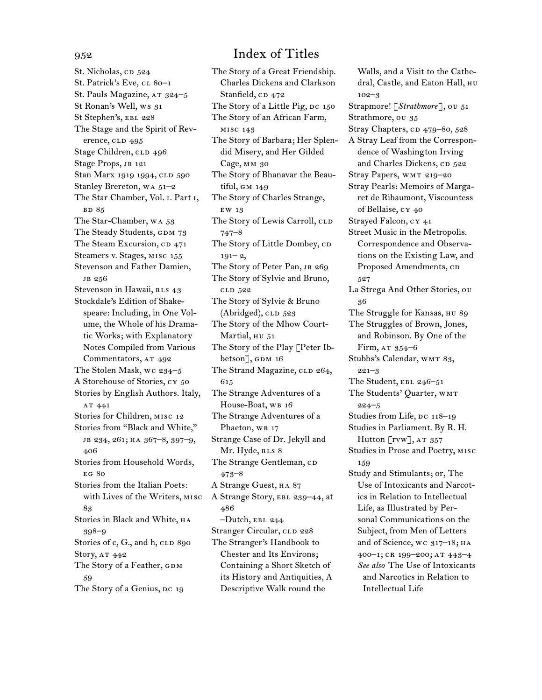St. Nicholas, cp 524 St. Patrick's Eve, cl 80-1 St. Pauls Magazine, AT 324-5 St Ronan's Well, ws 31 St Stephen's, EBL 228 The Stage and the Spirit of Reverence, CLD 495 Stage Children, CLD 496 Stage Props, JB 121 Stan Marx 1919 1994, CLD 590 Stanley Brereton, wa 51–2 The Star Chamber, Vol. i. Part i, **BD** 85 The Star-Chamber, wa 53 The Steady Students, GDM 73 The Steam Excursion, cp 471 Steamers v. Stages, misc 155 Stevenson and Father Damien, jb 256 Stevenson in Hawaii, RLS 43 Stockdale's Edition of Shakespeare: Including, in One Volume, the Whole of his Dramatic Works; with Explanatory Notes Compiled from Various Commentators, AT 492 The Stolen Mask, wc 234–5 A Storehouse of Stories, cy 50 Stories by English Authors. Italy, AT 441 Stories for Children, misc 12 Stories from "Black and White," jb 234, 261; ha 367–8, 397–9, 406 Stories from Household Words, eg 80 Stories from the Italian Poets: with Lives of the Writers, misc 83 Stories in Black and White, ha 398–9 Stories of c, G., and h, CLD 890 Story, AT 442 The Story of a Feather, GDM 59 The Story of a Genius, DC 19

# 952 Index of Titles

The Story of a Great Friendship. Charles Dickens and Clarkson Stanfield, CD 472 The Story of a Little Pig, Dc 150 The Story of an African Farm, misc 143 The Story of Barbara; Her Splendid Misery, and Her Gilded Cage, mm 30 The Story of Bhanavar the Beautiful, gm 149 The Story of Charles Strange, ew 13 The Story of Lewis Carroll, CLD 747–8 The Story of Little Dombey, CD  $191 - 2$ The Story of Peter Pan, JB 269 The Story of Sylvie and Bruno, cld 522 The Story of Sylvie & Bruno  $(Abridged),$  CLD  $523$ The Story of the Mhow Court-Martial, HU 51 The Story of the Play [Peter Ibbetson], GDM 16 The Strand Magazine, CLD 264, 615 The Strange Adventures of a House-Boat, WB 16 The Strange Adventures of a Phaeton, WB 17 Strange Case of Dr. Jekyll and Mr. Hyde, RLS 8 The Strange Gentleman, CD 473–8 A Strange Guest, ha 87 A Strange Story, ebl 239–44, at 486 –Dutch, ebl 244 Stranger Circular, CLD 228 The Stranger's Handbook to Chester and Its Environs; Containing a Short Sketch of its History and Antiquities, A Descriptive Walk round the

Walls, and a Visit to the Cathedral, Castle, and Eaton Hall, hu 102–3 Strapmore! [*Strathmore*], ou 51 Strathmore, ou 35 Stray Chapters, cp 479–80, 528 A Stray Leaf from the Correspondence of Washington Irving and Charles Dickens, CD 522 Stray Papers, WMT 219-20 Stray Pearls: Memoirs of Margaret de Ribaumont, Viscountess of Bellaise, cy 40 Strayed Falcon, cy 41 Street Music in the Metropolis. Correspondence and Observations on the Existing Law, and Proposed Amendments, CD 527 La Strega And Other Stories, ou 36 The Struggle for Kansas, hu 89 The Struggles of Brown, Jones, and Robinson. By One of the Firm,  $AT$  354–6 Stubbs's Calendar, WMT 83, 221–3 The Student, EBL 246-51 The Students' Quarter, WMT 224–5 Studies from Life, DC 118-19 Studies in Parliament. By R. H. Hutton  $\text{[rvw]}$ , AT 357 Studies in Prose and Poetry, misc 159 Study and Stimulants; or, The Use of Intoxicants and Narcotics in Relation to Intellectual Life, as Illustrated by Personal Communications on the Subject, from Men of Letters and of Science, wc 317-18; HA 400–1; cr 199–200; at 443–4 *See also* The Use of Intoxicants and Narcotics in Relation to Intellectual Life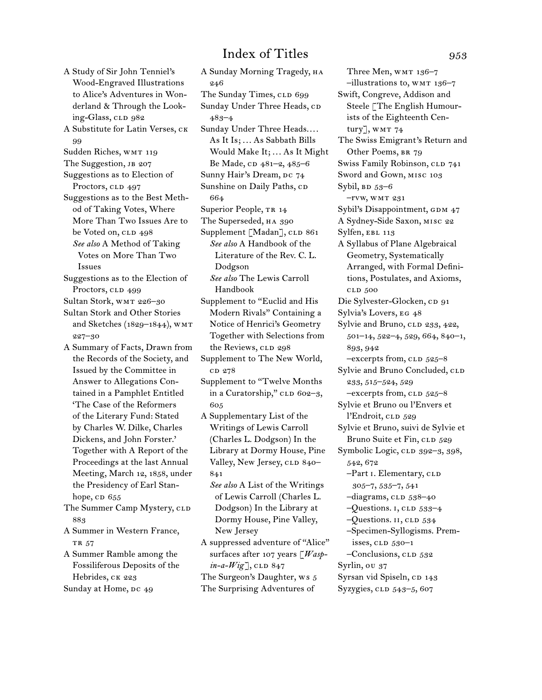A Study of Sir John Tenniel's Wood-Engraved Illustrations to Alice's Adventures in Wonderland & Through the Looking-Glass, CLD 982

A Substitute for Latin Verses, ck 99

Sudden Riches, WMT 119

The Suggestion, JB 207

Suggestions as to Election of Proctors, CLD 497

Suggestions as to the Best Method of Taking Votes, Where More Than Two Issues Are to be Voted on, CLD 498 *See also* A Method of Taking Votes on More Than Two Issues

Suggestions as to the Election of Proctors, CLD 499

Sultan Stork, WMT 226-30

Sultan Stork and Other Stories and Sketches (1829–1844), wmt 227–30

A Summary of Facts, Drawn from the Records of the Society, and Issued by the Committee in Answer to Allegations Contained in a Pamphlet Entitled 'The Case of the Reformers of the Literary Fund: Stated by Charles W. Dilke, Charles Dickens, and John Forster.' Together with A Report of the Proceedings at the last Annual Meeting, March 12, 1858, under the Presidency of Earl Stanhope,  $CD$   $655$ 

The Summer Camp Mystery, CLD 883

A Summer in Western France, TR 57

A Summer Ramble among the Fossiliferous Deposits of the Hebrides, CK 223 Sunday at Home, DC 49

A Sunday Morning Tragedy, HA 246 The Sunday Times, CLD 699 Sunday Under Three Heads, CD 483–4 Sunday Under Three Heads.... As It Is; ... As Sabbath Bills Would Make It; ... As It Might Be Made, CD 481-2, 485-6 Sunny Hair's Dream, DC 74 Sunshine on Daily Paths, CD 664 Superior People, TR 14 The Superseded, HA 390 Supplement [Madan], CLD 861 *See also* A Handbook of the Literature of the Rev. C. L. Dodgson *See also* The Lewis Carroll Handbook Supplement to "Euclid and His Modern Rivals" Containing a Notice of Henrici's Geometry Together with Selections from the Reviews, CLD 298 Supplement to The New World, c<sub>D</sub> 278 Supplement to "Twelve Months in a Curatorship," CLD 602-3, 605 A Supplementary List of the Writings of Lewis Carroll (Charles L. Dodgson) In the Library at Dormy House, Pine Valley, New Jersey, CLD 840-841 *See also* A List of the Writings of Lewis Carroll (Charles L. Dodgson) In the Library at Dormy House, Pine Valley, New Jersey A suppressed adventure of "Alice" surfaces after 107 years [*Wasp* $in-a-Wig$ , CLD 847 The Surgeon's Daughter, ws 5 The Surprising Adventures of

Three Men, WMT 136-7  $-$ illustrations to, wm  $136-7$ Swift, Congreve, Addison and Steele [The English Humourists of the Eighteenth Century],  $WMT 74$ The Swiss Emigrant's Return and Other Poems, BR 79 Swiss Family Robinson, CLD 741 Sword and Gown, misc 103 Sybil,  $BD$  53–6 –rvw, wmt 231 Sybil's Disappointment, GDM 47 A Sydney-Side Saxon, misc 22 Sylfen, EBL 113 A Syllabus of Plane Algebraical Geometry, Systematically Arranged, with Formal Definitions, Postulates, and Axioms, cld 500 Die Sylvester-Glocken, cp 91 Sylvia's Lovers, eg 48 Sylvie and Bruno, CLD 233, 422, 501–14, 522–4, 529, 664, 840–1, 893, 942  $-$ excerpts from, CLD  $525-8$ Sylvie and Bruno Concluded, CLD 233, 515–524, 529 -excerpts from, CLD 525-8 Sylvie et Bruno ou l'Envers et l'Endroit, cld 529 Sylvie et Bruno, suivi de Sylvie et Bruno Suite et Fin, CLD 529 Symbolic Logic, cLD 392-3, 398, 542, 672 –Part I. Elementary, CLD 305–7, 535–7, 541  $-$ diagrams, CLD  $538-40$  $-Q$ uestions. I, CLD 533–4  $-Q$ uestions.  $II$ , CLD 534 –Specimen-Syllogisms. Premisses, CLD 530-1 –Conclusions, cld 532 Syrlin, ou 37 Syrsan vid Spiseln, CD 143 Syzygies, CLD 543-5, 607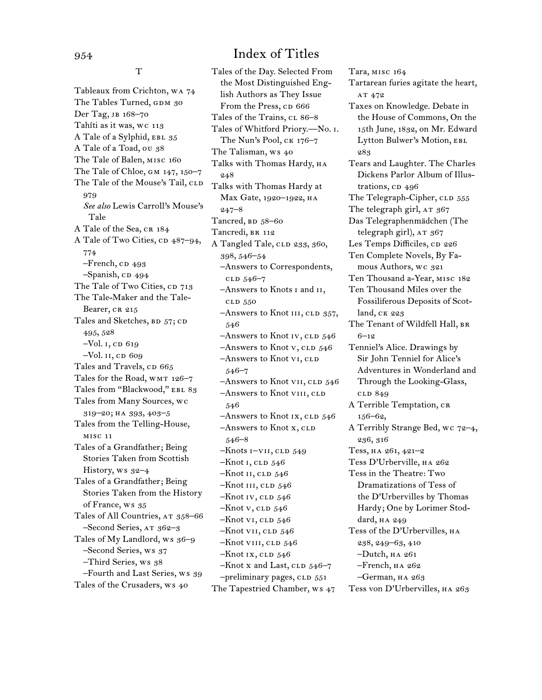T

Tableaux from Crichton, wa 74 The Tables Turned, GDM 30 Der Tag, jb 168–70 Tahíti as it was, wc 113 A Tale of a Sylphid, EBL 35 A Tale of a Toad, ou 38 The Tale of Balen, misc 160 The Tale of Chloe, gm 147, 150–7 The Tale of the Mouse's Tail, CLD 979 *See also* Lewis Carroll's Mouse's Tale A Tale of the Sea, CR 184 A Tale of Two Cities, cp 487–94, 774  $-$ French,  $CD$  493  $-$ Spanish, c $\bm{\triangleright}$  494 The Tale of Two Cities, CD 713 The Tale-Maker and the Tale-Bearer, CR 215 Tales and Sketches, BD 57; CD 495, 528  $-Vol. I, CD 619$ –Vol. ii, cd 609 Tales and Travels, CD 665 Tales for the Road, WMT 126-7 Tales from "Blackwood," EBL 83 Tales from Many Sources, wc 319–20; ha 393, 403–5 Tales from the Telling-House, misc 11 Tales of a Grandfather; Being Stories Taken from Scottish History, ws 32–4 Tales of a Grandfather; Being Stories Taken from the History of France, ws 35 Tales of All Countries, AT 358-66 –Second Series, at 362–3 Tales of My Landlord, ws 36-9 –Second Series, ws 37 –Third Series, ws 38 –Fourth and Last Series, ws 39 Tales of the Crusaders, ws 40

Tales of the Day. Selected From the Most Distinguished English Authors as They Issue From the Press, cp 666 Tales of the Trains, cl 86-8 Tales of Whitford Priory.—No. i. The Nun's Pool, ck 176–7 The Talisman, ws 40 Talks with Thomas Hardy, HA 248 Talks with Thomas Hardy at Max Gate, 1920–1922, ha 247–8 Tancred,  $BD$  58–60 Tancredi, BR 112 A Tangled Tale, CLD 233, 360, 398, 546–54 –Answers to Correspondents, cld 546–7 –Answers to Knots i and ii, cld 550 –Answers to Knot III, CLD 357, 546  $-$ Answers to Knot IV, CLD  $546$  $-$ Answers to Knot v, CLD 546 –Answers to Knot vi, cld 546–7  $-$ Answers to Knot vII, CLD  $546$ –Answers to Knot viii, cld 546  $-$ Answers to Knot Ix, CLD  $546$ –Answers to Knot x, CLD 546–8  $-Knots$  i–vii, cld 549  $-Knot$  I, CLD  $546$  $-Knot$  II, CLD  $546$  $-Knot III, CLD 546$  $-Knot IV$ , CLD  $546$  $-Knot v, cLD 546$  $-Knot$  v<sub>I</sub>, c<sub>LD</sub> 546  $-Knot$  vii, cld  $546$  $-Knot$  viii, cld  $546$  $-Knot$  ix, cld  $546$  $-Knot x$  and Last, CLD  $546-7$ -preliminary pages, CLD 551 The Tapestried Chamber, ws 47

Tara, misc 164 Tartarean furies agitate the heart, AT 472 Taxes on Knowledge. Debate in the House of Commons, On the 15th June, 1832, on Mr. Edward Lytton Bulwer's Motion, EBL 283 Tears and Laughter. The Charles Dickens Parlor Album of Illustrations, cp 496 The Telegraph-Cipher, CLD 555 The telegraph girl, AT 367 Das Telegraphenmädchen (The telegraph girl), AT 367 Les Temps Difficiles, cp 226 Ten Complete Novels, By Famous Authors, wc 321 Ten Thousand a-Year, misc 182 Ten Thousand Miles over the Fossiliferous Deposits of Scotland, ck 223 The Tenant of Wildfell Hall, BR 6–12 Tenniel's Alice. Drawings by Sir John Tenniel for Alice's Adventures in Wonderland and Through the Looking-Glass, cld 849 A Terrible Temptation, CR 156–62, A Terribly Strange Bed, wc 72–4, 236, 316 Tess, ha 261, 421–2 Tess D'Urberville, ha 262 Tess in the Theatre: Two Dramatizations of Tess of the D'Urbervilles by Thomas Hardy; One by Lorimer Stoddard, HA 249 Tess of the D'Urbervilles, на 238, 249–63, 410 –Dutch, ha 261 –French, ha 262 –German, ha 263

Tess von D'Urbervilles, ha 263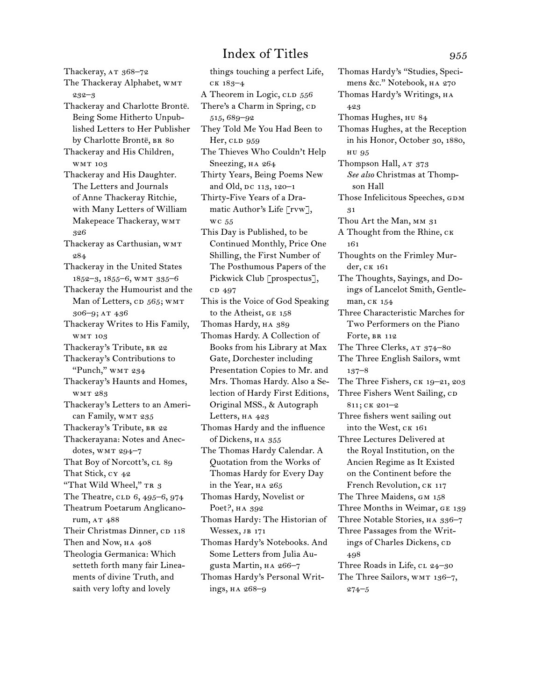Thackeray, AT 368-72 The Thackeray Alphabet, WMT 232–3 Thackeray and Charlotte Brontë. Being Some Hitherto Unpublished Letters to Her Publisher by Charlotte Brontë, BR 80 Thackeray and His Children, wmt 103 Thackeray and His Daughter. The Letters and Journals of Anne Thackeray Ritchie, with Many Letters of William Makepeace Thackeray, WMT 326 Thackeray as Carthusian, WMT 284 Thackeray in the United States 1852–3, 1855–6, wmt 335–6 Thackeray the Humourist and the Man of Letters, CD 565; WMT 306–9; at 436 Thackeray Writes to His Family, wmt 103 Thackeray's Tribute, BR 22 Thackeray's Contributions to "Punch," WMT 234 Thackeray's Haunts and Homes, wmt 283 Thackeray's Letters to an American Family, WMT 235 Thackeray's Tribute, BR 22 Thackerayana: Notes and Anecdotes, WMT 294-7 That Boy of Norcott's, cl 89 That Stick, cy 42 "That Wild Wheel," TR 3 The Theatre, CLD  $6, 495-6, 974$ Theatrum Poetarum Anglicanorum, AT 488 Their Christmas Dinner, CD 118 Then and Now, HA 408 Theologia Germanica: Which setteth forth many fair Lineaments of divine Truth, and saith very lofty and lovely

things touching a perfect Life, ck 183–4 A Theorem in Logic, CLD 556 There's a Charm in Spring, CD 515, 689–92 They Told Me You Had Been to Her, CLD 959 The Thieves Who Couldn't Help Sneezing, HA 264 Thirty Years, Being Poems New and Old, DC 113, 120-1 Thirty-Five Years of a Dramatic Author's Life [rvw], wc 55 This Day is Published, to be Continued Monthly, Price One Shilling, the First Number of The Posthumous Papers of the Pickwick Club [prospectus], c<sub>D</sub> 497 This is the Voice of God Speaking to the Atheist, ge 158 Thomas Hardy, HA 389 Thomas Hardy. A Collection of Books from his Library at Max Gate, Dorchester including Presentation Copies to Mr. and Mrs. Thomas Hardy. Also a Selection of Hardy First Editions, Original MSS., & Autograph Letters, HA 423 Thomas Hardy and the influence of Dickens, HA 355 The Thomas Hardy Calendar. A Quotation from the Works of Thomas Hardy for Every Day in the Year, HA 265 Thomas Hardy, Novelist or Poet?, ha 392 Thomas Hardy: The Historian of Wessex, JB 171 Thomas Hardy's Notebooks. And Some Letters from Julia Augusta Martin, ha 266–7 Thomas Hardy's Personal Writings, ha 268–9

Thomas Hardy's "Studies, Specimens &c." Notebook, ha 270 Thomas Hardy's Writings, HA 423 Thomas Hughes, hu 84 Thomas Hughes, at the Reception in his Honor, October 30, 1880, hu 95 Thompson Hall, AT 373 *See also* Christmas at Thompson Hall Those Infelicitous Speeches, GDM 31 Thou Art the Man, MM 31 A Thought from the Rhine, ck 161 Thoughts on the Frimley Murder, ck 161 The Thoughts, Sayings, and Doings of Lancelot Smith, Gentleman, ck 154 Three Characteristic Marches for Two Performers on the Piano Forte, BR 112 The Three Clerks, AT 374-80 The Three English Sailors, wmt 137–8 The Three Fishers, ck 19–21, 203 Three Fishers Went Sailing, CD 811; ck 201–2 Three fishers went sailing out into the West, ck 161 Three Lectures Delivered at the Royal Institution, on the Ancien Regime as It Existed on the Continent before the French Revolution, CK 117 The Three Maidens, GM 158 Three Months in Weimar, ge 139 Three Notable Stories, HA 336-7 Three Passages from the Writings of Charles Dickens, CD 498 Three Roads in Life, CL 24-30 The Three Sailors, WMT 136-7, 274–5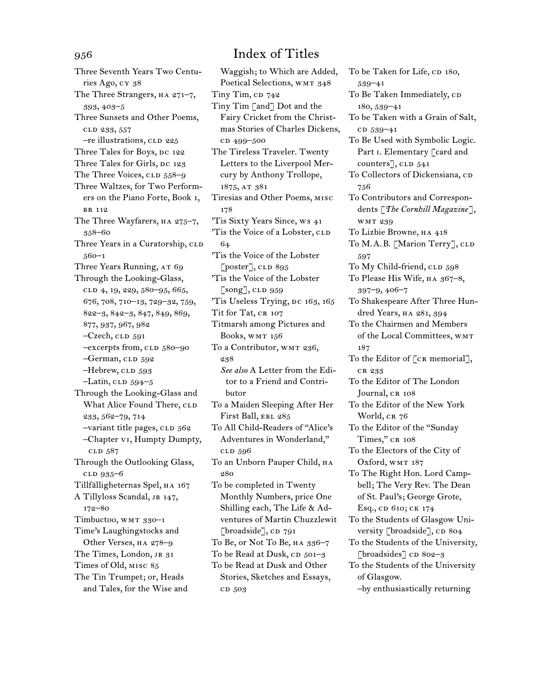Three Seventh Years Two Centuries Ago, cy 38 The Three Strangers, HA 271-7, 393, 403–5 Three Sunsets and Other Poems, cld 233, 557 -re illustrations, CLD 225 Three Tales for Boys, DC 122 Three Tales for Girls, DC 123 The Three Voices, CLD 558–9 Three Waltzes, for Two Performers on the Piano Forte, Book 1, br 112 The Three Wayfarers, HA 275-7, 358–60 Three Years in a Curatorship, CLD 560–1 Three Years Running, AT 69 Through the Looking-Glass, clD 4, 19, 229, 580-95, 665, 676, 708, 710–13, 729–32, 759, 822–3, 842–3, 847, 849, 869, 877, 937, 967, 982  $-Czech$ , CLD  $591$ –excerpts from, cld 580–90 -German, CLD 592  $-Hebrew$ , CLD 593  $-Latin$ , CLD  $594-5$ Through the Looking-Glass and What Alice Found There, CLD 233, 562–79, 714 -variant title pages, CLD 562 –Chapter vi, Humpty Dumpty, cld 587 Through the Outlooking Glass, cld 935–6 Tillfälligheternas Spel, ha 167 A Tillyloss Scandal, jb 147, 172–80 Timbuctoo, WMT 330-1 Time's Laughingstocks and Other Verses, ha 278–9 The Times, London, JB 31 Times of Old, misc 85 The Tin Trumpet; or, Heads and Tales, for the Wise and

Waggish; to Which are Added, Poetical Selections, WMT 348 Tiny Tim,  $CD$  742 Tiny Tim [and] Dot and the Fairy Cricket from the Christmas Stories of Charles Dickens, c<sub>D</sub> 499-500 The Tireless Traveler. Twenty Letters to the Liverpool Mercury by Anthony Trollope, 1875, at 381 Tiresias and Other Poems, misc 178 'Tis Sixty Years Since, ws 41 'Tis the Voice of a Lobster, CLD 64 'Tis the Voice of the Lobster [poster], CLD 895 'Tis the Voice of the Lobster  $\lceil$ song $\rceil$ , CLD 959 'Tis Useless Trying, Dc 163, 165 Tit for Tat, CR 107 Titmarsh among Pictures and Books, WMT 156 To a Contributor, WMT 236, 238 *See also* A Letter from the Editor to a Friend and Contributor To a Maiden Sleeping After Her First Ball, EBL 285 To All Child-Readers of "Alice's Adventures in Wonderland," cld 596 To an Unborn Pauper Child, на 280 To be completed in Twenty Monthly Numbers, price One Shilling each, The Life & Adventures of Martin Chuzzlewit [broadside],  $CD$  791 To Be, or Not To Be, ha 336–7 To be Read at Dusk, CD 501-3 To be Read at Dusk and Other Stories, Sketches and Essays, cd 503

To be Taken for Life, CD 180, 539–41 To Be Taken Immediately, CD 180, 539–41 To be Taken with a Grain of Salt, cd 539-41 To Be Used with Symbolic Logic. Part I. Elementary [card and counters], CLD 541 To Collectors of Dickensiana, CD 756 To Contributors and Correspondents [*The Cornhill Magazine*], wmt 239 To Lizbie Browne, ha 418 To M.A.B. [Marion Terry], CLD 597 To My Child-friend, CLD 598 To Please His Wife, ha 367–8, 397–9, 406–7 To Shakespeare After Three Hundred Years, HA 281, 394 To the Chairmen and Members of the Local Committees, wmt 187 To the Editor of [CR memorial], cr 233 To the Editor of The London Journal, CR 108 To the Editor of the New York World, CR 76 To the Editor of the "Sunday Times," CR 108 To the Electors of the City of Oxford, WMT 187 To The Right Hon. Lord Campbell; The Very Rev. The Dean of St. Paul's; George Grote, Esq., cd 610; ck 174 To the Students of Glasgow University [broadside], CD 804 To the Students of the University, [broadsides] cD 802-3 To the Students of the University of Glasgow. –by enthusiastically returning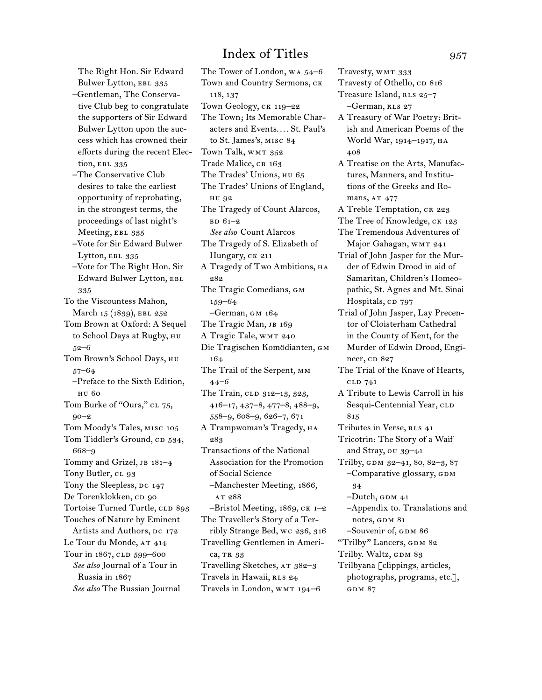The Right Hon. Sir Edward Bulwer Lytton, EBL 335

- –Gentleman, The Conservative Club beg to congratulate the supporters of Sir Edward Bulwer Lytton upon the success which has crowned their efforts during the recent Election, EBL 335
- –The Conservative Club desires to take the earliest opportunity of reprobating, in the strongest terms, the proceedings of last night's Meeting, EBL 335
- –Vote for Sir Edward Bulwer Lytton, EBL 335
- –Vote for The Right Hon. Sir Edward Bulwer Lytton, EBL 335
- To the Viscountess Mahon, March 15 (1839), EBL 252
- Tom Brown at Oxford: A Sequel to School Days at Rugby, нu 52–6
- Tom Brown's School Days, hu 57–64
	- –Preface to the Sixth Edition, hu 60
- Tom Burke of "Ours," cl 75, 90–2 Tom Moody's Tales, misc 105 Tom Tiddler's Ground, CD 534, 668–9 Tommy and Grizel, JB 181-4 Tony Butler, CL 93 Tony the Sleepless, DC 147 De Torenklokken, cp 90 Tortoise Turned Turtle, CLD 893
- Touches of Nature by Eminent Artists and Authors, DC 172 Le Tour du Monde, AT 414 Tour in 1867, CLD 599-600 *See also* Journal of a Tour in Russia in 1867
	- *See also* The Russian Journal

The Tower of London, wa 54–6 Town and Country Sermons, ck 118, 137 Town Geology, ck 119–22 The Town; Its Memorable Characters and Events.... St. Paul's to St. James's, misc 84 Town Talk, WMT 352 Trade Malice, CR 163 The Trades' Unions, HU 65 The Trades' Unions of England, hu 92 The Tragedy of Count Alarcos,  $BD 61-2$ *See also* Count Alarcos The Tragedy of S. Elizabeth of Hungary, CK 211 A Tragedy of Two Ambitions, HA 282 The Tragic Comedians, gm 159–64 –German, gm 164 The Tragic Man, JB 169 A Tragic Tale, WMT 240 Die Tragischen Komödianten, gm 164 The Trail of the Serpent, mm 44–6 The Train, CLD 312-13, 323, 416–17, 437–8, 477–8, 488–9, 558–9, 608–9, 626–7, 671 A Trampwoman's Tragedy, на 283 Transactions of the National Association for the Promotion of Social Science –Manchester Meeting, 1866, AT 288  $-$ Bristol Meeting, 1869,  $CR$  1–2 The Traveller's Story of a Terribly Strange Bed, wc 236, 316 Travelling Gentlemen in America, TR 33 Travelling Sketches, AT 382-3 Travels in Hawaii, RLS 24 Travels in London, wmt 194–6

Travesty, WMT 333 Travesty of Othello, CD 816 Treasure Island, RLS 25-7 –German, rls 27 A Treasury of War Poetry: British and American Poems of the World War, 1914-1917, HA 408 A Treatise on the Arts, Manufactures, Manners, and Institutions of the Greeks and Romans, AT 477 A Treble Temptation, CR 223 The Tree of Knowledge, CK 123 The Tremendous Adventures of Major Gahagan, WMT 241 Trial of John Jasper for the Murder of Edwin Drood in aid of Samaritan, Children's Homeopathic, St. Agnes and Mt. Sinai Hospitals, CD 797 Trial of John Jasper, Lay Precentor of Cloisterham Cathedral in the County of Kent, for the Murder of Edwin Drood, Engineer, cp 827 The Trial of the Knave of Hearts, cld 741 A Tribute to Lewis Carroll in his Sesqui-Centennial Year, CLD 815 Tributes in Verse, RLS 41 Tricotrin: The Story of a Waif and Stray, ou 39–41 Trilby, GDM 32-41, 80, 82-3, 87 –Comparative glossary, gdm 34  $-Dutch, GDM 41$ –Appendix to. Translations and notes, GDM 81 –Souvenir of, GDM 86 "Trilby" Lancers, GDM 82 Trilby. Waltz, GDM 83 Trilbyana [clippings, articles, photographs, programs, etc.], GDM 87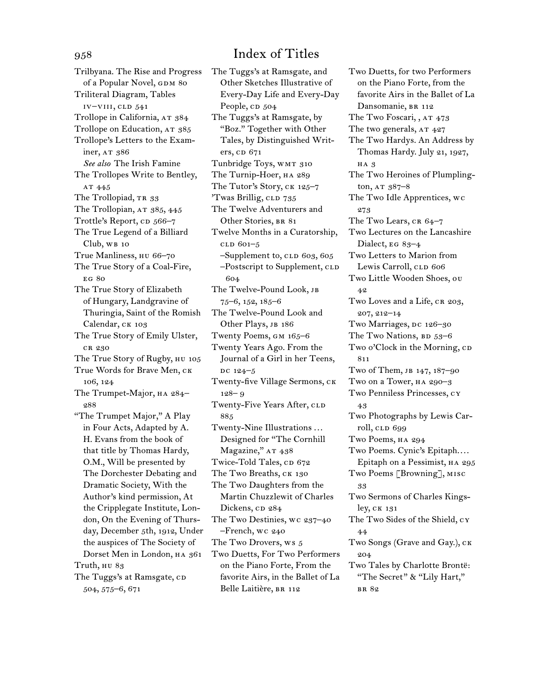Trilbyana. The Rise and Progress of a Popular Novel, GDM 80 Triliteral Diagram, Tables iv–viii, cld 541 Trollope in California, AT 384 Trollope on Education, AT 385 Trollope's Letters to the Examiner, AT 386 *See also* The Irish Famine The Trollopes Write to Bentley, AT 445 The Trollopiad, TR 33 The Trollopian, AT 385, 445 Trottle's Report, cp 566–7 The True Legend of a Billiard Club, WB 10 True Manliness, hu 66–70 The True Story of a Coal-Fire, eg 80 The True Story of Elizabeth of Hungary, Landgravine of Thuringia, Saint of the Romish Calendar, CK 103 The True Story of Emily Ulster, cr 230 The True Story of Rugby, HU 105 True Words for Brave Men, ck 106, 124 The Trumpet-Major, HA 284-288 "The Trumpet Major," A Play in Four Acts, Adapted by A. H. Evans from the book of that title by Thomas Hardy, O.M., Will be presented by The Dorchester Debating and Dramatic Society, With the Author's kind permission, At the Cripplegate Institute, London, On the Evening of Thursday, December 5th, 1912, Under the auspices of The Society of Dorset Men in London, HA 361 Truth, HU 83 The Tuggs's at Ramsgate, CD 504, 575–6, 671

The Tuggs's at Ramsgate, and Other Sketches Illustrative of Every-Day Life and Every-Day People, CD 504 The Tuggs's at Ramsgate, by "Boz." Together with Other Tales, by Distinguished Writers, cp 671 Tunbridge Toys, WMT 310 The Turnip-Hoer, на 289 The Tutor's Story, CK 125-7 'Twas Brillig, CLD 735 The Twelve Adventurers and Other Stories, BR 81 Twelve Months in a Curatorship, cld 601–5  $-$ Supplement to, CLD 603, 605 -Postscript to Supplement, CLD 604 The Twelve-Pound Look, jb 75–6, 152, 185–6 The Twelve-Pound Look and Other Plays, JB 186 Twenty Poems, GM 165-6 Twenty Years Ago. From the Journal of a Girl in her Teens, DC 124-5 Twenty-five Village Sermons, ck 128– 9 Twenty-Five Years After, CLD 885 Twenty-Nine Illustrations . . . Designed for "The Cornhill Magazine," AT 438 Twice-Told Tales, CD 672 The Two Breaths, CK 130 The Two Daughters from the Martin Chuzzlewit of Charles Dickens, cp 284 The Two Destinies, wc 237–40 –French, wc 240 The Two Drovers, ws 5 Two Duetts, For Two Performers on the Piano Forte, From the favorite Airs, in the Ballet of La Belle Laitière, BR 112

Two Duetts, for two Performers on the Piano Forte, from the favorite Airs in the Ballet of La Dansomanie, BR 112 The Two Foscari, , AT 473 The two generals, AT 427 The Two Hardys. An Address by Thomas Hardy. July 21, 1927, ha 3 The Two Heroines of Plumplington,  $AT 387-8$ The Two Idle Apprentices, wc 273 The Two Lears,  $CR 64-7$ Two Lectures on the Lancashire Dialect, EG 83-4 Two Letters to Marion from Lewis Carroll, CLD 606 Two Little Wooden Shoes, ou 42 Two Loves and a Life, CR 203, 207, 212–14 Two Marriages, DC 126-30 The Two Nations,  $BD$  53–6 Two o'Clock in the Morning, CD 811 Two of Them, jb 147, 187–90 Two on a Tower, ha 290–3 Two Penniless Princesses, cy 43 Two Photographs by Lewis Carroll, CLD 699 Two Poems, ha 294 Two Poems. Cynic's Epitaph.... Epitaph on a Pessimist, ha 295 Two Poems [Browning], misc 33 Two Sermons of Charles Kingsley, ck 131 The Two Sides of the Shield, cy 44 Two Songs (Grave and Gay.), ck 204 Two Tales by Charlotte Brontë: "The Secret" & "Lily Hart," br 82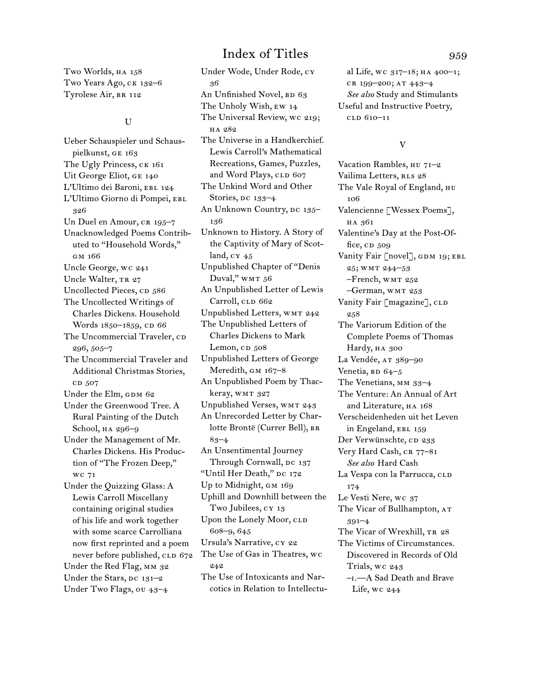Two Worlds, HA 158 Two Years Ago, CK 132-6 Tyrolese Air, BR 112

## U

Ueber Schauspieler und Schauspielkunst, ge 163 The Ugly Princess, ck 161 Uit George Eliot, ge 140 L'Ultimo dei Baroni, EBL 124 L'Ultimo Giorno di Pompei, EBL 326 Un Duel en Amour, CR 195-7 Unacknowledged Poems Contributed to "Household Words," gm 166 Uncle George, wc 241 Uncle Walter, TR 27 Uncollected Pieces, CD 586 The Uncollected Writings of Charles Dickens. Household Words 1850-1859, CD 66 The Uncommercial Traveler, CD 296, 505–7 The Uncommercial Traveler and Additional Christmas Stories, cd 507 Under the Elm, GDM 62 Under the Greenwood Tree. A Rural Painting of the Dutch School,  $HA$  296–9 Under the Management of Mr. Charles Dickens. His Production of "The Frozen Deep," wc 71 Under the Quizzing Glass: A Lewis Carroll Miscellany containing original studies of his life and work together with some scarce Carrolliana now first reprinted and a poem never before published, CLD 672 Under the Red Flag, MM 32 Under the Stars, DC 131-2 Under Two Flags, ou 43–4

Under Wode, Under Rode, cy 36 An Unfinished Novel,  $BD$  63 The Unholy Wish, ew 14 The Universal Review, wc 219; ha 282 The Universe in a Handkerchief. Lewis Carroll's Mathematical Recreations, Games, Puzzles, and Word Plays, CLD 607 The Unkind Word and Other Stories, DC 133-4 An Unknown Country, DC 135-136 Unknown to History. A Story of the Captivity of Mary of Scotland, cy 45 Unpublished Chapter of "Denis Duval," WMT 56 An Unpublished Letter of Lewis Carroll, CLD 662 Unpublished Letters, wmt 242 The Unpublished Letters of Charles Dickens to Mark Lemon,  $CD$   $508$ Unpublished Letters of George Meredith,  $GM \, 167-8$ An Unpublished Poem by Thackeray, WMT 327 Unpublished Verses, WMT 243 An Unrecorded Letter by Charlotte Brontë (Currer Bell), br 83–4 An Unsentimental Journey Through Cornwall, DC 137 "Until Her Death," DC 172 Up to Midnight, GM 169 Uphill and Downhill between the Two Jubilees, cy 13 Upon the Lonely Moor, CLD 608–9, 645 Ursula's Narrative, cy 22 The Use of Gas in Theatres, wc 242 The Use of Intoxicants and Narcotics in Relation to Intellectu-

al Life, wc 317–18; ha 400–1; cr 199–200; at 443–4 *See also* Study and Stimulants Useful and Instructive Poetry, cld 610–11

## V

Vacation Rambles, HU 71-2 Vailima Letters, RLS 28 The Vale Royal of England, HU 106 Valencienne [Wessex Poems], ha 361 Valentine's Day at the Post-Office,  $CD$   $509$ Vanity Fair [novel], GDM 19; EBL 25; wmt 244–53 –French, wmt 252 –German, wmt 253 Vanity Fair [magazine], CLD 258 The Variorum Edition of the Complete Poems of Thomas Hardy, HA 300 La Vendée, AT 389-90 Venetia,  $BD$  64–5 The Venetians, MM 33-4 The Venture: An Annual of Art and Literature, HA 168 Verscheidenheden uit het Leven in Engeland, EBL 159 Der Verwünschte, cp 233 Very Hard Cash, CR 77-81 *See also* Hard Cash La Vespa con la Parrucca, CLD 174 Le Vesti Nere, wc 37 The Vicar of Bullhampton, AT 391–4 The Vicar of Wrexhill, TR 28 The Victims of Circumstances. Discovered in Records of Old Trials, wc 243 –i.—A Sad Death and Brave Life, wc 244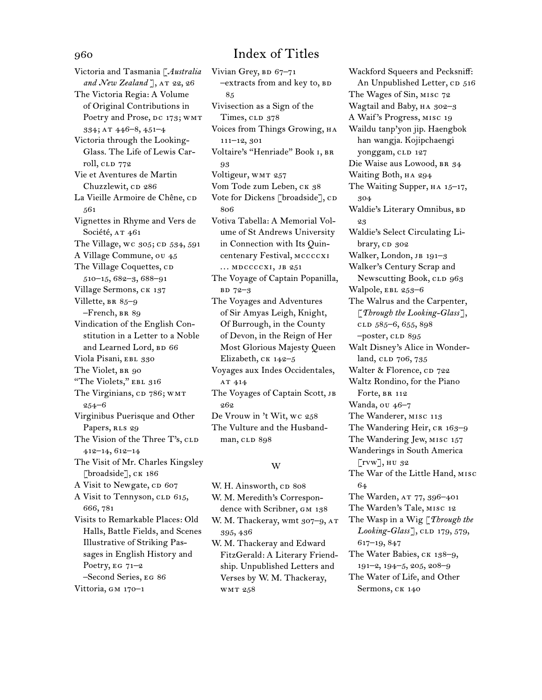Victoria and Tasmania [*Australia*  and New Zealand ], AT 22, 26 The Victoria Regia: A Volume of Original Contributions in Poetry and Prose, DC 173; WMT 334; at 446–8, 451–4 Victoria through the Looking-Glass. The Life of Lewis Carroll, CLD 772 Vie et Aventures de Martin Chuzzlewit, cp 286 La Vieille Armoire de Chêne, co 561 Vignettes in Rhyme and Vers de Société, AT 461 The Village, wc 305; CD 534, 591 A Village Commune, ou 45 The Village Coquettes, CD 510–15, 682–3, 688–91 Village Sermons, ck 137 Villette, BR 85-9 –French, br 89 Vindication of the English Constitution in a Letter to a Noble and Learned Lord, BD 66 Viola Pisani, EBL 330 The Violet, BR 90 "The Violets," EBL 316 The Virginians, CD 786; WMT 254–6 Virginibus Puerisque and Other Papers, RLS 29 The Vision of the Three T's, CLD 412–14, 612–14 The Visit of Mr. Charles Kingsley [broadside], CK 186 A Visit to Newgate, cp 607 A Visit to Tennyson, CLD 615, 666, 781 Visits to Remarkable Places: Old Halls, Battle Fields, and Scenes Illustrative of Striking Passages in English History and Poetry,  $EG 71-2$ –Second Series, eg 86

Vittoria, GM 170-1

Vivian Grey, BD 67-71 -extracts from and key to, BD 85 Vivisection as a Sign of the Times, CLD 378 Voices from Things Growing, ha 111–12, 301 Voltaire's "Henriade" Book i, br 93 Voltigeur, WMT 257 Vom Tode zum Leben, CK 38 Vote for Dickens [broadside], CD 806 Votiva Tabella: A Memorial Volume of St Andrews University in Connection with Its Quincentenary Festival, mccccxi ... MDCCCCXI, JB 251 The Voyage of Captain Popanilla, bd 72–3 The Voyages and Adventures of Sir Amyas Leigh, Knight, Of Burrough, in the County of Devon, in the Reign of Her Most Glorious Majesty Queen Elizabeth, ck 142–5 Voyages aux Indes Occidentales, AT 414 The Voyages of Captain Scott, JB 262 De Vrouw in 't Wit, wc 258 The Vulture and the Husband-

## W

man, CLD 898

W. H. Ainsworth, cp 808 W. M. Meredith's Correspondence with Scribner, GM 138 W. M. Thackeray, wmt 307-9, AT 395, 436 W. M. Thackeray and Edward FitzGerald: A Literary Friendship. Unpublished Letters and Verses by W. M. Thackeray, wmt 258

Wackford Squeers and Pecksniff: An Unpublished Letter, CD 516 The Wages of Sin, misc 72 Wagtail and Baby, ha 302–3 A Waif 's Progress, misc 19 Waildu tanp'yon jip. Haengbok han wangja. Kojipchaengi yonggam, CLD 127 Die Waise aus Lowood, br 34 Waiting Both, HA 294 The Waiting Supper, HA 15-17, 304 Waldie's Literary Omnibus, BD 23 Waldie's Select Circulating Library, cp 302 Walker, London, JB 191-3 Walker's Century Scrap and Newscutting Book, CLD 963 Walpole, EBL 253-6 The Walrus and the Carpenter, [*Through the Looking-Glass*], clD 585-6, 655, 898 -poster, CLD 895 Walt Disney's Alice in Wonderland, CLD 706, 735 Walter & Florence, CD 722 Waltz Rondino, for the Piano Forte, BR 112 Wanda, ou 46–7 The Wanderer, misc 113 The Wandering Heir, CR 163-9 The Wandering Jew, misc 157 Wanderings in South America [rvw], hu 32 The War of the Little Hand, misc 64 The Warden, AT 77, 396-401 The Warden's Tale, misc 12 The Wasp in a Wig [*Through the Looking-Glass*], CLD 179, 579, 617–19, 847 The Water Babies, ck 138–9, 191–2, 194–5, 205, 208–9 The Water of Life, and Other

Sermons, CK 140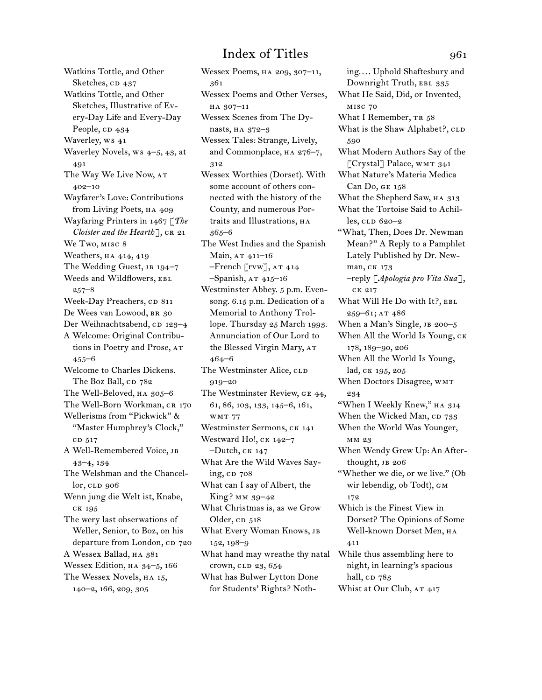Watkins Tottle, and Other Sketches, CD 437 Watkins Tottle, and Other Sketches, Illustrative of Every-Day Life and Every-Day People, CD 434 Waverley, ws 41 Waverley Novels, ws 4–5, 43, at 491 The Way We Live Now, at 402–10 Wayfarer's Love: Contributions from Living Poets, HA 409 Wayfaring Printers in 1467 [*The Cloister and the Hearth*], CR 21 We Two, misc 8 Weathers, HA 414, 419 The Wedding Guest, JB 194-7 Weeds and Wildflowers, EBL 257–8 Week-Day Preachers, CD 811 De Wees van Lowood, BR 30 Der Weihnachtsabend, cp 123–4 A Welcome: Original Contributions in Poetry and Prose, at 455–6 Welcome to Charles Dickens. The Boz Ball, CD 782 The Well-Beloved, ha 305–6 The Well-Born Workman, CR 170 Wellerisms from "Pickwick" & "Master Humphrey's Clock," CD 517 A Well-Remembered Voice, jb 43–4, 134 The Welshman and the Chancel $lor, cLD$  906 Wenn jung die Welt ist, Knabe, ck 195 The wery last obserwations of Weller, Senior, to Boz, on his departure from London, CD 720 A Wessex Ballad, HA 381 Wessex Edition, ha 34–5, 166 The Wessex Novels, ha 15, 140–2, 166, 209, 305

Wessex Poems, ha 209, 307–11, 361 Wessex Poems and Other Verses, ha 307–11 Wessex Scenes from The Dynasts, ha 372–3 Wessex Tales: Strange, Lively, and Commonplace, ha 276–7, 312 Wessex Worthies (Dorset). With some account of others connected with the history of the County, and numerous Portraits and Illustrations, HA 365–6 The West Indies and the Spanish Main, AT 411-16 –French [rvw], at 414  $-$ Spanish, AT  $415-16$ Westminster Abbey. 5 p.m. Evensong. 6.15 p.m. Dedication of a Memorial to Anthony Trollope. Thursday 25 March 1993. Annunciation of Our Lord to the Blessed Virgin Mary, AT 464–6 The Westminster Alice, CLD 919–20 The Westminster Review, ge 44, 61, 86, 103, 133, 145–6, 161, wmt 77 Westminster Sermons, CK 141 Westward Ho!, CK 142-7  $-Dutch, cK 147$ What Are the Wild Waves Saying,  $CD$  708 What can I say of Albert, the King? mm 39–42 What Christmas is, as we Grow Older, CD 518 What Every Woman Knows, jb 152, 198–9 What hand may wreathe thy natal crown, clp 23, 654 What has Bulwer Lytton Done for Students' Rights? Noth-

ing.... Uphold Shaftesbury and Downright Truth, EBL 335 What He Said, Did, or Invented, misc 70 What I Remember, TR 58 What is the Shaw Alphabet?, CLD 590 What Modern Authors Say of the [Crystal] Palace, WMT 341 What Nature's Materia Medica Can Do, ge 158 What the Shepherd Saw, HA 313 What the Tortoise Said to Achilles, cld 620–2 "What, Then, Does Dr. Newman Mean?" A Reply to a Pamphlet Lately Published by Dr. Newman, ck 173 –reply [*Apologia pro Vita Sua*], ck 217 What Will He Do with It?, EBL 259–61; at 486 When a Man's Single, JB 200-5 When All the World Is Young, ck 178, 189–90, 206 When All the World Is Young, lad, ck 195, 205 When Doctors Disagree, WMT 234 "When I Weekly Knew," ha 314 When the Wicked Man, CD 733 When the World Was Younger, mm 23 When Wendy Grew Up: An Afterthought, JB 206 "Whether we die, or we live." (Ob wir lebendig, ob Todt), см 172 Which is the Finest View in Dorset? The Opinions of Some Well-known Dorset Men, на 411 While thus assembling here to night, in learning's spacious hall, cp 783 Whist at Our Club, AT 417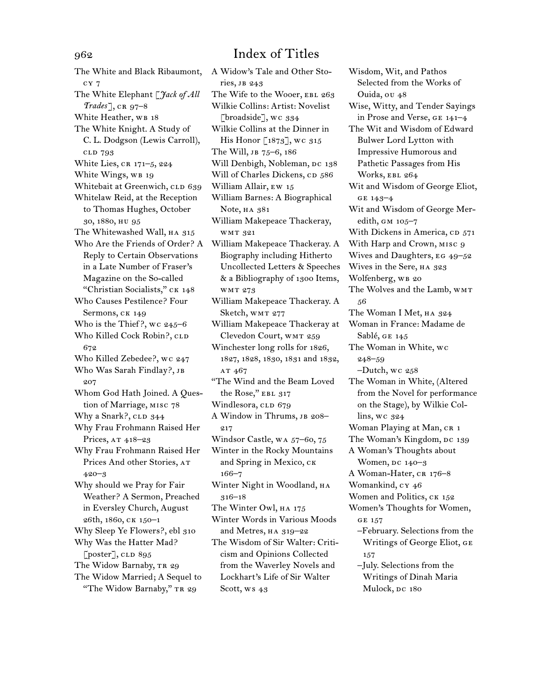The White and Black Ribaumont, cy 7 The White Elephant [*Jack of All Trades*], cr 97–8 White Heather, WB 18 The White Knight. A Study of C. L. Dodgson (Lewis Carroll), cld 793 White Lies,  $CR 171-5$ ,  $224$ White Wings, WB 19 Whitebait at Greenwich, CLD 639 Whitelaw Reid, at the Reception to Thomas Hughes, October 30, 1880, hu 95 The Whitewashed Wall, HA 315 Who Are the Friends of Order? A Reply to Certain Observations in a Late Number of Fraser's Magazine on the So-called "Christian Socialists," ck 148 Who Causes Pestilence? Four Sermons, CK 149 Who is the Thief ?, wc 245–6 Who Killed Cock Robin?, CLD 672 Who Killed Zebedee?, wc 247 Who Was Sarah Findlay?, JB 207 Whom God Hath Joined. A Question of Marriage, misc 78 Why a Snark?, CLD 344 Why Frau Frohmann Raised Her Prices, AT 418-23 Why Frau Frohmann Raised Her Prices And other Stories, at 420–3 Why should we Pray for Fair Weather? A Sermon, Preached in Eversley Church, August 26th, 1860, ck 150–1 Why Sleep Ye Flowers?, ebl 310 Why Was the Hatter Mad? [poster], CLD 895 The Widow Barnaby, TR 29 The Widow Married; A Sequel to "The Widow Barnaby," TR 29

A Widow's Tale and Other Stories, jb 243 The Wife to the Wooer, EBL 263 Wilkie Collins: Artist: Novelist [broadside], wc 334 Wilkie Collins at the Dinner in His Honor [1873], wc 315 The Will, jb 75–6, 186 Will Denbigh, Nobleman, DC 138 Will of Charles Dickens, CD 586 William Allair, ew 15 William Barnes: A Biographical Note, HA 381 William Makepeace Thackeray, wmt 321 William Makepeace Thackeray. A Biography including Hitherto Uncollected Letters & Speeches & a Bibliography of 1300 Items, wmt 273 William Makepeace Thackeray. A Sketch, WMT 277 William Makepeace Thackeray at Clevedon Court, wmt 259 Winchester long rolls for 1826, 1827, 1828, 1830, 1831 and 1832, AT 467 "The Wind and the Beam Loved the Rose," EBL 317 Windlesora, CLD 679 A Window in Thrums, JB 208-217 Windsor Castle, wa 57–60, 75 Winter in the Rocky Mountains and Spring in Mexico, ck 166–7 Winter Night in Woodland, HA 316–18 The Winter Owl, ha 175 Winter Words in Various Moods and Metres, HA 319-22 The Wisdom of Sir Walter: Criticism and Opinions Collected from the Waverley Novels and Lockhart's Life of Sir Walter Scott, ws 43

Wisdom, Wit, and Pathos Selected from the Works of Ouida, ou 48 Wise, Witty, and Tender Sayings in Prose and Verse, ge 141–4 The Wit and Wisdom of Edward Bulwer Lord Lytton with Impressive Humorous and Pathetic Passages from His Works, EBL 264 Wit and Wisdom of George Eliot, ge 143–4 Wit and Wisdom of George Meredith, GM 105-7 With Dickens in America, CD 571 With Harp and Crown, MISC 9 Wives and Daughters, EG 49-52 Wives in the Sere, HA 323 Wolfenberg, WB 20 The Wolves and the Lamb, WMT 56 The Woman I Met, HA 324 Woman in France: Madame de Sablé, GE 145 The Woman in White, wc 248–59 –Dutch, wc 258 The Woman in White, (Altered from the Novel for performance on the Stage), by Wilkie Collins, wc 324 Woman Playing at Man, CR 1 The Woman's Kingdom, DC 139 A Woman's Thoughts about Women, DC 140-3 A Woman-Hater, CR 176-8 Womankind, cy 46 Women and Politics, CK 152 Women's Thoughts for Women, ge 157 –February. Selections from the Writings of George Eliot, ge 157 –July. Selections from the Writings of Dinah Maria Mulock, DC 180